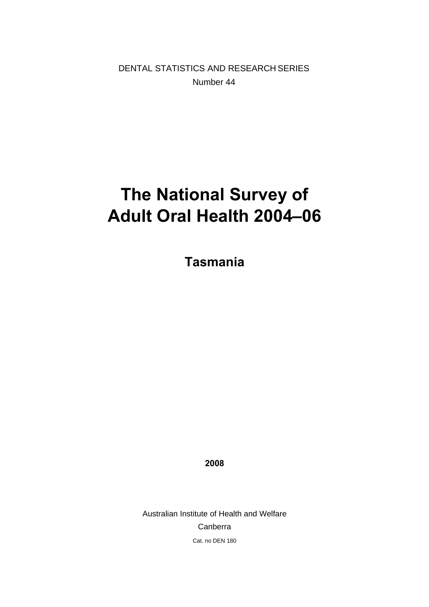DENTAL STATISTICS AND RESEARCH SERIES Number 44

# **The National Survey of Adult Oral Health 2004–06**

**Tasmania** 

**2008** 

Australian Institute of Health and Welfare Canberra Cat. no DEN 180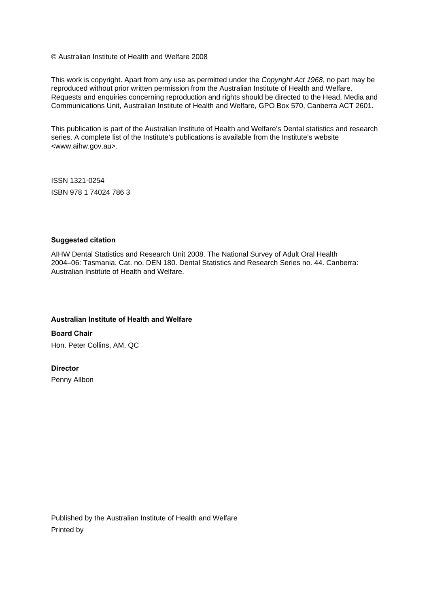© Australian Institute of Health and Welfare 2008

This work is copyright. Apart from any use as permitted under the *Copyright Act 1968*, no part may be reproduced without prior written permission from the Australian Institute of Health and Welfare. Requests and enquiries concerning reproduction and rights should be directed to the Head, Media and Communications Unit, Australian Institute of Health and Welfare, GPO Box 570, Canberra ACT 2601.

This publication is part of the Australian Institute of Health and Welfare's Dental statistics and research series. A complete list of the Institute's publications is available from the Institute's website <www.aihw.gov.au>.

ISSN 1321-0254 ISBN 978 1 74024 786 3

#### **Suggested citation**

AIHW Dental Statistics and Research Unit 2008. The National Survey of Adult Oral Health 2004–06: Tasmania. Cat. no. DEN 180. Dental Statistics and Research Series no. 44. Canberra: Australian Institute of Health and Welfare.

#### **Australian Institute of Health and Welfare**

**Board Chair**  Hon. Peter Collins, AM, QC

#### **Director**

Penny Allbon

Published by the Australian Institute of Health and Welfare Printed by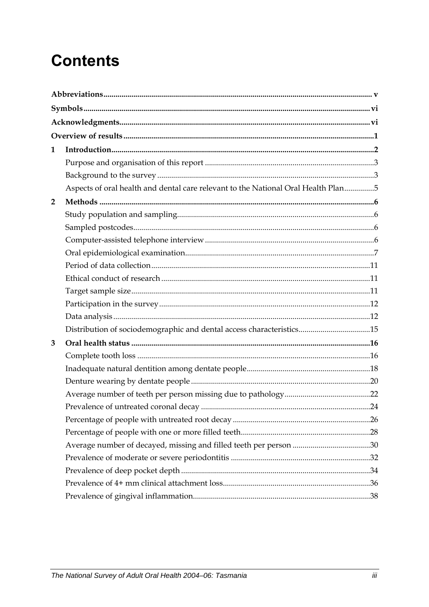# **Contents**

| 1              |                                                                                   |  |
|----------------|-----------------------------------------------------------------------------------|--|
|                |                                                                                   |  |
|                |                                                                                   |  |
|                | Aspects of oral health and dental care relevant to the National Oral Health Plan5 |  |
| $\overline{2}$ |                                                                                   |  |
|                |                                                                                   |  |
|                |                                                                                   |  |
|                |                                                                                   |  |
|                |                                                                                   |  |
|                |                                                                                   |  |
|                |                                                                                   |  |
|                |                                                                                   |  |
|                |                                                                                   |  |
|                |                                                                                   |  |
|                | Distribution of sociodemographic and dental access characteristics15              |  |
| 3              |                                                                                   |  |
|                |                                                                                   |  |
|                |                                                                                   |  |
|                |                                                                                   |  |
|                |                                                                                   |  |
|                |                                                                                   |  |
|                |                                                                                   |  |
|                |                                                                                   |  |
|                |                                                                                   |  |
|                |                                                                                   |  |
|                |                                                                                   |  |
|                |                                                                                   |  |
|                |                                                                                   |  |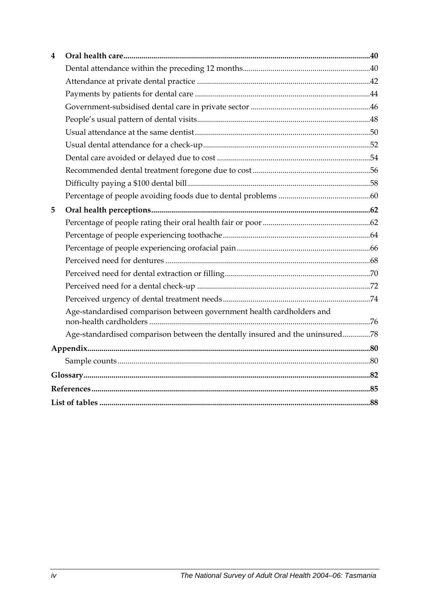| 4 |                                                                              |  |
|---|------------------------------------------------------------------------------|--|
|   |                                                                              |  |
|   |                                                                              |  |
|   |                                                                              |  |
|   |                                                                              |  |
|   |                                                                              |  |
|   |                                                                              |  |
|   |                                                                              |  |
|   |                                                                              |  |
|   |                                                                              |  |
|   |                                                                              |  |
|   |                                                                              |  |
| 5 |                                                                              |  |
|   |                                                                              |  |
|   |                                                                              |  |
|   |                                                                              |  |
|   |                                                                              |  |
|   |                                                                              |  |
|   |                                                                              |  |
|   |                                                                              |  |
|   | Age-standardised comparison between government health cardholders and        |  |
|   | Age-standardised comparison between the dentally insured and the uninsured78 |  |
|   |                                                                              |  |
|   |                                                                              |  |
|   |                                                                              |  |
|   |                                                                              |  |
|   |                                                                              |  |
|   |                                                                              |  |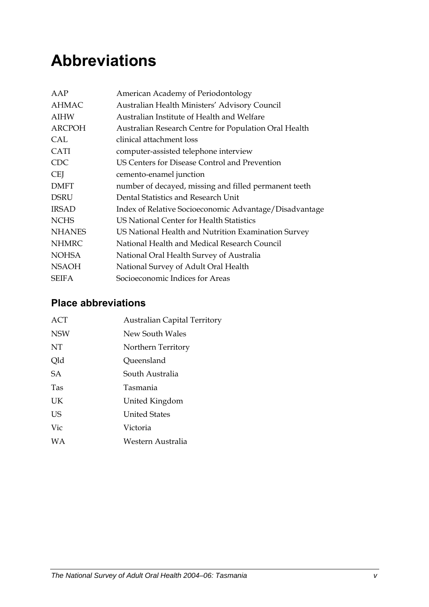# <span id="page-4-0"></span>**Abbreviations**

| AAP           | American Academy of Periodontology                     |
|---------------|--------------------------------------------------------|
| <b>AHMAC</b>  | Australian Health Ministers' Advisory Council          |
| <b>AIHW</b>   | Australian Institute of Health and Welfare             |
| <b>ARCPOH</b> | Australian Research Centre for Population Oral Health  |
| CAL           | clinical attachment loss                               |
| <b>CATI</b>   | computer-assisted telephone interview                  |
| <b>CDC</b>    | US Centers for Disease Control and Prevention          |
| <b>CEI</b>    | cemento-enamel junction                                |
| <b>DMFT</b>   | number of decayed, missing and filled permanent teeth  |
| <b>DSRU</b>   | Dental Statistics and Research Unit                    |
| <b>IRSAD</b>  | Index of Relative Socioeconomic Advantage/Disadvantage |
| <b>NCHS</b>   | US National Center for Health Statistics               |
| <b>NHANES</b> | US National Health and Nutrition Examination Survey    |
| <b>NHMRC</b>  | National Health and Medical Research Council           |
| <b>NOHSA</b>  | National Oral Health Survey of Australia               |
| <b>NSAOH</b>  | National Survey of Adult Oral Health                   |
| <b>SEIFA</b>  | Socioeconomic Indices for Areas                        |

## **Place abbreviations**

| ACT        | <b>Australian Capital Territory</b> |
|------------|-------------------------------------|
| <b>NSW</b> | New South Wales                     |
| NT         | Northern Territory                  |
| Qld        | Queensland                          |
| <b>SA</b>  | South Australia                     |
| <b>Tas</b> | Tasmania                            |
| UK         | United Kingdom                      |
| US         | <b>United States</b>                |
| Vic        | Victoria                            |
| <b>WA</b>  | Western Australia                   |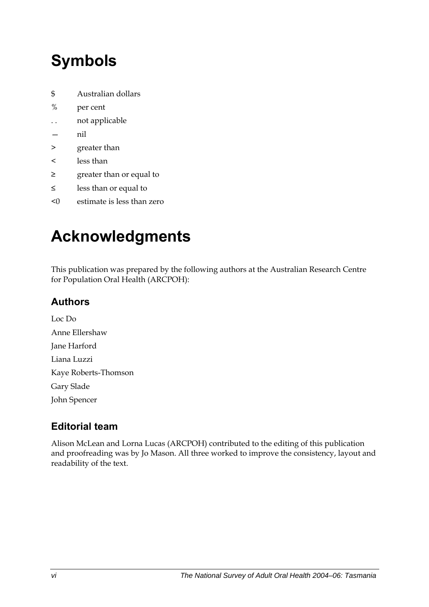# <span id="page-5-0"></span>**Symbols**

- \$ Australian dollars
- % per cent
- . . not applicable
- nil
- > greater than
- < less than
- ≥ greater than or equal to
- ≤ less than or equal to
- <0 estimate is less than zero

# **Acknowledgments**

This publication was prepared by the following authors at the Australian Research Centre for Population Oral Health (ARCPOH):

## **Authors**

Loc Do Anne Ellershaw Jane Harford Liana Luzzi Kaye Roberts-Thomson Gary Slade John Spencer

## **Editorial team**

Alison McLean and Lorna Lucas (ARCPOH) contributed to the editing of this publication and proofreading was by Jo Mason. All three worked to improve the consistency, layout and readability of the text.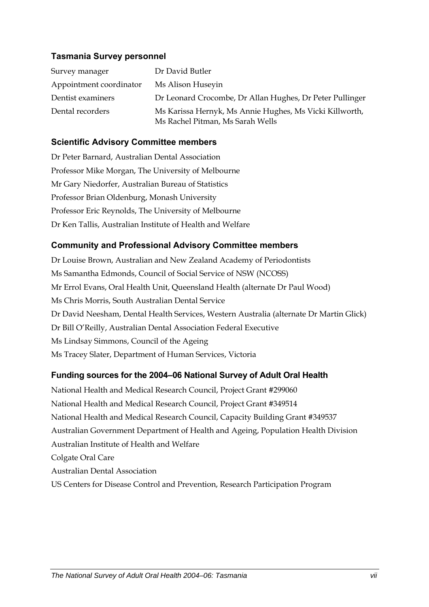### **Tasmania Survey personnel**

| Survey manager          | Dr David Butler                                                                             |
|-------------------------|---------------------------------------------------------------------------------------------|
| Appointment coordinator | Ms Alison Huseyin                                                                           |
| Dentist examiners       | Dr Leonard Crocombe, Dr Allan Hughes, Dr Peter Pullinger                                    |
| Dental recorders        | Ms Karissa Hernyk, Ms Annie Hughes, Ms Vicki Killworth,<br>Ms Rachel Pitman, Ms Sarah Wells |

### **Scientific Advisory Committee members**

Dr Peter Barnard, Australian Dental Association Professor Mike Morgan, The University of Melbourne Mr Gary Niedorfer, Australian Bureau of Statistics Professor Brian Oldenburg, Monash University Professor Eric Reynolds, The University of Melbourne Dr Ken Tallis, Australian Institute of Health and Welfare

### **Community and Professional Advisory Committee members**

Dr Louise Brown, Australian and New Zealand Academy of Periodontists Ms Samantha Edmonds, Council of Social Service of NSW (NCOSS) Mr Errol Evans, Oral Health Unit, Queensland Health (alternate Dr Paul Wood) Ms Chris Morris, South Australian Dental Service Dr David Neesham, Dental Health Services, Western Australia (alternate Dr Martin Glick) Dr Bill O'Reilly, Australian Dental Association Federal Executive Ms Lindsay Simmons, Council of the Ageing Ms Tracey Slater, Department of Human Services, Victoria

### **Funding sources for the 2004–06 National Survey of Adult Oral Health**

National Health and Medical Research Council, Project Grant #299060 National Health and Medical Research Council, Project Grant #349514 National Health and Medical Research Council, Capacity Building Grant #349537 Australian Government Department of Health and Ageing, Population Health Division Australian Institute of Health and Welfare Colgate Oral Care Australian Dental Association US Centers for Disease Control and Prevention, Research Participation Program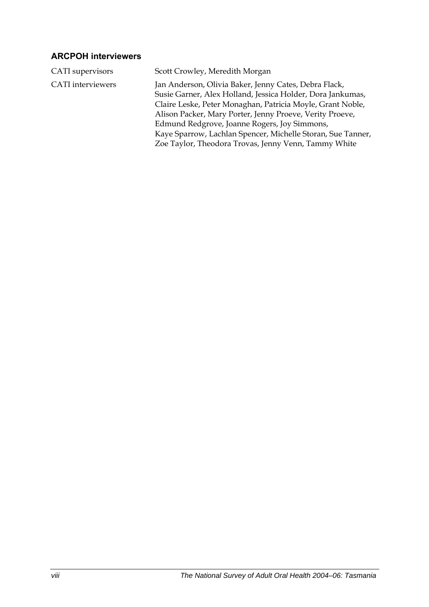### **ARCPOH interviewers**

| CATI supervisors         | Scott Crowley, Meredith Morgan                                                                                                                                                                                                                                                                                                                                                                                       |
|--------------------------|----------------------------------------------------------------------------------------------------------------------------------------------------------------------------------------------------------------------------------------------------------------------------------------------------------------------------------------------------------------------------------------------------------------------|
| <b>CATI</b> interviewers | Jan Anderson, Olivia Baker, Jenny Cates, Debra Flack,<br>Susie Garner, Alex Holland, Jessica Holder, Dora Jankumas,<br>Claire Leske, Peter Monaghan, Patricia Moyle, Grant Noble,<br>Alison Packer, Mary Porter, Jenny Proeve, Verity Proeve,<br>Edmund Redgrove, Joanne Rogers, Joy Simmons,<br>Kaye Sparrow, Lachlan Spencer, Michelle Storan, Sue Tanner,<br>Zoe Taylor, Theodora Trovas, Jenny Venn, Tammy White |
|                          |                                                                                                                                                                                                                                                                                                                                                                                                                      |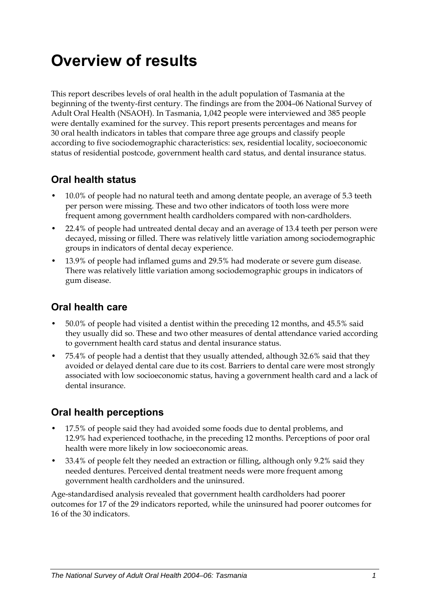# <span id="page-8-0"></span>**Overview of results**

This report describes levels of oral health in the adult population of Tasmania at the beginning of the twenty-first century. The findings are from the 2004–06 National Survey of Adult Oral Health (NSAOH). In Tasmania, 1,042 people were interviewed and 385 people were dentally examined for the survey. This report presents percentages and means for 30 oral health indicators in tables that compare three age groups and classify people according to five sociodemographic characteristics: sex, residential locality, socioeconomic status of residential postcode, government health card status, and dental insurance status.

### **Oral health status**

- 10.0% of people had no natural teeth and among dentate people, an average of 5.3 teeth per person were missing. These and two other indicators of tooth loss were more frequent among government health cardholders compared with non-cardholders.
- 22.4% of people had untreated dental decay and an average of 13.4 teeth per person were decayed, missing or filled. There was relatively little variation among sociodemographic groups in indicators of dental decay experience.
- 13.9% of people had inflamed gums and 29.5% had moderate or severe gum disease. There was relatively little variation among sociodemographic groups in indicators of gum disease.

### **Oral health care**

- 50.0% of people had visited a dentist within the preceding 12 months, and 45.5% said they usually did so. These and two other measures of dental attendance varied according to government health card status and dental insurance status.
- 75.4% of people had a dentist that they usually attended, although 32.6% said that they avoided or delayed dental care due to its cost. Barriers to dental care were most strongly associated with low socioeconomic status, having a government health card and a lack of dental insurance.

### **Oral health perceptions**

- 17.5% of people said they had avoided some foods due to dental problems, and 12.9% had experienced toothache, in the preceding 12 months. Perceptions of poor oral health were more likely in low socioeconomic areas.
- 33.4% of people felt they needed an extraction or filling, although only 9.2% said they needed dentures. Perceived dental treatment needs were more frequent among government health cardholders and the uninsured.

Age-standardised analysis revealed that government health cardholders had poorer outcomes for 17 of the 29 indicators reported, while the uninsured had poorer outcomes for 16 of the 30 indicators.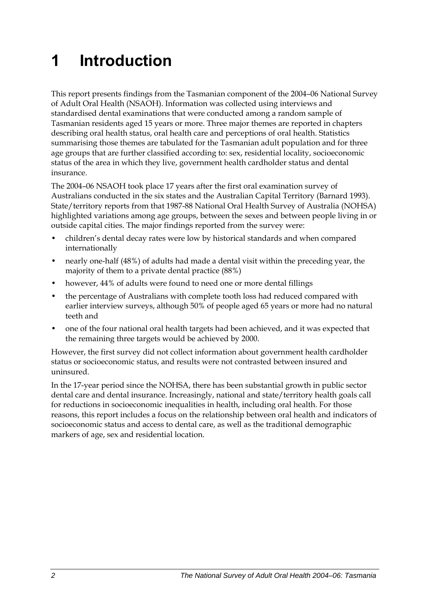# <span id="page-9-0"></span>**1 Introduction**

This report presents findings from the Tasmanian component of the 2004–06 National Survey of Adult Oral Health (NSAOH). Information was collected using interviews and standardised dental examinations that were conducted among a random sample of Tasmanian residents aged 15 years or more. Three major themes are reported in chapters describing oral health status, oral health care and perceptions of oral health. Statistics summarising those themes are tabulated for the Tasmanian adult population and for three age groups that are further classified according to: sex, residential locality, socioeconomic status of the area in which they live, government health cardholder status and dental insurance.

The 2004–06 NSAOH took place 17 years after the first oral examination survey of Australians conducted in the six states and the Australian Capital Territory (Barnard 1993). State/territory reports from that 1987-88 National Oral Health Survey of Australia (NOHSA) highlighted variations among age groups, between the sexes and between people living in or outside capital cities. The major findings reported from the survey were:

- children's dental decay rates were low by historical standards and when compared internationally
- nearly one-half (48%) of adults had made a dental visit within the preceding year, the majority of them to a private dental practice (88%)
- however, 44% of adults were found to need one or more dental fillings
- the percentage of Australians with complete tooth loss had reduced compared with earlier interview surveys, although 50% of people aged 65 years or more had no natural teeth and
- one of the four national oral health targets had been achieved, and it was expected that the remaining three targets would be achieved by 2000.

However, the first survey did not collect information about government health cardholder status or socioeconomic status, and results were not contrasted between insured and uninsured.

In the 17-year period since the NOHSA, there has been substantial growth in public sector dental care and dental insurance. Increasingly, national and state/territory health goals call for reductions in socioeconomic inequalities in health, including oral health. For those reasons, this report includes a focus on the relationship between oral health and indicators of socioeconomic status and access to dental care, as well as the traditional demographic markers of age, sex and residential location.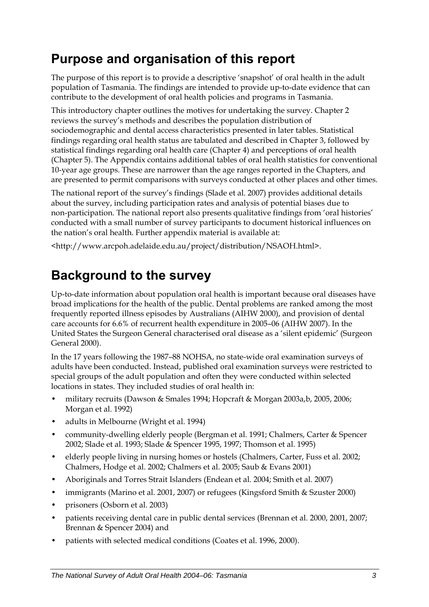# <span id="page-10-0"></span>**Purpose and organisation of this report**

The purpose of this report is to provide a descriptive 'snapshot' of oral health in the adult population of Tasmania. The findings are intended to provide up-to-date evidence that can contribute to the development of oral health policies and programs in Tasmania.

This introductory chapter outlines the motives for undertaking the survey. Chapter 2 reviews the survey's methods and describes the population distribution of sociodemographic and dental access characteristics presented in later tables. Statistical findings regarding oral health status are tabulated and described in Chapter 3, followed by statistical findings regarding oral health care (Chapter 4) and perceptions of oral health (Chapter 5). The Appendix contains additional tables of oral health statistics for conventional 10-year age groups. These are narrower than the age ranges reported in the Chapters, and are presented to permit comparisons with surveys conducted at other places and other times.

The national report of the survey's findings (Slade et al. 2007) provides additional details about the survey, including participation rates and analysis of potential biases due to non-participation. The national report also presents qualitative findings from 'oral histories' conducted with a small number of survey participants to document historical influences on the nation's oral health. Further appendix material is available at:

<http://www.arcpoh.adelaide.edu.au/project/distribution/NSAOH.html>.

# **Background to the survey**

Up-to-date information about population oral health is important because oral diseases have broad implications for the health of the public. Dental problems are ranked among the most frequently reported illness episodes by Australians (AIHW 2000), and provision of dental care accounts for 6.6% of recurrent health expenditure in 2005–06 (AIHW 2007). In the United States the Surgeon General characterised oral disease as a 'silent epidemic' (Surgeon General 2000).

In the 17 years following the 1987–88 NOHSA, no state-wide oral examination surveys of adults have been conducted. Instead, published oral examination surveys were restricted to special groups of the adult population and often they were conducted within selected locations in states. They included studies of oral health in:

- military recruits (Dawson & Smales 1994; Hopcraft & Morgan 2003a,b, 2005, 2006; Morgan et al. 1992)
- adults in Melbourne (Wright et al. 1994)
- community-dwelling elderly people (Bergman et al. 1991; Chalmers, Carter & Spencer 2002; Slade et al. 1993; Slade & Spencer 1995, 1997; Thomson et al. 1995)
- elderly people living in nursing homes or hostels (Chalmers, Carter, Fuss et al. 2002; Chalmers, Hodge et al. 2002; Chalmers et al. 2005; Saub & Evans 2001)
- Aboriginals and Torres Strait Islanders (Endean et al. 2004; Smith et al. 2007)
- immigrants (Marino et al. 2001, 2007) or refugees (Kingsford Smith & Szuster 2000)
- prisoners (Osborn et al. 2003)
- patients receiving dental care in public dental services (Brennan et al. 2000, 2001, 2007; Brennan & Spencer 2004) and
- patients with selected medical conditions (Coates et al. 1996, 2000).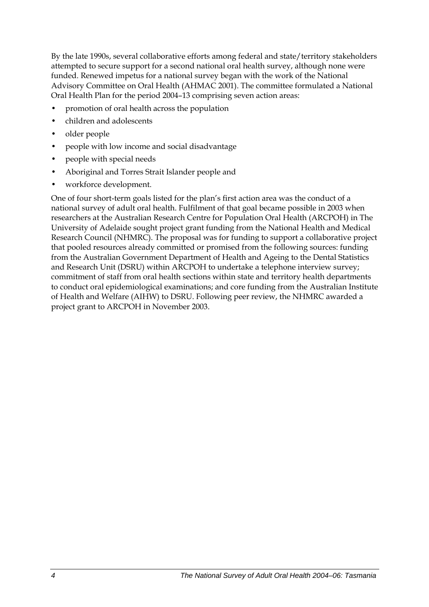By the late 1990s, several collaborative efforts among federal and state/territory stakeholders attempted to secure support for a second national oral health survey, although none were funded. Renewed impetus for a national survey began with the work of the National Advisory Committee on Oral Health (AHMAC 2001). The committee formulated a National Oral Health Plan for the period 2004–13 comprising seven action areas:

- promotion of oral health across the population
- children and adolescents
- older people
- people with low income and social disadvantage
- people with special needs
- Aboriginal and Torres Strait Islander people and
- workforce development.

One of four short-term goals listed for the plan's first action area was the conduct of a national survey of adult oral health. Fulfilment of that goal became possible in 2003 when researchers at the Australian Research Centre for Population Oral Health (ARCPOH) in The University of Adelaide sought project grant funding from the National Health and Medical Research Council (NHMRC). The proposal was for funding to support a collaborative project that pooled resources already committed or promised from the following sources: funding from the Australian Government Department of Health and Ageing to the Dental Statistics and Research Unit (DSRU) within ARCPOH to undertake a telephone interview survey; commitment of staff from oral health sections within state and territory health departments to conduct oral epidemiological examinations; and core funding from the Australian Institute of Health and Welfare (AIHW) to DSRU. Following peer review, the NHMRC awarded a project grant to ARCPOH in November 2003.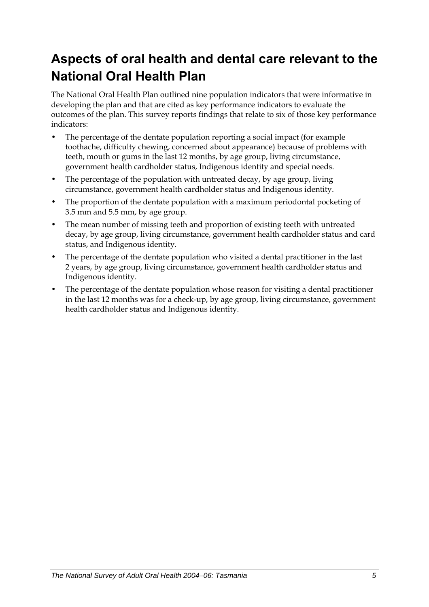# <span id="page-12-0"></span>**Aspects of oral health and dental care relevant to the National Oral Health Plan**

The National Oral Health Plan outlined nine population indicators that were informative in developing the plan and that are cited as key performance indicators to evaluate the outcomes of the plan. This survey reports findings that relate to six of those key performance indicators:

- The percentage of the dentate population reporting a social impact (for example toothache, difficulty chewing, concerned about appearance) because of problems with teeth, mouth or gums in the last 12 months, by age group, living circumstance, government health cardholder status, Indigenous identity and special needs.
- The percentage of the population with untreated decay, by age group, living circumstance, government health cardholder status and Indigenous identity.
- The proportion of the dentate population with a maximum periodontal pocketing of 3.5 mm and 5.5 mm, by age group.
- The mean number of missing teeth and proportion of existing teeth with untreated decay, by age group, living circumstance, government health cardholder status and card status, and Indigenous identity.
- The percentage of the dentate population who visited a dental practitioner in the last 2 years, by age group, living circumstance, government health cardholder status and Indigenous identity.
- The percentage of the dentate population whose reason for visiting a dental practitioner in the last 12 months was for a check-up, by age group, living circumstance, government health cardholder status and Indigenous identity.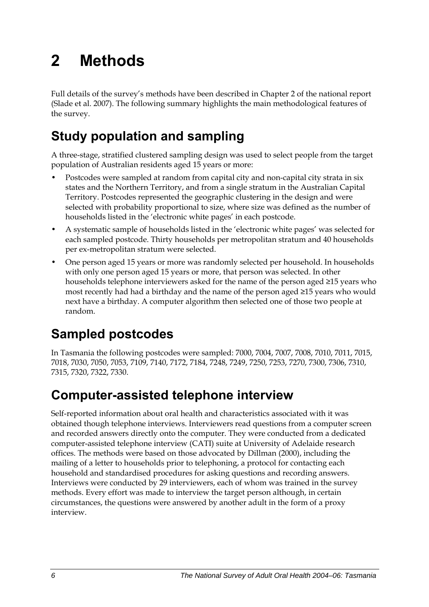# <span id="page-13-0"></span>**2 Methods**

Full details of the survey's methods have been described in Chapter 2 of the national report (Slade et al. 2007). The following summary highlights the main methodological features of the survey.

# **Study population and sampling**

A three-stage, stratified clustered sampling design was used to select people from the target population of Australian residents aged 15 years or more:

- Postcodes were sampled at random from capital city and non-capital city strata in six states and the Northern Territory, and from a single stratum in the Australian Capital Territory. Postcodes represented the geographic clustering in the design and were selected with probability proportional to size, where size was defined as the number of households listed in the 'electronic white pages' in each postcode.
- A systematic sample of households listed in the 'electronic white pages' was selected for each sampled postcode. Thirty households per metropolitan stratum and 40 households per ex-metropolitan stratum were selected.
- One person aged 15 years or more was randomly selected per household. In households with only one person aged 15 years or more, that person was selected. In other households telephone interviewers asked for the name of the person aged ≥15 years who most recently had had a birthday and the name of the person aged ≥15 years who would next have a birthday. A computer algorithm then selected one of those two people at random.

# **Sampled postcodes**

In Tasmania the following postcodes were sampled: 7000, 7004, 7007, 7008, 7010, 7011, 7015, 7018, 7030, 7050, 7053, 7109, 7140, 7172, 7184, 7248, 7249, 7250, 7253, 7270, 7300, 7306, 7310, 7315, 7320, 7322, 7330.

# **Computer-assisted telephone interview**

Self-reported information about oral health and characteristics associated with it was obtained though telephone interviews. Interviewers read questions from a computer screen and recorded answers directly onto the computer. They were conducted from a dedicated computer-assisted telephone interview (CATI) suite at University of Adelaide research offices. The methods were based on those advocated by Dillman (2000), including the mailing of a letter to households prior to telephoning, a protocol for contacting each household and standardised procedures for asking questions and recording answers. Interviews were conducted by 29 interviewers, each of whom was trained in the survey methods. Every effort was made to interview the target person although, in certain circumstances, the questions were answered by another adult in the form of a proxy interview.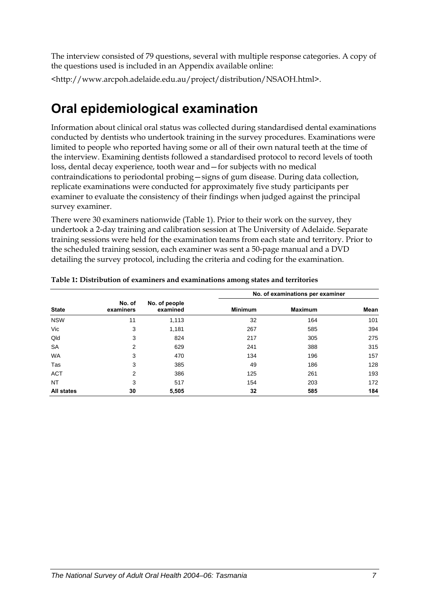<span id="page-14-0"></span>The interview consisted of 79 questions, several with multiple response categories. A copy of the questions used is included in an Appendix available online:

<http://www.arcpoh.adelaide.edu.au/project/distribution/NSAOH.html>.

## **Oral epidemiological examination**

Information about clinical oral status was collected during standardised dental examinations conducted by dentists who undertook training in the survey procedures. Examinations were limited to people who reported having some or all of their own natural teeth at the time of the interview. Examining dentists followed a standardised protocol to record levels of tooth loss, dental decay experience, tooth wear and—for subjects with no medical contraindications to periodontal probing—signs of gum disease. During data collection, replicate examinations were conducted for approximately five study participants per examiner to evaluate the consistency of their findings when judged against the principal survey examiner.

There were 30 examiners nationwide ([Table 1\)](#page-14-1). Prior to their work on the survey, they undertook a 2-day training and calibration session at The University of Adelaide. Separate training sessions were held for the examination teams from each state and territory. Prior to the scheduled training session, each examiner was sent a 50-page manual and a DVD detailing the survey protocol, including the criteria and coding for the examination.

|                   |                     |                           |                | No. of examinations per examiner |      |
|-------------------|---------------------|---------------------------|----------------|----------------------------------|------|
| <b>State</b>      | No. of<br>examiners | No. of people<br>examined | <b>Minimum</b> | <b>Maximum</b>                   | Mean |
| <b>NSW</b>        | 11                  | 1,113                     | 32             | 164                              | 101  |
| Vic               | 3                   | 1,181                     | 267            | 585                              | 394  |
| Qld               | 3                   | 824                       | 217            | 305                              | 275  |
| <b>SA</b>         | 2                   | 629                       | 241            | 388                              | 315  |
| <b>WA</b>         | 3                   | 470                       | 134            | 196                              | 157  |
| Tas               | 3                   | 385                       | 49             | 186                              | 128  |
| <b>ACT</b>        | 2                   | 386                       | 125            | 261                              | 193  |
| <b>NT</b>         | 3                   | 517                       | 154            | 203                              | 172  |
| <b>All states</b> | 30                  | 5,505                     | 32             | 585                              | 184  |

#### <span id="page-14-1"></span>**Table 1: Distribution of examiners and examinations among states and territories**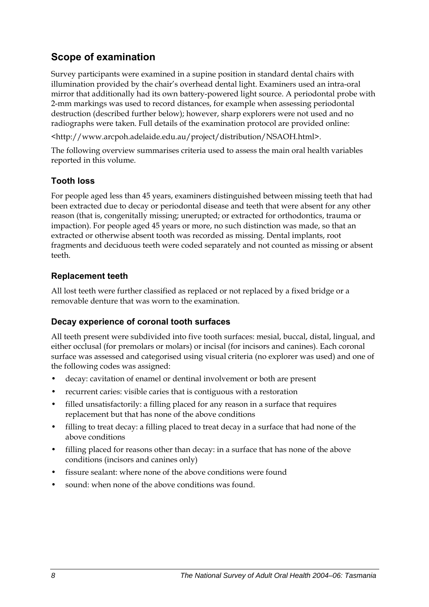## **Scope of examination**

Survey participants were examined in a supine position in standard dental chairs with illumination provided by the chair's overhead dental light. Examiners used an intra-oral mirror that additionally had its own battery-powered light source. A periodontal probe with 2-mm markings was used to record distances, for example when assessing periodontal destruction (described further below); however, sharp explorers were not used and no radiographs were taken. Full details of the examination protocol are provided online:

<http://www.arcpoh.adelaide.edu.au/project/distribution/NSAOH.html>.

The following overview summarises criteria used to assess the main oral health variables reported in this volume.

### **Tooth loss**

For people aged less than 45 years, examiners distinguished between missing teeth that had been extracted due to decay or periodontal disease and teeth that were absent for any other reason (that is, congenitally missing; unerupted; or extracted for orthodontics, trauma or impaction). For people aged 45 years or more, no such distinction was made, so that an extracted or otherwise absent tooth was recorded as missing. Dental implants, root fragments and deciduous teeth were coded separately and not counted as missing or absent teeth.

### **Replacement teeth**

All lost teeth were further classified as replaced or not replaced by a fixed bridge or a removable denture that was worn to the examination.

### **Decay experience of coronal tooth surfaces**

All teeth present were subdivided into five tooth surfaces: mesial, buccal, distal, lingual, and either occlusal (for premolars or molars) or incisal (for incisors and canines). Each coronal surface was assessed and categorised using visual criteria (no explorer was used) and one of the following codes was assigned:

- decay: cavitation of enamel or dentinal involvement or both are present
- recurrent caries: visible caries that is contiguous with a restoration
- filled unsatisfactorily: a filling placed for any reason in a surface that requires replacement but that has none of the above conditions
- filling to treat decay: a filling placed to treat decay in a surface that had none of the above conditions
- filling placed for reasons other than decay: in a surface that has none of the above conditions (incisors and canines only)
- fissure sealant: where none of the above conditions were found
- sound: when none of the above conditions was found.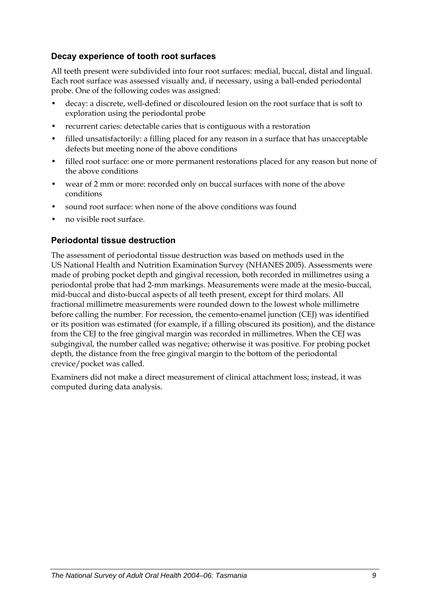### **Decay experience of tooth root surfaces**

All teeth present were subdivided into four root surfaces: medial, buccal, distal and lingual. Each root surface was assessed visually and, if necessary, using a ball-ended periodontal probe. One of the following codes was assigned:

- decay: a discrete, well-defined or discoloured lesion on the root surface that is soft to exploration using the periodontal probe
- recurrent caries: detectable caries that is contiguous with a restoration
- filled unsatisfactorily: a filling placed for any reason in a surface that has unacceptable defects but meeting none of the above conditions
- filled root surface: one or more permanent restorations placed for any reason but none of the above conditions
- wear of 2 mm or more: recorded only on buccal surfaces with none of the above conditions
- sound root surface: when none of the above conditions was found
- no visible root surface.

### **Periodontal tissue destruction**

The assessment of periodontal tissue destruction was based on methods used in the US National Health and Nutrition Examination Survey (NHANES 2005). Assessments were made of probing pocket depth and gingival recession, both recorded in millimetres using a periodontal probe that had 2-mm markings. Measurements were made at the mesio-buccal, mid-buccal and disto-buccal aspects of all teeth present, except for third molars. All fractional millimetre measurements were rounded down to the lowest whole millimetre before calling the number. For recession, the cemento-enamel junction (CEJ) was identified or its position was estimated (for example, if a filling obscured its position), and the distance from the CEJ to the free gingival margin was recorded in millimetres. When the CEJ was subgingival, the number called was negative; otherwise it was positive. For probing pocket depth, the distance from the free gingival margin to the bottom of the periodontal crevice/pocket was called.

Examiners did not make a direct measurement of clinical attachment loss; instead, it was computed during data analysis.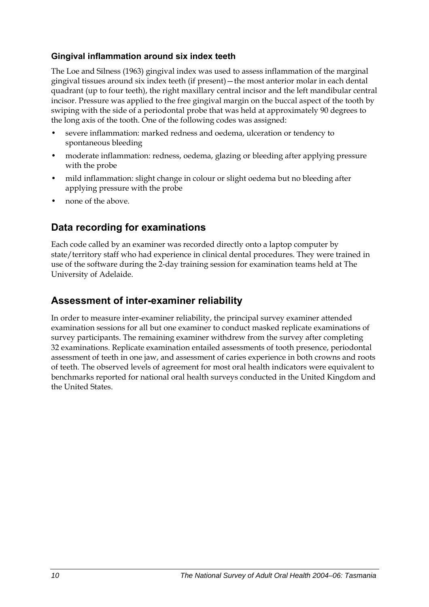### **Gingival inflammation around six index teeth**

The Loe and Silness (1963) gingival index was used to assess inflammation of the marginal gingival tissues around six index teeth (if present)—the most anterior molar in each dental quadrant (up to four teeth), the right maxillary central incisor and the left mandibular central incisor. Pressure was applied to the free gingival margin on the buccal aspect of the tooth by swiping with the side of a periodontal probe that was held at approximately 90 degrees to the long axis of the tooth. One of the following codes was assigned:

- severe inflammation: marked redness and oedema, ulceration or tendency to spontaneous bleeding
- moderate inflammation: redness, oedema, glazing or bleeding after applying pressure with the probe
- mild inflammation: slight change in colour or slight oedema but no bleeding after applying pressure with the probe
- none of the above.

### **Data recording for examinations**

Each code called by an examiner was recorded directly onto a laptop computer by state/territory staff who had experience in clinical dental procedures. They were trained in use of the software during the 2-day training session for examination teams held at The University of Adelaide.

### **Assessment of inter-examiner reliability**

In order to measure inter-examiner reliability, the principal survey examiner attended examination sessions for all but one examiner to conduct masked replicate examinations of survey participants. The remaining examiner withdrew from the survey after completing 32 examinations. Replicate examination entailed assessments of tooth presence, periodontal assessment of teeth in one jaw, and assessment of caries experience in both crowns and roots of teeth. The observed levels of agreement for most oral health indicators were equivalent to benchmarks reported for national oral health surveys conducted in the United Kingdom and the United States.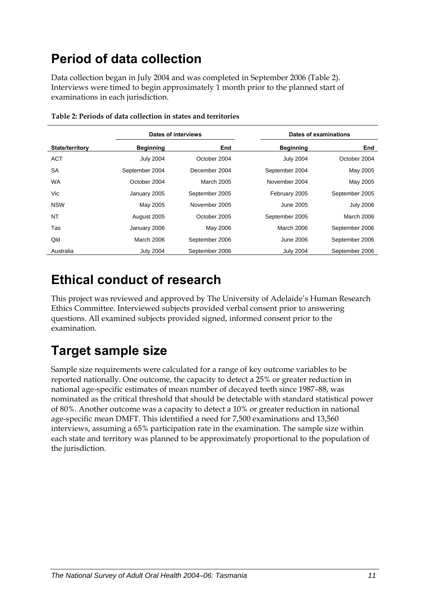# <span id="page-18-0"></span>**Period of data collection**

Data collection began in July 2004 and was completed in September 2006 ([Table 2\)](#page-18-1). Interviews were timed to begin approximately 1 month prior to the planned start of examinations in each jurisdiction.

<span id="page-18-1"></span>

| Dates of interviews    |                  |                |                  | Dates of examinations |
|------------------------|------------------|----------------|------------------|-----------------------|
| <b>State/territory</b> | <b>Beginning</b> | End            | <b>Beginning</b> | End                   |
| <b>ACT</b>             | <b>July 2004</b> | October 2004   | <b>July 2004</b> | October 2004          |
| <b>SA</b>              | September 2004   | December 2004  | September 2004   | May 2005              |
| <b>WA</b>              | October 2004     | March 2005     | November 2004    | May 2005              |
| Vic                    | January 2005     | September 2005 | February 2005    | September 2005        |
| <b>NSW</b>             | May 2005         | November 2005  | June 2005        | <b>July 2006</b>      |
| <b>NT</b>              | August 2005      | October 2005   | September 2005   | March 2006            |
| Tas                    | January 2006     | May 2006       | March 2006       | September 2006        |
| Qld                    | March 2006       | September 2006 | <b>June 2006</b> | September 2006        |
| Australia              | <b>July 2004</b> | September 2006 | <b>July 2004</b> | September 2006        |

**Table 2: Periods of data collection in states and territories** 

## **Ethical conduct of research**

This project was reviewed and approved by The University of Adelaide's Human Research Ethics Committee. Interviewed subjects provided verbal consent prior to answering questions. All examined subjects provided signed, informed consent prior to the examination.

# **Target sample size**

Sample size requirements were calculated for a range of key outcome variables to be reported nationally. One outcome, the capacity to detect a 25% or greater reduction in national age-specific estimates of mean number of decayed teeth since 1987–88, was nominated as the critical threshold that should be detectable with standard statistical power of 80%. Another outcome was a capacity to detect a 10% or greater reduction in national age-specific mean DMFT. This identified a need for 7,500 examinations and 13,560 interviews, assuming a 65% participation rate in the examination. The sample size within each state and territory was planned to be approximately proportional to the population of the jurisdiction.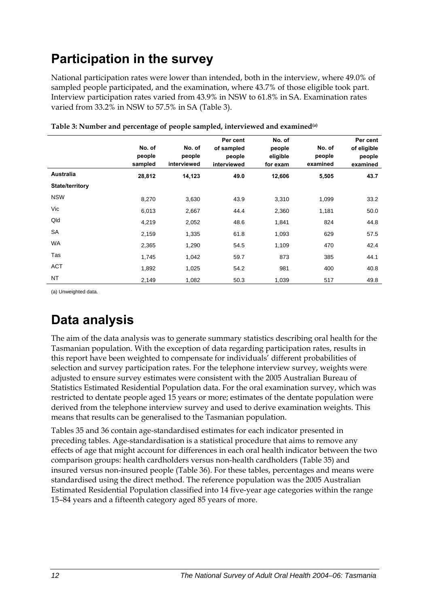# <span id="page-19-0"></span>**Participation in the survey**

National participation rates were lower than intended, both in the interview, where 49.0% of sampled people participated, and the examination, where 43.7% of those eligible took part. Interview participation rates varied from 43.9% in NSW to 61.8% in SA. Examination rates varied from 33.2% in NSW to 57.5% in SA [\(Table 3](#page-19-1)).

<span id="page-19-1"></span>

|                 | No. of<br>people<br>sampled | No. of<br>people<br>interviewed | Per cent<br>of sampled<br>people<br>interviewed | No. of<br>people<br>eligible<br>for exam | No. of<br>people<br>examined | Per cent<br>of eligible<br>people<br>examined |
|-----------------|-----------------------------|---------------------------------|-------------------------------------------------|------------------------------------------|------------------------------|-----------------------------------------------|
| Australia       | 28,812                      | 14,123                          | 49.0                                            | 12,606                                   | 5,505                        | 43.7                                          |
| State/territory |                             |                                 |                                                 |                                          |                              |                                               |
| <b>NSW</b>      | 8,270                       | 3,630                           | 43.9                                            | 3,310                                    | 1,099                        | 33.2                                          |
| Vic             | 6,013                       | 2,667                           | 44.4                                            | 2,360                                    | 1,181                        | 50.0                                          |
| Qld             | 4,219                       | 2,052                           | 48.6                                            | 1,841                                    | 824                          | 44.8                                          |
| SA              | 2,159                       | 1,335                           | 61.8                                            | 1,093                                    | 629                          | 57.5                                          |
| WA              | 2,365                       | 1,290                           | 54.5                                            | 1,109                                    | 470                          | 42.4                                          |
| Tas             | 1,745                       | 1,042                           | 59.7                                            | 873                                      | 385                          | 44.1                                          |
| <b>ACT</b>      | 1,892                       | 1,025                           | 54.2                                            | 981                                      | 400                          | 40.8                                          |
| <b>NT</b>       | 2,149                       | 1,082                           | 50.3                                            | 1,039                                    | 517                          | 49.8                                          |

**Table 3: Number and percentage of people sampled, interviewed and examined(a)** 

(a) Unweighted data.

# **Data analysis**

The aim of the data analysis was to generate summary statistics describing oral health for the Tasmanian population. With the exception of data regarding participation rates, results in this report have been weighted to compensate for individuals' different probabilities of selection and survey participation rates. For the telephone interview survey, weights were adjusted to ensure survey estimates were consistent with the 2005 Australian Bureau of Statistics Estimated Residential Population data. For the oral examination survey, which was restricted to dentate people aged 15 years or more; estimates of the dentate population were derived from the telephone interview survey and used to derive examination weights. This means that results can be generalised to the Tasmanian population.

Tables 35 and 36 contain age-standardised estimates for each indicator presented in preceding tables. Age-standardisation is a statistical procedure that aims to remove any effects of age that might account for differences in each oral health indicator between the two comparison groups: health cardholders versus non-health cardholders (Table 35) and insured versus non-insured people (Table 36). For these tables, percentages and means were standardised using the direct method. The reference population was the 2005 Australian Estimated Residential Population classified into 14 five-year age categories within the range 15–84 years and a fifteenth category aged 85 years of more.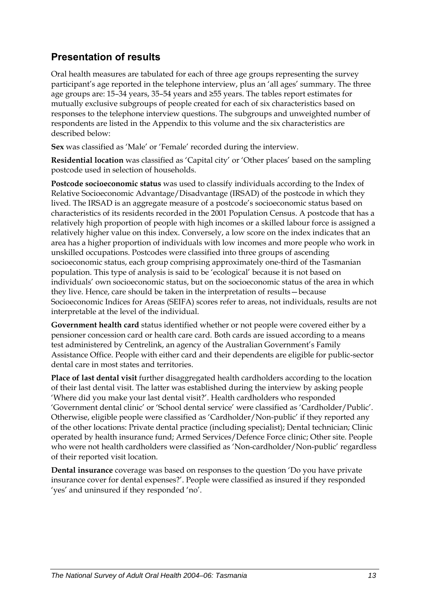## **Presentation of results**

Oral health measures are tabulated for each of three age groups representing the survey participant's age reported in the telephone interview, plus an 'all ages' summary. The three age groups are: 15–34 years, 35–54 years and ≥55 years. The tables report estimates for mutually exclusive subgroups of people created for each of six characteristics based on responses to the telephone interview questions. The subgroups and unweighted number of respondents are listed in the Appendix to this volume and the six characteristics are described below:

**Sex** was classified as 'Male' or 'Female' recorded during the interview.

**Residential location** was classified as 'Capital city' or 'Other places' based on the sampling postcode used in selection of households.

**Postcode socioeconomic status** was used to classify individuals according to the Index of Relative Socioeconomic Advantage/Disadvantage (IRSAD) of the postcode in which they lived. The IRSAD is an aggregate measure of a postcode's socioeconomic status based on characteristics of its residents recorded in the 2001 Population Census. A postcode that has a relatively high proportion of people with high incomes or a skilled labour force is assigned a relatively higher value on this index. Conversely, a low score on the index indicates that an area has a higher proportion of individuals with low incomes and more people who work in unskilled occupations. Postcodes were classified into three groups of ascending socioeconomic status, each group comprising approximately one-third of the Tasmanian population. This type of analysis is said to be 'ecological' because it is not based on individuals' own socioeconomic status, but on the socioeconomic status of the area in which they live. Hence, care should be taken in the interpretation of results—because Socioeconomic Indices for Areas (SEIFA) scores refer to areas, not individuals, results are not interpretable at the level of the individual.

**Government health card** status identified whether or not people were covered either by a pensioner concession card or health care card. Both cards are issued according to a means test administered by Centrelink, an agency of the Australian Government's Family Assistance Office. People with either card and their dependents are eligible for public-sector dental care in most states and territories.

**Place of last dental visit** further disaggregated health cardholders according to the location of their last dental visit. The latter was established during the interview by asking people 'Where did you make your last dental visit?'. Health cardholders who responded 'Government dental clinic' or 'School dental service' were classified as 'Cardholder/Public'. Otherwise, eligible people were classified as 'Cardholder/Non-public' if they reported any of the other locations: Private dental practice (including specialist); Dental technician; Clinic operated by health insurance fund; Armed Services/Defence Force clinic; Other site. People who were not health cardholders were classified as 'Non-cardholder/Non-public' regardless of their reported visit location.

**Dental insurance** coverage was based on responses to the question 'Do you have private insurance cover for dental expenses?'. People were classified as insured if they responded 'yes' and uninsured if they responded 'no'.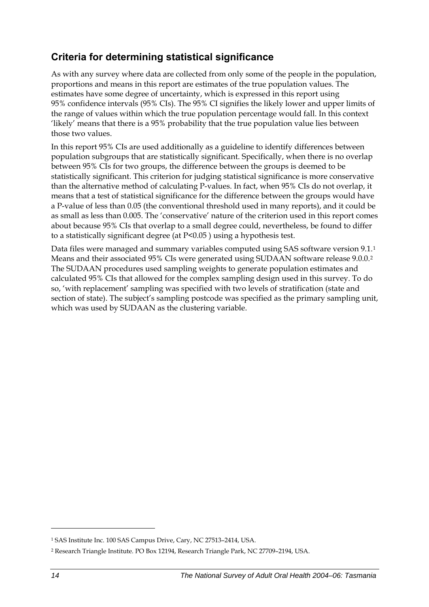## <span id="page-21-0"></span>**Criteria for determining statistical significance**

As with any survey where data are collected from only some of the people in the population, proportions and means in this report are estimates of the true population values. The estimates have some degree of uncertainty, which is expressed in this report using 95% confidence intervals (95% CIs). The 95% CI signifies the likely lower and upper limits of the range of values within which the true population percentage would fall. In this context 'likely' means that there is a 95% probability that the true population value lies between those two values.

In this report 95% CIs are used additionally as a guideline to identify differences between population subgroups that are statistically significant. Specifically, when there is no overlap between 95% CIs for two groups, the difference between the groups is deemed to be statistically significant. This criterion for judging statistical significance is more conservative than the alternative method of calculating P-values. In fact, when 95% CIs do not overlap, it means that a test of statistical significance for the difference between the groups would have a P-value of less than 0.05 (the conventional threshold used in many reports), and it could be as small as less than 0.005. The 'conservative' nature of the criterion used in this report comes about because 95% CIs that overlap to a small degree could, nevertheless, be found to differ to a statistically significant degree (at P<0.05 ) using a hypothesis test.

Data files were managed and summary variables computed using SAS software version 9[.1](#page-21-0).<sup>1</sup> Means and their associated 95% CIs were generated using SUDAAN software release 9.0.0.[2](#page-21-0) The SUDAAN procedures used sampling weights to generate population estimates and calculated 95% CIs that allowed for the complex sampling design used in this survey. To do so, 'with replacement' sampling was specified with two levels of stratification (state and section of state). The subject's sampling postcode was specified as the primary sampling unit, which was used by SUDAAN as the clustering variable.

 $\ddot{\phantom{a}}$ 

<sup>1</sup> SAS Institute Inc. 100 SAS Campus Drive, Cary, NC 27513–2414, USA.

<sup>2</sup> Research Triangle Institute. PO Box 12194, Research Triangle Park, NC 27709–2194, USA.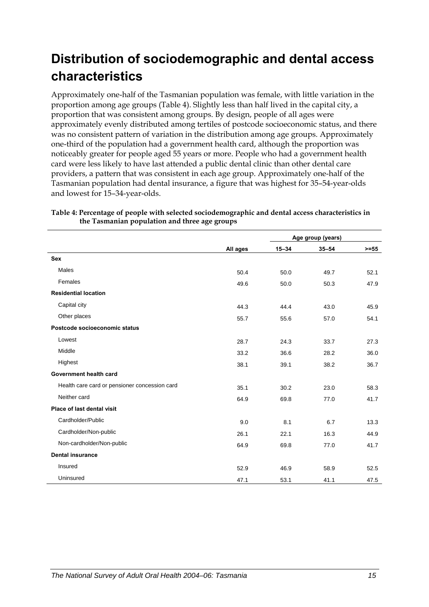# <span id="page-22-0"></span>**Distribution of sociodemographic and dental access characteristics**

Approximately one-half of the Tasmanian population was female, with little variation in the proportion among age groups ([Table 4\)](#page-22-1). Slightly less than half lived in the capital city, a proportion that was consistent among groups. By design, people of all ages were approximately evenly distributed among tertiles of postcode socioeconomic status, and there was no consistent pattern of variation in the distribution among age groups. Approximately one-third of the population had a government health card, although the proportion was noticeably greater for people aged 55 years or more. People who had a government health card were less likely to have last attended a public dental clinic than other dental care providers, a pattern that was consistent in each age group. Approximately one-half of the Tasmanian population had dental insurance, a figure that was highest for 35–54-year-olds and lowest for 15–34-year-olds.

|                                               |          | Age group (years) |           |         |
|-----------------------------------------------|----------|-------------------|-----------|---------|
|                                               | All ages | $15 - 34$         | $35 - 54$ | $>= 55$ |
| <b>Sex</b>                                    |          |                   |           |         |
| Males                                         | 50.4     | 50.0              | 49.7      | 52.1    |
| Females                                       | 49.6     | 50.0              | 50.3      | 47.9    |
| <b>Residential location</b>                   |          |                   |           |         |
| Capital city                                  | 44.3     | 44.4              | 43.0      | 45.9    |
| Other places                                  | 55.7     | 55.6              | 57.0      | 54.1    |
| Postcode socioeconomic status                 |          |                   |           |         |
| Lowest                                        | 28.7     | 24.3              | 33.7      | 27.3    |
| Middle                                        | 33.2     | 36.6              | 28.2      | 36.0    |
| Highest                                       | 38.1     | 39.1              | 38.2      | 36.7    |
| Government health card                        |          |                   |           |         |
| Health care card or pensioner concession card | 35.1     | 30.2              | 23.0      | 58.3    |
| Neither card                                  | 64.9     | 69.8              | 77.0      | 41.7    |
| Place of last dental visit                    |          |                   |           |         |
| Cardholder/Public                             | 9.0      | 8.1               | 6.7       | 13.3    |
| Cardholder/Non-public                         | 26.1     | 22.1              | 16.3      | 44.9    |
| Non-cardholder/Non-public                     | 64.9     | 69.8              | 77.0      | 41.7    |
| <b>Dental insurance</b>                       |          |                   |           |         |
| Insured                                       | 52.9     | 46.9              | 58.9      | 52.5    |
| Uninsured                                     | 47.1     | 53.1              | 41.1      | 47.5    |

<span id="page-22-1"></span>**Table 4: Percentage of people with selected sociodemographic and dental access characteristics in the Tasmanian population and three age groups**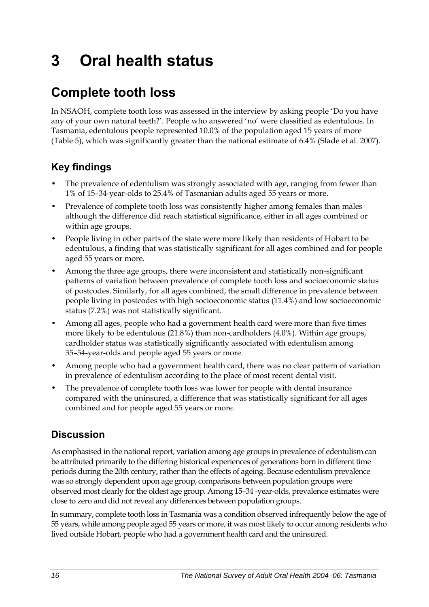# <span id="page-23-0"></span>**3 Oral health status**

# **Complete tooth loss**

In NSAOH, complete tooth loss was assessed in the interview by asking people 'Do you have any of your own natural teeth?'. People who answered 'no' were classified as edentulous. In Tasmania, edentulous people represented 10.0% of the population aged 15 years of more ([Table 5\)](#page-24-0), which was significantly greater than the national estimate of 6.4% (Slade et al. 2007).

## **Key findings**

- The prevalence of edentulism was strongly associated with age, ranging from fewer than 1% of 15–34-year-olds to 25.4% of Tasmanian adults aged 55 years or more.
- Prevalence of complete tooth loss was consistently higher among females than males although the difference did reach statistical significance, either in all ages combined or within age groups.
- People living in other parts of the state were more likely than residents of Hobart to be edentulous, a finding that was statistically significant for all ages combined and for people aged 55 years or more.
- Among the three age groups, there were inconsistent and statistically non-significant patterns of variation between prevalence of complete tooth loss and socioeconomic status of postcodes. Similarly, for all ages combined, the small difference in prevalence between people living in postcodes with high socioeconomic status (11.4%) and low socioeconomic status (7.2%) was not statistically significant.
- Among all ages, people who had a government health card were more than five times more likely to be edentulous (21.8%) than non-cardholders (4.0%). Within age groups, cardholder status was statistically significantly associated with edentulism among 35–54-year-olds and people aged 55 years or more.
- Among people who had a government health card, there was no clear pattern of variation in prevalence of edentulism according to the place of most recent dental visit.
- The prevalence of complete tooth loss was lower for people with dental insurance compared with the uninsured, a difference that was statistically significant for all ages combined and for people aged 55 years or more.

## **Discussion**

As emphasised in the national report, variation among age groups in prevalence of edentulism can be attributed primarily to the differing historical experiences of generations born in different time periods during the 20th century, rather than the effects of ageing. Because edentulism prevalence was so strongly dependent upon age group, comparisons between population groups were observed most clearly for the oldest age group. Among 15–34 -year-olds, prevalence estimates were close to zero and did not reveal any differences between population groups.

In summary, complete tooth loss in Tasmania was a condition observed infrequently below the age of 55 years, while among people aged 55 years or more, it was most likely to occur among residents who lived outside Hobart, people who had a government health card and the uninsured.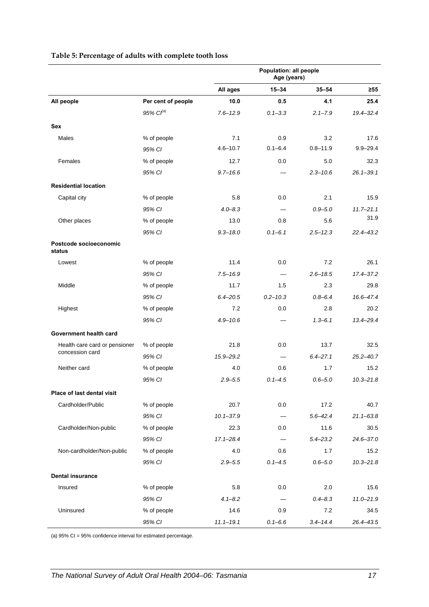<span id="page-24-0"></span>

|                                  |                       | Population: all people<br>Age (years) |              |              |               |
|----------------------------------|-----------------------|---------------------------------------|--------------|--------------|---------------|
|                                  |                       | All ages                              | $15 - 34$    | $35 - 54$    | $\geq 55$     |
| All people                       | Per cent of people    | 10.0                                  | 0.5          | 4.1          | 25.4          |
|                                  | 95% Cl <sup>(a)</sup> | $7.6 - 12.9$                          | $0.1 - 3.3$  | $2.1 - 7.9$  | 19.4-32.4     |
| <b>Sex</b>                       |                       |                                       |              |              |               |
| Males                            | % of people           | 7.1                                   | 0.9          | 3.2          | 17.6          |
|                                  | 95% CI                | $4.6 - 10.7$                          | $0.1 - 6.4$  | $0.8 - 11.9$ | $9.9 - 29.4$  |
| Females                          | % of people           | 12.7                                  | 0.0          | 5.0          | 32.3          |
|                                  | 95% CI                | $9.7 - 16.6$                          |              | $2.3 - 10.6$ | $26.1 - 39.1$ |
| <b>Residential location</b>      |                       |                                       |              |              |               |
| Capital city                     | % of people           | 5.8                                   | 0.0          | 2.1          | 15.9          |
|                                  | 95% CI                | $4.0 - 8.3$                           |              | $0.9 - 5.0$  | $11.7 - 21.1$ |
| Other places                     | % of people           | 13.0                                  | 0.8          | 5.6          | 31.9          |
|                                  | 95% CI                | $9.3 - 18.0$                          | $0.1 - 6.1$  | $2.5 - 12.3$ | $22.4 - 43.2$ |
| Postcode socioeconomic<br>status |                       |                                       |              |              |               |
| Lowest                           | % of people           | 11.4                                  | 0.0          | 7.2          | 26.1          |
|                                  | 95% CI                | $7.5 - 16.9$                          |              | $2.6 - 18.5$ | 17.4-37.2     |
| Middle                           | % of people           | 11.7                                  | 1.5          | 2.3          | 29.8          |
|                                  | 95% CI                | $6.4 - 20.5$                          | $0.2 - 10.3$ | $0.8 - 6.4$  | 16.6-47.4     |
| Highest                          | % of people           | 7.2                                   | 0.0          | 2.8          | 20.2          |
|                                  | 95% CI                | $4.9 - 10.6$                          |              | $1.3 - 6.1$  | 13.4-29.4     |
| Government health card           |                       |                                       |              |              |               |
| Health care card or pensioner    | % of people           | 21.8                                  | 0.0          | 13.7         | 32.5          |
| concession card                  | 95% CI                | $15.9 - 29.2$                         |              | $6.4 - 27.1$ | $25.2 - 40.7$ |
| Neither card                     | % of people           | 4.0                                   | 0.6          | 1.7          | 15.2          |
|                                  | 95% CI                | $2.9 - 5.5$                           | $0.1 - 4.5$  | $0.6 - 5.0$  | $10.3 - 21.8$ |
| Place of last dental visit       |                       |                                       |              |              |               |
| Cardholder/Public                | % of people           | 20.7                                  | 0.0          | 17.2         | 40.7          |
|                                  | 95% CI                | $10.1 - 37.9$                         |              | $5.6 - 42.4$ | $21.1 - 63.8$ |
| Cardholder/Non-public            | % of people           | 22.3                                  | 0.0          | 11.6         | 30.5          |
|                                  | 95% CI                | $17.1 - 28.4$                         |              | $5.4 - 23.2$ | 24.6-37.0     |
| Non-cardholder/Non-public        | % of people           | 4.0                                   | 0.6          | 1.7          | 15.2          |
|                                  | 95% CI                | $2.9 - 5.5$                           | $0.1 - 4.5$  | $0.6 - 5.0$  | $10.3 - 21.8$ |
| <b>Dental insurance</b>          |                       |                                       |              |              |               |
| Insured                          | % of people           | 5.8                                   | 0.0          | 2.0          | 15.6          |
|                                  | 95% CI                | $4.1 - 8.2$                           |              | $0.4 - 8.3$  | $11.0 - 21.9$ |
| Uninsured                        | % of people           | 14.6                                  | 0.9          | 7.2          | 34.5          |
|                                  | 95% CI                | $11.1 - 19.1$                         | $0.1 - 6.6$  | $3.4 - 14.4$ | 26.4-43.5     |

#### **Table 5: Percentage of adults with complete tooth loss**

(a) 95% CI = 95% confidence interval for estimated percentage.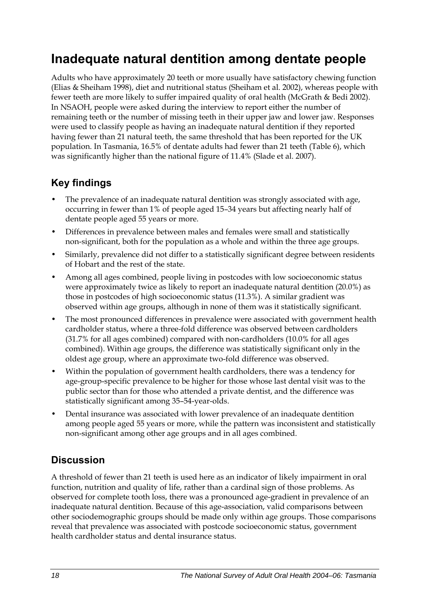## <span id="page-25-0"></span>**Inadequate natural dentition among dentate people**

Adults who have approximately 20 teeth or more usually have satisfactory chewing function (Elias & Sheiham 1998), diet and nutritional status (Sheiham et al. 2002), whereas people with fewer teeth are more likely to suffer impaired quality of oral health (McGrath & Bedi 2002). In NSAOH, people were asked during the interview to report either the number of remaining teeth or the number of missing teeth in their upper jaw and lower jaw. Responses were used to classify people as having an inadequate natural dentition if they reported having fewer than 21 natural teeth, the same threshold that has been reported for the UK population. In Tasmania, 16.5% of dentate adults had fewer than 21 teeth [\(Table 6](#page-26-0)), which was significantly higher than the national figure of 11.4% (Slade et al. 2007).

### **Key findings**

- The prevalence of an inadequate natural dentition was strongly associated with age, occurring in fewer than 1% of people aged 15–34 years but affecting nearly half of dentate people aged 55 years or more.
- Differences in prevalence between males and females were small and statistically non-significant, both for the population as a whole and within the three age groups.
- Similarly, prevalence did not differ to a statistically significant degree between residents of Hobart and the rest of the state.
- Among all ages combined, people living in postcodes with low socioeconomic status were approximately twice as likely to report an inadequate natural dentition (20.0%) as those in postcodes of high socioeconomic status (11.3%). A similar gradient was observed within age groups, although in none of them was it statistically significant.
- The most pronounced differences in prevalence were associated with government health cardholder status, where a three-fold difference was observed between cardholders (31.7% for all ages combined) compared with non-cardholders (10.0% for all ages combined). Within age groups, the difference was statistically significant only in the oldest age group, where an approximate two-fold difference was observed.
- Within the population of government health cardholders, there was a tendency for age-group-specific prevalence to be higher for those whose last dental visit was to the public sector than for those who attended a private dentist, and the difference was statistically significant among 35–54-year-olds.
- Dental insurance was associated with lower prevalence of an inadequate dentition among people aged 55 years or more, while the pattern was inconsistent and statistically non-significant among other age groups and in all ages combined.

## **Discussion**

A threshold of fewer than 21 teeth is used here as an indicator of likely impairment in oral function, nutrition and quality of life, rather than a cardinal sign of those problems. As observed for complete tooth loss, there was a pronounced age-gradient in prevalence of an inadequate natural dentition. Because of this age-association, valid comparisons between other sociodemographic groups should be made only within age groups. Those comparisons reveal that prevalence was associated with postcode socioeconomic status, government health cardholder status and dental insurance status.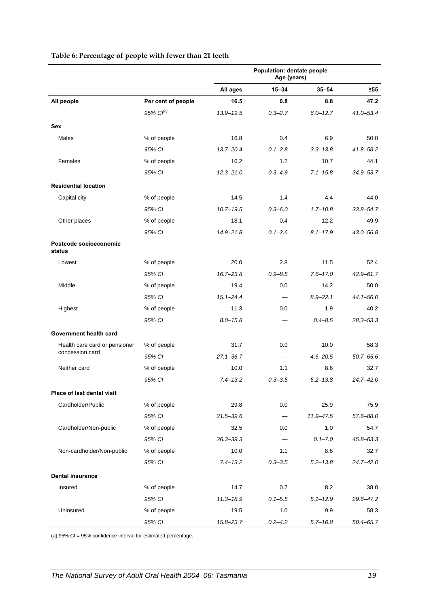|                                  |                       | Population: dentate people<br>Age (years) |                          |              |               |
|----------------------------------|-----------------------|-------------------------------------------|--------------------------|--------------|---------------|
|                                  |                       | All ages                                  | $15 - 34$                | $35 - 54$    | $\geq 55$     |
| All people                       | Per cent of people    | 16.5                                      | 0.8                      | 8.8          | 47.2          |
|                                  | 95% Cl <sup>(a)</sup> | 13.9-19.5                                 | $0.3 - 2.7$              | $6.0 - 12.7$ | $41.0 - 53.4$ |
| Sex                              |                       |                                           |                          |              |               |
| <b>Males</b>                     | % of people           | 16.8                                      | 0.4                      | 6.9          | 50.0          |
|                                  | 95% CI                | $13.7 - 20.4$                             | $0.1 - 2.8$              | $3.3 - 13.8$ | $41.8 - 58.2$ |
| Females                          | % of people           | 16.2                                      | 1.2                      | 10.7         | 44.1          |
|                                  | 95% CI                | $12.3 - 21.0$                             | $0.3 - 4.9$              | $7.1 - 15.8$ | 34.9-53.7     |
| <b>Residential location</b>      |                       |                                           |                          |              |               |
| Capital city                     | % of people           | 14.5                                      | 1.4                      | 4.4          | 44.0          |
|                                  | 95% CI                | $10.7 - 19.5$                             | $0.3 - 6.0$              | $1.7 - 10.8$ | $33.8 - 54.7$ |
| Other places                     | % of people           | 18.1                                      | 0.4                      | 12.2         | 49.9          |
|                                  | 95% CI                | $14.9 - 21.8$                             | $0.1 - 2.6$              | $8.1 - 17.9$ | 43.0-56.8     |
| Postcode socioeconomic<br>status |                       |                                           |                          |              |               |
| Lowest                           | % of people           | 20.0                                      | 2.8                      | 11.5         | 52.4          |
|                                  | 95% CI                | $16.7 - 23.8$                             | $0.9 - 8.5$              | $7.6 - 17.0$ | $42.9 - 61.7$ |
| Middle                           | % of people           | 19.4                                      | 0.0                      | 14.2         | 50.0          |
|                                  | 95% CI                | $15.1 - 24.4$                             |                          | $8.9 - 22.1$ | $44.1 - 56.0$ |
| Highest                          | % of people           | 11.3                                      | 0.0                      | 1.9          | 40.2          |
|                                  | 95% CI                | $8.0 - 15.8$                              |                          | $0.4 - 8.5$  | $28.3 - 53.3$ |
| Government health card           |                       |                                           |                          |              |               |
| Health care card or pensioner    | % of people           | 31.7                                      | 0.0                      | 10.0         | 58.3          |
| concession card                  | 95% CI                | $27.1 - 36.7$                             | $\overline{\phantom{0}}$ | $4.6 - 20.5$ | $50.7 - 65.6$ |
| Neither card                     | % of people           | 10.0                                      | 1.1                      | 8.6          | 32.7          |
|                                  | 95% CI                | $7.4 - 13.2$                              | $0.3 - 3.5$              | $5.2 - 13.8$ | $24.7 - 42.0$ |
| Place of last dental visit       |                       |                                           |                          |              |               |
| Cardholder/Public                | % of people           | 29.8                                      | 0.0                      | 25.9         | 75.9          |
|                                  | 95% CI                | $21.5 - 39.6$                             | $\qquad \qquad$          | 11.9 - 47.5  | 57.6-88.0     |
| Cardholder/Non-public            | % of people           | 32.5                                      | 0.0                      | 1.0          | 54.7          |
|                                  | 95% CI                | $26.3 - 39.3$                             |                          | $0.1 - 7.0$  | 45.8-63.3     |
| Non-cardholder/Non-public        | % of people           | 10.0                                      | 1.1                      | 8.6          | 32.7          |
|                                  | 95% CI                | $7.4 - 13.2$                              | $0.3 - 3.5$              | $5.2 - 13.8$ | 24.7-42.0     |
| <b>Dental insurance</b>          |                       |                                           |                          |              |               |
| Insured                          | % of people           | 14.7                                      | 0.7                      | 8.2          | 38.0          |
|                                  | 95% CI                | $11.3 - 18.9$                             | $0.1 - 5.5$              | $5.1 - 12.9$ | 29.6-47.2     |
| Uninsured                        | % of people           | 19.5                                      | 1.0                      | 9.9          | 58.3          |
|                                  | 95% CI                | 15.8-23.7                                 | $0.2 - 4.2$              | $5.7 - 16.8$ | $50.4 - 65.7$ |

#### <span id="page-26-0"></span>**Table 6: Percentage of people with fewer than 21 teeth**

(a) 95% CI = 95% confidence interval for estimated percentage.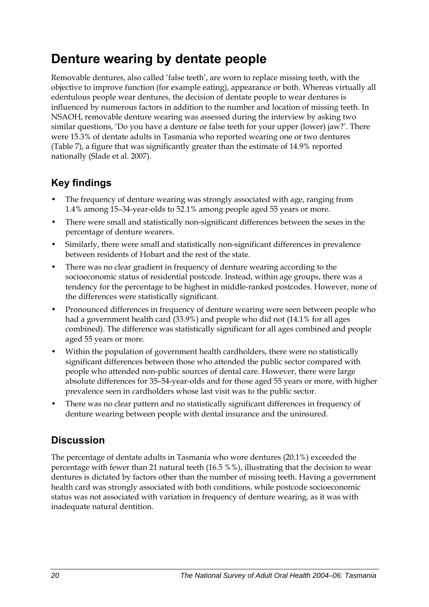# <span id="page-27-0"></span>**Denture wearing by dentate people**

Removable dentures, also called 'false teeth', are worn to replace missing teeth, with the objective to improve function (for example eating), appearance or both. Whereas virtually all edentulous people wear dentures, the decision of dentate people to wear dentures is influenced by numerous factors in addition to the number and location of missing teeth. In NSAOH, removable denture wearing was assessed during the interview by asking two similar questions, 'Do you have a denture or false teeth for your upper (lower) jaw?'. There were 15.3% of dentate adults in Tasmania who reported wearing one or two dentures ([Table 7\)](#page-28-0), a figure that was significantly greater than the estimate of 14.9% reported nationally (Slade et al. 2007).

## **Key findings**

- The frequency of denture wearing was strongly associated with age, ranging from 1.4% among 15–34-year-olds to 52.1% among people aged 55 years or more.
- There were small and statistically non-significant differences between the sexes in the percentage of denture wearers.
- Similarly, there were small and statistically non-significant differences in prevalence between residents of Hobart and the rest of the state.
- There was no clear gradient in frequency of denture wearing according to the socioeconomic status of residential postcode. Instead, within age groups, there was a tendency for the percentage to be highest in middle-ranked postcodes. However, none of the differences were statistically significant.
- Pronounced differences in frequency of denture wearing were seen between people who had a government health card (33.9%) and people who did not (14.1% for all ages combined). The difference was statistically significant for all ages combined and people aged 55 years or more.
- Within the population of government health cardholders, there were no statistically significant differences between those who attended the public sector compared with people who attended non-public sources of dental care. However, there were large absolute differences for 35–54-year-olds and for those aged 55 years or more, with higher prevalence seen in cardholders whose last visit was to the public sector.
- There was no clear pattern and no statistically significant differences in frequency of denture wearing between people with dental insurance and the uninsured.

## **Discussion**

The percentage of dentate adults in Tasmania who wore dentures (20.1%) exceeded the percentage with fewer than 21 natural teeth (16.5 %%), illustrating that the decision to wear dentures is dictated by factors other than the number of missing teeth. Having a government health card was strongly associated with both conditions, while postcode socioeconomic status was not associated with variation in frequency of denture wearing, as it was with inadequate natural dentition.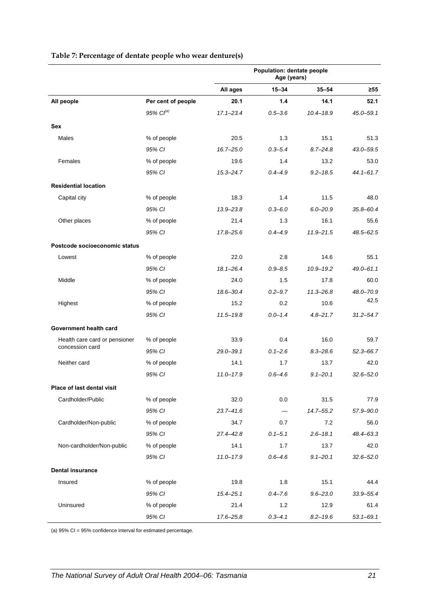### **Age (years) All ages 15–34 35–54 ≥55 All people Per cent of people 20.1 1.4 14.1 52.1** *95% CI(a) 17.1–23.4 0.5–3.6 10.4–18.9 45.0–59.1* **Sex**  Males % of people 20.5 1.3 15.1 51.3 *95% CI 16.7–25.0 0.3–5.4 8.7–24.8 43.0–59.5* Females 63.0 1.4 13.2 53.0 1.4 13.2 53.0 *95% CI 15.3–24.7 0.4–4.9 9.2–18.5 44.1–61.7* **Residential location**  Capital city 11.5 18.0 11.5 18.0 18.3 1.4 11.5 11.5 18.0 *95% CI 13.9–23.8 0.3–6.0 6.0–20.9 35.8–60.4* Other places 25.6 16.1 1.3 16.1 55.6 21.4 1.3 16.1 55.6 *95% CI 17.8–25.6 0.4–4.9 11.9–21.5 48.5–62.5* **Postcode socioeconomic status**  Lowest % of people 22.0 2.8 14.6 55.1 *95% CI 18.1–26.4 0.9–8.5 10.9–19.2 49.0–61.1* Middle % of people 24.0 1.5 17.8 60.0 *95% CI 18.6–30.4 0.2–9.7 11.3–26.8 48.0–70.9* Highest % of people 15.2 0.2 10.6 42.5 *95% CI 11.5–19.8 0.0–1.4 4.8–21.7 31.2–54.7* **Government health card**  Health care card or pensioner % of people 33.9 0.4 16.0 59.7 concession card *95% CI 29.0–39.1 0.1–2.6 8.3–28.6 52.3–66.7* Neither card % of people 14.1 1.7 13.7 42.0 *95% CI 11.0–17.9 0.6–4.6 9.1–20.1 32.6–52.0* **Place of last dental visit**  Cardholder/Public % of people 32.0 0.0 31.5 77.9 *95% CI 23.7–41.6 — 14.7–55.2 57.9–90.0*

Cardholder/Non-public % of people 34.7 0.7 7.2 56.0

Non-cardholder/Non-public % of people 14.1 1.7 13.7 42.0

Insured % of people 19.8 1.8 15.1 44.4

Uninsured 30 % of people 21.4 1.2 12.9 61.4

*95% CI 27.4–42.8 0.1–5.1 2.6–18.1 48.4–63.3*

*95% CI 11.0–17.9 0.6–4.6 9.1–20.1 32.6–52.0*

*95% CI 15.4–25.1 0.4–7.6 9.6–23.0 33.9–55.4*

*95% CI 17.6–25.8 0.3–4.1 8.2–19.6 53.1–69.1*

**Population: dentate people** 

#### <span id="page-28-0"></span>**Table 7: Percentage of dentate people who wear denture(s)**

(a) 95% CI = 95% confidence interval for estimated percentage.

**Dental insurance**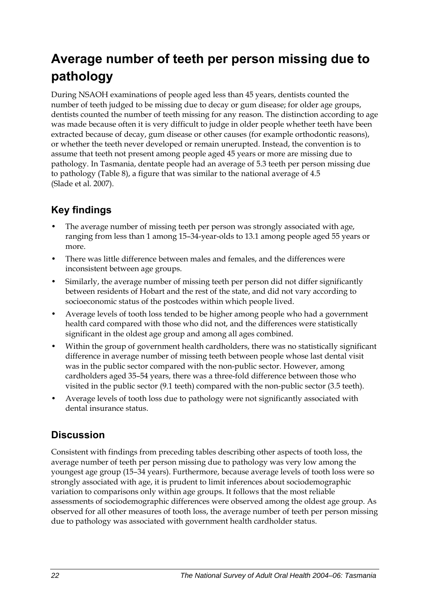# <span id="page-29-0"></span>**Average number of teeth per person missing due to pathology**

During NSAOH examinations of people aged less than 45 years, dentists counted the number of teeth judged to be missing due to decay or gum disease; for older age groups, dentists counted the number of teeth missing for any reason. The distinction according to age was made because often it is very difficult to judge in older people whether teeth have been extracted because of decay, gum disease or other causes (for example orthodontic reasons), or whether the teeth never developed or remain unerupted. Instead, the convention is to assume that teeth not present among people aged 45 years or more are missing due to pathology. In Tasmania, dentate people had an average of 5.3 teeth per person missing due to pathology [\(Table 8](#page-30-0)), a figure that was similar to the national average of 4.5 (Slade et al. 2007).

## **Key findings**

- The average number of missing teeth per person was strongly associated with age, ranging from less than 1 among 15–34-year-olds to 13.1 among people aged 55 years or more.
- There was little difference between males and females, and the differences were inconsistent between age groups.
- Similarly, the average number of missing teeth per person did not differ significantly between residents of Hobart and the rest of the state, and did not vary according to socioeconomic status of the postcodes within which people lived.
- Average levels of tooth loss tended to be higher among people who had a government health card compared with those who did not, and the differences were statistically significant in the oldest age group and among all ages combined.
- Within the group of government health cardholders, there was no statistically significant difference in average number of missing teeth between people whose last dental visit was in the public sector compared with the non-public sector. However, among cardholders aged 35–54 years, there was a three-fold difference between those who visited in the public sector (9.1 teeth) compared with the non-public sector (3.5 teeth).
- Average levels of tooth loss due to pathology were not significantly associated with dental insurance status.

## **Discussion**

Consistent with findings from preceding tables describing other aspects of tooth loss, the average number of teeth per person missing due to pathology was very low among the youngest age group (15–34 years). Furthermore, because average levels of tooth loss were so strongly associated with age, it is prudent to limit inferences about sociodemographic variation to comparisons only within age groups. It follows that the most reliable assessments of sociodemographic differences were observed among the oldest age group. As observed for all other measures of tooth loss, the average number of teeth per person missing due to pathology was associated with government health cardholder status.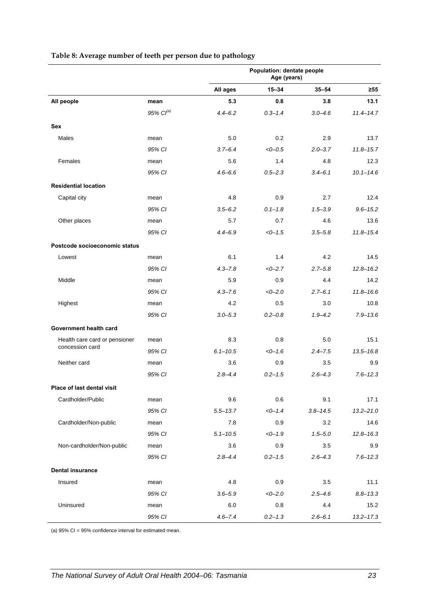|  |  |  | Table 8: Average number of teeth per person due to pathology |
|--|--|--|--------------------------------------------------------------|
|  |  |  |                                                              |

<span id="page-30-0"></span>

|                               |                | Population: dentate people<br>Age (years) |             |              |               |  |
|-------------------------------|----------------|-------------------------------------------|-------------|--------------|---------------|--|
|                               |                | All ages                                  | $15 - 34$   | $35 - 54$    | $\geq 55$     |  |
| All people                    | mean           | 5.3                                       | 0.8         | 3.8          | 13.1          |  |
|                               | 95% $Cl^{(a)}$ | $4.4 - 6.2$                               | $0.3 - 1.4$ | $3.0 - 4.6$  | $11.4 - 14.7$ |  |
| <b>Sex</b>                    |                |                                           |             |              |               |  |
| Males                         | mean           | 5.0                                       | 0.2         | 2.9          | 13.7          |  |
|                               | 95% CI         | $3.7 - 6.4$                               | $<-0.5$     | $2.0 - 3.7$  | $11.8 - 15.7$ |  |
| Females                       | mean           | 5.6                                       | 1.4         | 4.8          | 12.3          |  |
|                               | 95% CI         | $4.6 - 6.6$                               | $0.5 - 2.3$ | $3.4 - 6.1$  | $10.1 - 14.6$ |  |
| <b>Residential location</b>   |                |                                           |             |              |               |  |
| Capital city                  | mean           | 4.8                                       | 0.9         | 2.7          | 12.4          |  |
|                               | 95% CI         | $3.5 - 6.2$                               | $0.1 - 1.8$ | $1.5 - 3.9$  | $9.6 - 15.2$  |  |
| Other places                  | mean           | 5.7                                       | 0.7         | 4.6          | 13.6          |  |
|                               | 95% CI         | $4.4 - 6.9$                               | $<0-1.5$    | $3.5 - 5.8$  | $11.8 - 15.4$ |  |
| Postcode socioeconomic status |                |                                           |             |              |               |  |
| Lowest                        | mean           | 6.1                                       | 1.4         | 4.2          | 14.5          |  |
|                               | 95% CI         | $4.3 - 7.8$                               | $<0-2.7$    | $2.7 - 5.8$  | $12.8 - 16.2$ |  |
| Middle                        | mean           | 5.9                                       | 0.9         | 4.4          | 14.2          |  |
|                               | 95% CI         | $4.3 - 7.6$                               | $<0-2.0$    | $2.7 - 6.1$  | $11.8 - 16.6$ |  |
| Highest                       | mean           | 4.2                                       | 0.5         | 3.0          | 10.8          |  |
|                               | 95% CI         | $3.0 - 5.3$                               | $0.2 - 0.8$ | $1.9 - 4.2$  | $7.9 - 13.6$  |  |
| Government health card        |                |                                           |             |              |               |  |
| Health care card or pensioner | mean           | 8.3                                       | 0.8         | 5.0          | 15.1          |  |
| concession card               | 95% CI         | $6.1 - 10.5$                              | $<0-1.6$    | $2.4 - 7.5$  | $13.5 - 16.8$ |  |
| Neither card                  | mean           | 3.6                                       | 0.9         | 3.5          | 9.9           |  |
|                               | 95% CI         | $2.8 - 4.4$                               | $0.2 - 1.5$ | $2.6 - 4.3$  | $7.6 - 12.3$  |  |
| Place of last dental visit    |                |                                           |             |              |               |  |
| Cardholder/Public             | mean           | 9.6                                       | 0.6         | 9.1          | 17.1          |  |
|                               | 95% CI         | $5.5 - 13.7$                              | $<0-1.4$    | $3.8 - 14.5$ | $13.2 - 21.0$ |  |
| Cardholder/Non-public         | mean           | 7.8                                       | 0.9         | 3.2          | 14.6          |  |
|                               | 95% CI         | $5.1 - 10.5$                              | $<-1.9$     | $1.5 - 5.0$  | $12.8 - 16.3$ |  |
| Non-cardholder/Non-public     | mean           | 3.6                                       | 0.9         | 3.5          | 9.9           |  |
|                               | 95% CI         | $2.8 - 4.4$                               | $0.2 - 1.5$ | $2.6 - 4.3$  | $7.6 - 12.3$  |  |
| <b>Dental insurance</b>       |                |                                           |             |              |               |  |
| Insured                       | mean           | 4.8                                       | 0.9         | 3.5          | 11.1          |  |
|                               | 95% CI         | $3.6 - 5.9$                               | $<0-2.0$    | $2.5 - 4.6$  | $8.8 - 13.3$  |  |
| Uninsured                     | mean           | 6.0                                       | 0.8         | 4.4          | 15.2          |  |
|                               | 95% CI         | $4.6 - 7.4$                               | $0.2 - 1.3$ | $2.6 - 6.1$  | $13.2 - 17.3$ |  |

(a) 95% CI = 95% confidence interval for estimated mean.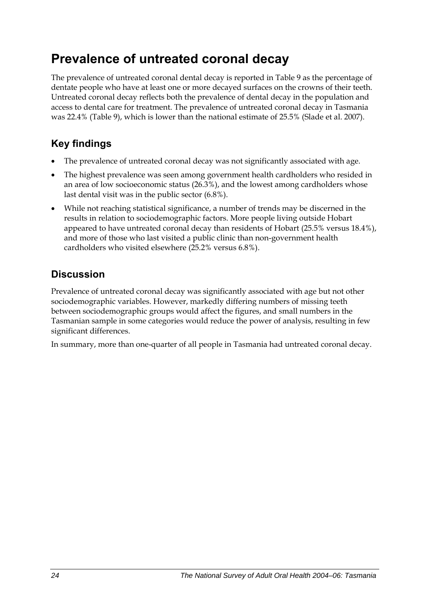# <span id="page-31-0"></span>**Prevalence of untreated coronal decay**

The prevalence of untreated coronal dental decay is reported in Table 9 as the percentage of dentate people who have at least one or more decayed surfaces on the crowns of their teeth. Untreated coronal decay reflects both the prevalence of dental decay in the population and access to dental care for treatment. The prevalence of untreated coronal decay in Tasmania was 22.4% ([Table 9\)](#page-32-0), which is lower than the national estimate of 25.5% (Slade et al. 2007).

## **Key findings**

- The prevalence of untreated coronal decay was not significantly associated with age.
- The highest prevalence was seen among government health cardholders who resided in an area of low socioeconomic status (26.3%), and the lowest among cardholders whose last dental visit was in the public sector (6.8%).
- While not reaching statistical significance, a number of trends may be discerned in the results in relation to sociodemographic factors. More people living outside Hobart appeared to have untreated coronal decay than residents of Hobart (25.5% versus 18.4%), and more of those who last visited a public clinic than non-government health cardholders who visited elsewhere (25.2% versus 6.8%).

## **Discussion**

Prevalence of untreated coronal decay was significantly associated with age but not other sociodemographic variables. However, markedly differing numbers of missing teeth between sociodemographic groups would affect the figures, and small numbers in the Tasmanian sample in some categories would reduce the power of analysis, resulting in few significant differences.

In summary, more than one-quarter of all people in Tasmania had untreated coronal decay.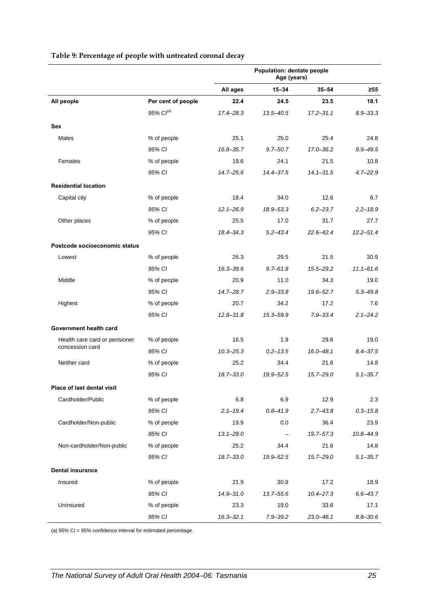<span id="page-32-0"></span>

|                               |                       | Population: dentate people<br>Age (years) |              |               |               |
|-------------------------------|-----------------------|-------------------------------------------|--------------|---------------|---------------|
|                               |                       | All ages                                  | $15 - 34$    | $35 - 54$     | ≥55           |
| All people                    | Per cent of people    | 22.4                                      | 24.5         | 23.5          | 18.1          |
|                               | 95% Cl <sup>(a)</sup> | 17.4-28.3                                 | 13.5-40.5    | $17.2 - 31.1$ | $8.9 - 33.3$  |
| <b>Sex</b>                    |                       |                                           |              |               |               |
| Males                         | % of people           | 25.1                                      | 25.0         | 25.4          | 24.8          |
|                               | 95% CI                | $16.8 - 35.7$                             | $9.7 - 50.7$ | 17.0-36.2     | $9.9 - 49.5$  |
| Females                       | % of people           | 19.6                                      | 24.1         | 21.5          | 10.8          |
|                               | 95% CI                | 14.7-25.6                                 | 14.4 - 37.5  | $14.1 - 31.5$ | $4.7 - 22.9$  |
| <b>Residential location</b>   |                       |                                           |              |               |               |
| Capital city                  | % of people           | 18.4                                      | 34.0         | 12.6          | 6.7           |
|                               | 95% CI                | $12.1 - 26.9$                             | 18.9-53.3    | $6.2 - 23.7$  | $2.2 - 18.9$  |
| Other places                  | % of people           | 25.5                                      | 17.0         | 31.7          | 27.7          |
|                               | 95% CI                | 18.4 - 34.3                               | $5.2 - 43.4$ | $22.6 - 42.4$ | $12.2 - 51.4$ |
| Postcode socioeconomic status |                       |                                           |              |               |               |
| Lowest                        | % of people           | 26.3                                      | 29.5         | 21.5          | 30.9          |
|                               | 95% CI                | $16.3 - 39.6$                             | $9.7 - 61.8$ | $15.5 - 29.2$ | $11.1 - 61.6$ |
| Middle                        | % of people           | 20.9                                      | 11.0         | 34.3          | 19.0          |
|                               | 95% CI                | 14.7-28.7                                 | $2.9 - 33.8$ | 19.6-52.7     | $5.3 - 49.8$  |
| Highest                       | % of people           | 20.7                                      | 34.2         | 17.2          | 7.6           |
|                               | 95% CI                | $12.8 - 31.8$                             | 15.3-59.9    | $7.9 - 33.4$  | $2.1 - 24.2$  |
| Government health card        |                       |                                           |              |               |               |
| Health care card or pensioner | % of people           | 16.5                                      | 1.9          | 29.6          | 19.0          |
| concession card               | 95% CI                | $10.3 - 25.3$                             | $0.2 - 13.5$ | $16.0 - 48.1$ | $8.4 - 37.5$  |
| Neither card                  | % of people           | 25.2                                      | 34.4         | 21.6          | 14.8          |
|                               | 95% CI                | 18.7-33.0                                 | 19.9 - 52.5  | $15.7 - 29.0$ | $5.1 - 35.7$  |
| Place of last dental visit    |                       |                                           |              |               |               |
| Cardholder/Public             | % of people           | 6.8                                       | 6.9          | 12.9          | 2.3           |
|                               | 95% CI                | $2.1 - 19.4$                              | $0.8 - 41.9$ | $2.7 - 43.8$  | $0.3 - 15.8$  |
| Cardholder/Non-public         | % of people           | 19.9                                      | 0.0          | 36.4          | 23.9          |
|                               | 95% CI                | $13.1 - 29.0$                             |              | $19.7 - 57.3$ | $10.8 - 44.9$ |
| Non-cardholder/Non-public     | % of people           | 25.2                                      | 34.4         | 21.6          | 14.8          |
|                               | 95% CI                | 18.7-33.0                                 | 19.9-52.5    | $15.7 - 29.0$ | $5.1 - 35.7$  |
| <b>Dental insurance</b>       |                       |                                           |              |               |               |
| Insured                       | % of people           | 21.9                                      | 30.8         | 17.2          | 18.9          |
|                               | 95% CI                | 14.9-31.0                                 | 13.7-55.6    | $10.4 - 27.3$ | $6.6 - 43.7$  |
| Uninsured                     | % of people           | 23.3                                      | 19.0         | 33.6          | 17.1          |
|                               | 95% CI                | $16.3 - 32.1$                             | $7.9 - 39.2$ | $23.0 - 46.1$ | $8.8 - 30.6$  |

#### **Table 9: Percentage of people with untreated coronal decay**

(a) 95% CI = 95% confidence interval for estimated percentage.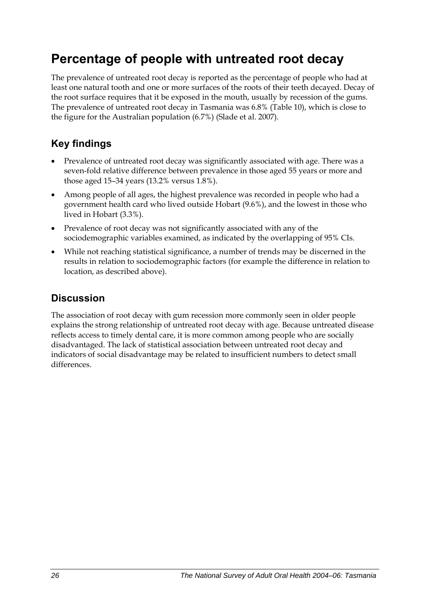# <span id="page-33-0"></span>**Percentage of people with untreated root decay**

The prevalence of untreated root decay is reported as the percentage of people who had at least one natural tooth and one or more surfaces of the roots of their teeth decayed. Decay of the root surface requires that it be exposed in the mouth, usually by recession of the gums. The prevalence of untreated root decay in Tasmania was 6.8% [\(Table 10\)](#page-34-0), which is close to the figure for the Australian population (6.7%) (Slade et al. 2007).

## **Key findings**

- Prevalence of untreated root decay was significantly associated with age. There was a seven-fold relative difference between prevalence in those aged 55 years or more and those aged 15–34 years (13.2% versus 1.8%).
- Among people of all ages, the highest prevalence was recorded in people who had a government health card who lived outside Hobart (9.6%), and the lowest in those who lived in Hobart (3.3%).
- Prevalence of root decay was not significantly associated with any of the sociodemographic variables examined, as indicated by the overlapping of 95% CIs.
- While not reaching statistical significance, a number of trends may be discerned in the results in relation to sociodemographic factors (for example the difference in relation to location, as described above).

### **Discussion**

The association of root decay with gum recession more commonly seen in older people explains the strong relationship of untreated root decay with age. Because untreated disease reflects access to timely dental care, it is more common among people who are socially disadvantaged. The lack of statistical association between untreated root decay and indicators of social disadvantage may be related to insufficient numbers to detect small differences.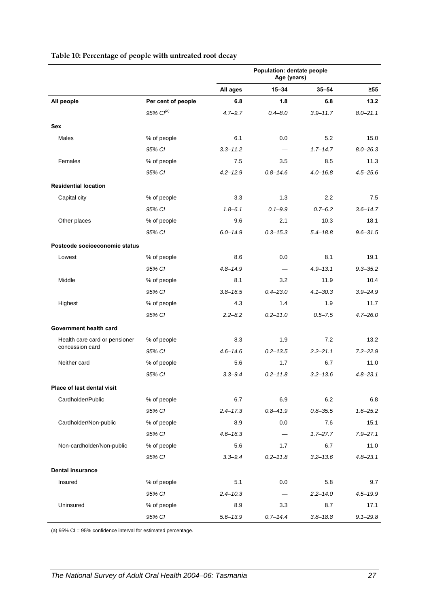### **All ages 15–34 35–54 ≥55 All people Per cent of people 6.8 1.8 6.8 13.2** *95% CI(a) 4.7–9.7 0.4–8.0 3.9–11.7 8.0–21.1* **Sex**  Males % of people 6.1 0.0 5.2 15.0 *95% CI 3.3–11.2 — 1.7–14.7 8.0–26.3* Females % of people 7.5 3.5 8.5 11.3 *95% CI 4.2–12.9 0.8–14.6 4.0–16.8 4.5–25.6* **Residential location**   $\textsf{Capital city} \quad \textcolor{red}{\textbf{1.3}} \quad \textcolor{red}{\textbf{2.2}} \quad \textcolor{red}{\textbf{7.5}}$ *95% CI 1.8–6.1 0.1–9.9 0.7–6.2 3.6–14.7* Other places % of people 9.6 2.1 10.3 18.1 *95% CI 6.0–14.9 0.3–15.3 5.4–18.8 9.6–31.5* **Postcode socioeconomic status**  Lowest % of people 8.6 0.0 8.1 19.1 *95% CI 4.8–14.9 — 4.9–13.1 9.3–35.2* Middle % of people 8.1 3.2 11.9 10.4 *95% CI 3.8–16.5 0.4–23.0 4.1–30.3 3.9–24.9* Highest % of people 4.3 1.4 1.9 11.7 *95% CI 2.2–8.2 0.2–11.0 0.5–7.5 4.7–26.0* **Government health card**  Health care card or pensioner % of people 8.3 1.9 13.2 13.2 concession card *95% CI 4.6–14.6 0.2–13.5 2.2–21.1 7.2–22.9* Neither card % of people 5.6 1.7 6.7 11.0 *95% CI 3.3–9.4 0.2–11.8 3.2–13.6 4.8–23.1* **Place of last dental visit**  Cardholder/Public % of people 6.7 6.9 6.2 6.8 *95% CI 2.4–17.3 0.8–41.9 0.8–35.5 1.6–25.2* Cardholder/Non-public % of people 8.9 0.0 7.6 15.1 *95% CI 4.6–16.3 — 1.7–27.7 7.9–27.1* Non-cardholder/Non-public % of people 5.6 1.7 6.7 11.0 *95% CI 3.3–9.4 0.2–11.8 3.2–13.6 4.8–23.1* **Dental insurance**  Insured % of people 5.1 0.0 5.8 9.7

*95% CI 2.4–10.3 — 2.2–14.0 4.5–19.9*

*95% CI 5.6–13.9 0.7–14.4 3.8–18.8 9.1–29.8*

Uninsured 3.3 8.7 17.1 3.9 3.3 8.7 17.1

**Population: dentate people Age (years)** 

#### <span id="page-34-0"></span>**Table 10: Percentage of people with untreated root decay**

(a) 95% CI = 95% confidence interval for estimated percentage.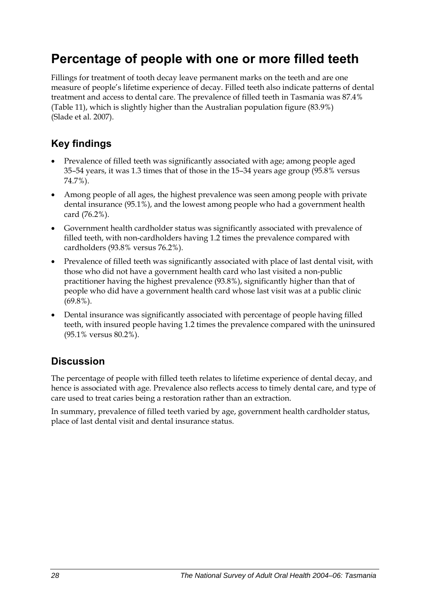## <span id="page-35-0"></span>**Percentage of people with one or more filled teeth**

Fillings for treatment of tooth decay leave permanent marks on the teeth and are one measure of people's lifetime experience of decay. Filled teeth also indicate patterns of dental treatment and access to dental care. The prevalence of filled teeth in Tasmania was 87.4% ([Table 11](#page-36-0)), which is slightly higher than the Australian population figure (83.9%) (Slade et al. 2007).

## **Key findings**

- Prevalence of filled teeth was significantly associated with age; among people aged 35–54 years, it was 1.3 times that of those in the 15–34 years age group (95.8% versus 74.7%).
- Among people of all ages, the highest prevalence was seen among people with private dental insurance (95.1%), and the lowest among people who had a government health card (76.2%).
- Government health cardholder status was significantly associated with prevalence of filled teeth, with non-cardholders having 1.2 times the prevalence compared with cardholders (93.8% versus 76.2%).
- Prevalence of filled teeth was significantly associated with place of last dental visit, with those who did not have a government health card who last visited a non-public practitioner having the highest prevalence (93.8%), significantly higher than that of people who did have a government health card whose last visit was at a public clinic (69.8%).
- Dental insurance was significantly associated with percentage of people having filled teeth, with insured people having 1.2 times the prevalence compared with the uninsured (95.1% versus 80.2%).

### **Discussion**

The percentage of people with filled teeth relates to lifetime experience of dental decay, and hence is associated with age. Prevalence also reflects access to timely dental care, and type of care used to treat caries being a restoration rather than an extraction.

In summary, prevalence of filled teeth varied by age, government health cardholder status, place of last dental visit and dental insurance status.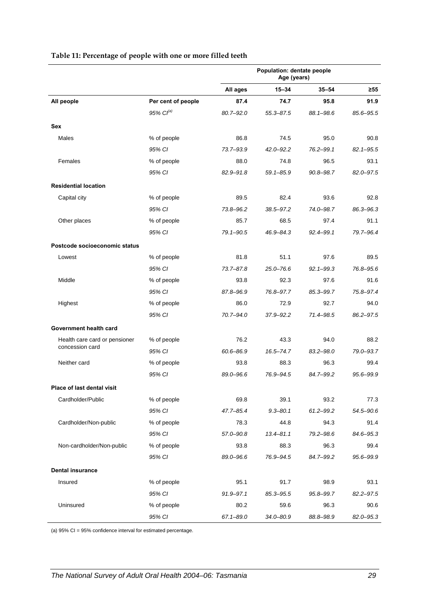|                               |                       | <b>Population: dentate people</b><br>Age (years) |               |               |               |
|-------------------------------|-----------------------|--------------------------------------------------|---------------|---------------|---------------|
|                               |                       | All ages                                         | 15-34         | $35 - 54$     | ≥55           |
| All people                    | Per cent of people    | 87.4                                             | 74.7          | 95.8          | 91.9          |
|                               | 95% Cl <sup>(a)</sup> | $80.7 - 92.0$                                    | $55.3 - 87.5$ | 88.1-98.6     | 85.6-95.5     |
| <b>Sex</b>                    |                       |                                                  |               |               |               |
| <b>Males</b>                  | % of people           | 86.8                                             | 74.5          | 95.0          | 90.8          |
|                               | 95% CI                | 73.7-93.9                                        | $42.0 - 92.2$ | $76.2 - 99.1$ | $82.1 - 95.5$ |
| Females                       | % of people           | 88.0                                             | 74.8          | 96.5          | 93.1          |
|                               | 95% CI                | $82.9 - 91.8$                                    | $59.1 - 85.9$ | $90.8 - 98.7$ | 82.0-97.5     |
| <b>Residential location</b>   |                       |                                                  |               |               |               |
| Capital city                  | % of people           | 89.5                                             | 82.4          | 93.6          | 92.8          |
|                               | 95% CI                | 73.8-96.2                                        | 38.5-97.2     | 74.0-98.7     | 86.3-96.3     |
| Other places                  | % of people           | 85.7                                             | 68.5          | 97.4          | 91.1          |
|                               | 95% CI                | 79.1-90.5                                        | 46.9-84.3     | $92.4 - 99.1$ | 79.7-96.4     |
| Postcode socioeconomic status |                       |                                                  |               |               |               |
| Lowest                        | % of people           | 81.8                                             | 51.1          | 97.6          | 89.5          |
|                               | 95% CI                | $73.7 - 87.8$                                    | 25.0-76.6     | $92.1 - 99.3$ | 76.8-95.6     |
| Middle                        | % of people           | 93.8                                             | 92.3          | 97.6          | 91.6          |
|                               | 95% CI                | 87.8-96.9                                        | 76.8-97.7     | 85.3-99.7     | 75.8-97.4     |
| Highest                       | % of people           | 86.0                                             | 72.9          | 92.7          | 94.0          |
|                               | 95% CI                | 70.7-94.0                                        | $37.9 - 92.2$ | 71.4-98.5     | 86.2-97.5     |
| Government health card        |                       |                                                  |               |               |               |
| Health care card or pensioner | % of people           | 76.2                                             | 43.3          | 94.0          | 88.2          |
| concession card               | 95% CI                | 60.6-86.9                                        | 16.5-74.7     | $83.2 - 98.0$ | 79.0-93.7     |
| Neither card                  | % of people           | 93.8                                             | 88.3          | 96.3          | 99.4          |
|                               | 95% CI                | 89.0-96.6                                        | 76.9-94.5     | 84.7-99.2     | 95.6-99.9     |
| Place of last dental visit    |                       |                                                  |               |               |               |
| Cardholder/Public             | % of people           | 69.8                                             | 39.1          | 93.2          | 77.3          |
|                               | 95% CI                | 47.7-85.4                                        | $9.3 - 80.1$  | $61.2 - 99.2$ | 54.5-90.6     |
| Cardholder/Non-public         | % of people           | 78.3                                             | 44.8          | 94.3          | 91.4          |
|                               | 95% CI                | 57.0-90.8                                        | $13.4 - 81.1$ | 79.2-98.6     | 84.6-95.3     |
| Non-cardholder/Non-public     | % of people           | 93.8                                             | 88.3          | 96.3          | 99.4          |
|                               | 95% CI                | 89.0-96.6                                        | 76.9-94.5     | 84.7-99.2     | 95.6-99.9     |
| <b>Dental insurance</b>       |                       |                                                  |               |               |               |
| Insured                       | % of people           | 95.1                                             | 91.7          | 98.9          | 93.1          |
|                               | 95% CI                | 91.9-97.1                                        | 85.3-95.5     | 95.8-99.7     | $82.2 - 97.5$ |
| Uninsured                     | % of people           | 80.2                                             | 59.6          | 96.3          | 90.6          |
|                               | 95% CI                | $67.1 - 89.0$                                    | 34.0-80.9     | 88.8-98.9     | 82.0-95.3     |

#### **Table 11: Percentage of people with one or more filled teeth**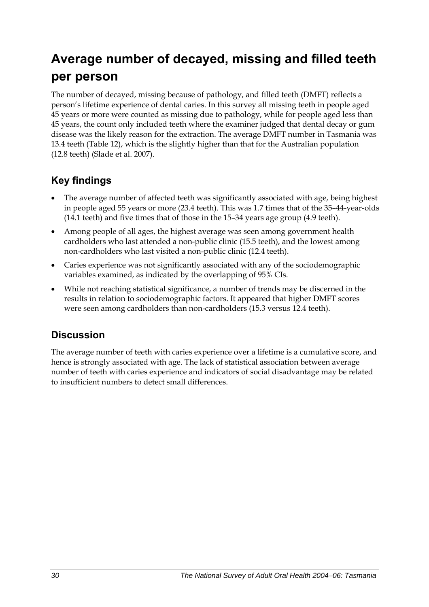## **Average number of decayed, missing and filled teeth per person**

The number of decayed, missing because of pathology, and filled teeth (DMFT) reflects a person's lifetime experience of dental caries. In this survey all missing teeth in people aged 45 years or more were counted as missing due to pathology, while for people aged less than 45 years, the count only included teeth where the examiner judged that dental decay or gum disease was the likely reason for the extraction. The average DMFT number in Tasmania was 13.4 teeth [\(Table 12\)](#page-38-0), which is the slightly higher than that for the Australian population (12.8 teeth) (Slade et al. 2007).

### **Key findings**

- The average number of affected teeth was significantly associated with age, being highest in people aged 55 years or more (23.4 teeth). This was 1.7 times that of the 35–44-year-olds (14.1 teeth) and five times that of those in the 15–34 years age group (4.9 teeth).
- Among people of all ages, the highest average was seen among government health cardholders who last attended a non-public clinic (15.5 teeth), and the lowest among non-cardholders who last visited a non-public clinic (12.4 teeth).
- Caries experience was not significantly associated with any of the sociodemographic variables examined, as indicated by the overlapping of 95% CIs.
- While not reaching statistical significance, a number of trends may be discerned in the results in relation to sociodemographic factors. It appeared that higher DMFT scores were seen among cardholders than non-cardholders (15.3 versus 12.4 teeth).

### **Discussion**

The average number of teeth with caries experience over a lifetime is a cumulative score, and hence is strongly associated with age. The lack of statistical association between average number of teeth with caries experience and indicators of social disadvantage may be related to insufficient numbers to detect small differences.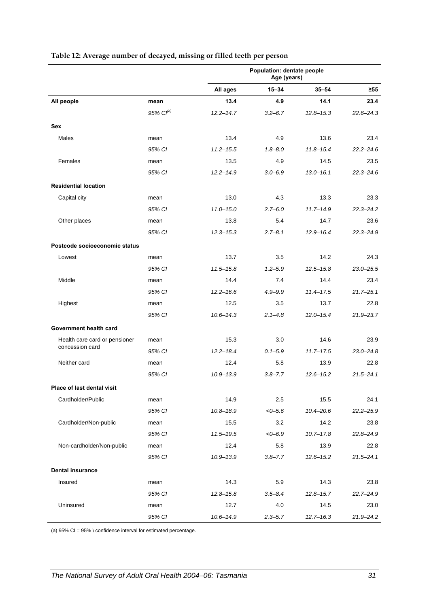|                               |                | Population: dentate people<br>Age (years) |             |               |               |
|-------------------------------|----------------|-------------------------------------------|-------------|---------------|---------------|
|                               |                | All ages                                  | $15 - 34$   | $35 - 54$     | $\geq 55$     |
| All people                    | mean           | 13.4                                      | 4.9         | 14.1          | 23.4          |
|                               | 95% $Cl^{(a)}$ | $12.2 - 14.7$                             | $3.2 - 6.7$ | $12.8 - 15.3$ | $22.6 - 24.3$ |
| Sex                           |                |                                           |             |               |               |
| Males                         | mean           | 13.4                                      | 4.9         | 13.6          | 23.4          |
|                               | 95% CI         | $11.2 - 15.5$                             | $1.8 - 8.0$ | $11.8 - 15.4$ | $22.2 - 24.6$ |
| Females                       | mean           | 13.5                                      | 4.9         | 14.5          | 23.5          |
|                               | 95% CI         | $12.2 - 14.9$                             | $3.0 - 6.9$ | $13.0 - 16.1$ | $22.3 - 24.6$ |
| <b>Residential location</b>   |                |                                           |             |               |               |
| Capital city                  | mean           | 13.0                                      | 4.3         | 13.3          | 23.3          |
|                               | 95% CI         | $11.0 - 15.0$                             | $2.7 - 6.0$ | $11.7 - 14.9$ | $22.3 - 24.2$ |
| Other places                  | mean           | 13.8                                      | 5.4         | 14.7          | 23.6          |
|                               | 95% CI         | $12.3 - 15.3$                             | $2.7 - 8.1$ | $12.9 - 16.4$ | $22.3 - 24.9$ |
| Postcode socioeconomic status |                |                                           |             |               |               |
| Lowest                        | mean           | 13.7                                      | 3.5         | 14.2          | 24.3          |
|                               | 95% CI         | $11.5 - 15.8$                             | $1.2 - 5.9$ | $12.5 - 15.8$ | $23.0 - 25.5$ |
| Middle                        | mean           | 14.4                                      | 7.4         | 14.4          | 23.4          |
|                               | 95% CI         | $12.2 - 16.6$                             | $4.9 - 9.9$ | $11.4 - 17.5$ | $21.7 - 25.1$ |
| Highest                       | mean           | 12.5                                      | 3.5         | 13.7          | 22.8          |
|                               | 95% CI         | $10.6 - 14.3$                             | $2.1 - 4.8$ | $12.0 - 15.4$ | 21.9-23.7     |
| Government health card        |                |                                           |             |               |               |
| Health care card or pensioner | mean           | 15.3                                      | 3.0         | 14.6          | 23.9          |
| concession card               | 95% CI         | $12.2 - 18.4$                             | $0.1 - 5.9$ | $11.7 - 17.5$ | $23.0 - 24.8$ |
| Neither card                  | mean           | 12.4                                      | 5.8         | 13.9          | 22.8          |
|                               | 95% CI         | $10.9 - 13.9$                             | $3.8 - 7.7$ | $12.6 - 15.2$ | $21.5 - 24.1$ |
| Place of last dental visit    |                |                                           |             |               |               |
| Cardholder/Public             | mean           | 14.9                                      | 2.5         | 15.5          | 24.1          |
|                               | 95% CI         | $10.8 - 18.9$                             | $<0-5.6$    | $10.4 - 20.6$ | $22.2 - 25.9$ |
| Cardholder/Non-public         | mean           | 15.5                                      | 3.2         | 14.2          | 23.8          |
|                               | 95% CI         | $11.5 - 19.5$                             | $<0-6.9$    | $10.7 - 17.8$ | $22.8 - 24.9$ |
| Non-cardholder/Non-public     | mean           | 12.4                                      | 5.8         | 13.9          | 22.8          |
|                               | 95% CI         | $10.9 - 13.9$                             | $3.8 - 7.7$ | $12.6 - 15.2$ | $21.5 - 24.1$ |
| <b>Dental insurance</b>       |                |                                           |             |               |               |
| Insured                       | mean           | 14.3                                      | 5.9         | 14.3          | 23.8          |
|                               | 95% CI         | $12.8 - 15.8$                             | $3.5 - 8.4$ | $12.8 - 15.7$ | $22.7 - 24.9$ |
| Uninsured                     | mean           | 12.7                                      | 4.0         | 14.5          | 23.0          |
|                               | 95% CI         | $10.6 - 14.9$                             | $2.3 - 5.7$ | $12.7 - 16.3$ | 21.9-24.2     |

#### <span id="page-38-0"></span>**Table 12: Average number of decayed, missing or filled teeth per person**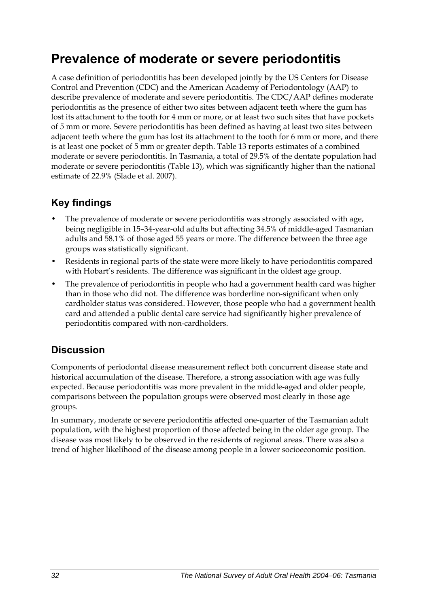## **Prevalence of moderate or severe periodontitis**

A case definition of periodontitis has been developed jointly by the US Centers for Disease Control and Prevention (CDC) and the American Academy of Periodontology (AAP) to describe prevalence of moderate and severe periodontitis. The CDC/AAP defines moderate periodontitis as the presence of either two sites between adjacent teeth where the gum has lost its attachment to the tooth for 4 mm or more, or at least two such sites that have pockets of 5 mm or more. Severe periodontitis has been defined as having at least two sites between adjacent teeth where the gum has lost its attachment to the tooth for 6 mm or more, and there is at least one pocket of 5 mm or greater depth. Table 13 reports estimates of a combined moderate or severe periodontitis. In Tasmania, a total of 29.5% of the dentate population had moderate or severe periodontitis [\(Table 13\)](#page-40-0), which was significantly higher than the national estimate of 22.9% (Slade et al. 2007).

### **Key findings**

- The prevalence of moderate or severe periodontitis was strongly associated with age, being negligible in 15–34-year-old adults but affecting 34.5% of middle-aged Tasmanian adults and 58.1% of those aged 55 years or more. The difference between the three age groups was statistically significant.
- Residents in regional parts of the state were more likely to have periodontitis compared with Hobart's residents. The difference was significant in the oldest age group.
- The prevalence of periodontitis in people who had a government health card was higher than in those who did not. The difference was borderline non-significant when only cardholder status was considered. However, those people who had a government health card and attended a public dental care service had significantly higher prevalence of periodontitis compared with non-cardholders.

### **Discussion**

Components of periodontal disease measurement reflect both concurrent disease state and historical accumulation of the disease. Therefore, a strong association with age was fully expected. Because periodontitis was more prevalent in the middle-aged and older people, comparisons between the population groups were observed most clearly in those age groups.

In summary, moderate or severe periodontitis affected one-quarter of the Tasmanian adult population, with the highest proportion of those affected being in the older age group. The disease was most likely to be observed in the residents of regional areas. There was also a trend of higher likelihood of the disease among people in a lower socioeconomic position.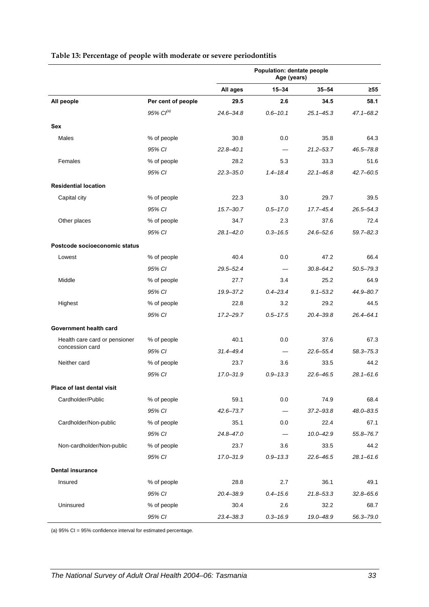|                                   |                    | Population: dentate people<br>Age (years) |                          |               |               |
|-----------------------------------|--------------------|-------------------------------------------|--------------------------|---------------|---------------|
|                                   |                    | All ages                                  | $15 - 34$                | $35 - 54$     | $\geq 55$     |
| All people                        | Per cent of people | 29.5                                      | 2.6                      | 34.5          | 58.1          |
|                                   | 95% $Cl^{(a)}$     | $24.6 - 34.8$                             | $0.6 - 10.1$             | $25.1 - 45.3$ | $47.1 - 68.2$ |
| Sex                               |                    |                                           |                          |               |               |
| Males                             | % of people        | 30.8                                      | 0.0                      | 35.8          | 64.3          |
|                                   | 95% CI             | $22.8 - 40.1$                             |                          | $21.2 - 53.7$ | 46.5-78.8     |
| Females                           | % of people        | 28.2                                      | 5.3                      | 33.3          | 51.6          |
|                                   | 95% CI             | $22.3 - 35.0$                             | $1.4 - 18.4$             | $22.1 - 46.8$ | $42.7 - 60.5$ |
| <b>Residential location</b>       |                    |                                           |                          |               |               |
| Capital city                      | % of people        | 22.3                                      | 3.0                      | 29.7          | 39.5          |
|                                   | 95% CI             | $15.7 - 30.7$                             | $0.5 - 17.0$             | 17.7-45.4     | $26.5 - 54.3$ |
| Other places                      | % of people        | 34.7                                      | 2.3                      | 37.6          | 72.4          |
|                                   | 95% CI             | $28.1 - 42.0$                             | $0.3 - 16.5$             | $24.6 - 52.6$ | $59.7 - 82.3$ |
| Postcode socioeconomic status     |                    |                                           |                          |               |               |
| Lowest                            | % of people        | 40.4                                      | 0.0                      | 47.2          | 66.4          |
|                                   | 95% CI             | 29.5-52.4                                 |                          | $30.8 - 64.2$ | 50.5-79.3     |
| Middle                            | % of people        | 27.7                                      | 3.4                      | 25.2          | 64.9          |
|                                   | 95% CI             | 19.9 - 37.2                               | $0.4 - 23.4$             | $9.1 - 53.2$  | 44.9-80.7     |
| Highest                           | % of people        | 22.8                                      | 3.2                      | 29.2          | 44.5          |
|                                   | 95% CI             | $17.2 - 29.7$                             | $0.5 - 17.5$             | $20.4 - 39.8$ | 26.4-64.1     |
| Government health card            |                    |                                           |                          |               |               |
| Health care card or pensioner     | % of people        | 40.1                                      | 0.0                      | 37.6          | 67.3          |
| concession card                   | 95% CI             | $31.4 - 49.4$                             | $\overline{\phantom{0}}$ | $22.6 - 55.4$ | $58.3 - 75.3$ |
| Neither card                      | % of people        | 23.7                                      | 3.6                      | 33.5          | 44.2          |
|                                   | 95% CI             | $17.0 - 31.9$                             | $0.9 - 13.3$             | $22.6 - 46.5$ | $28.1 - 61.6$ |
| <b>Place of last dental visit</b> |                    |                                           |                          |               |               |
| Cardholder/Public                 | % of people        | 59.1                                      | 0.0                      | 74.9          | 68.4          |
|                                   | 95% CI             | $42.6 - 73.7$                             |                          | $37.2 - 93.8$ | 48.0-83.5     |
| Cardholder/Non-public             | % of people        | 35.1                                      | 0.0                      | 22.4          | 67.1          |
|                                   | 95% CI             | 24.8-47.0                                 |                          | $10.0 - 42.9$ | 55.8-76.7     |
| Non-cardholder/Non-public         | % of people        | 23.7                                      | 3.6                      | 33.5          | 44.2          |
|                                   | 95% CI             | 17.0-31.9                                 | $0.9 - 13.3$             | $22.6 - 46.5$ | $28.1 - 61.6$ |
| <b>Dental insurance</b>           |                    |                                           |                          |               |               |
| Insured                           | % of people        | 28.8                                      | 2.7                      | 36.1          | 49.1          |
|                                   | 95% CI             | $20.4 - 38.9$                             | $0.4 - 15.6$             | $21.8 - 53.3$ | $32.8 - 65.6$ |
| Uninsured                         | % of people        | 30.4                                      | 2.6                      | 32.2          | 68.7          |
|                                   | 95% CI             | 23.4-38.3                                 | $0.3 - 16.9$             | 19.0-48.9     | 56.3-79.0     |

#### <span id="page-40-0"></span>**Table 13: Percentage of people with moderate or severe periodontitis**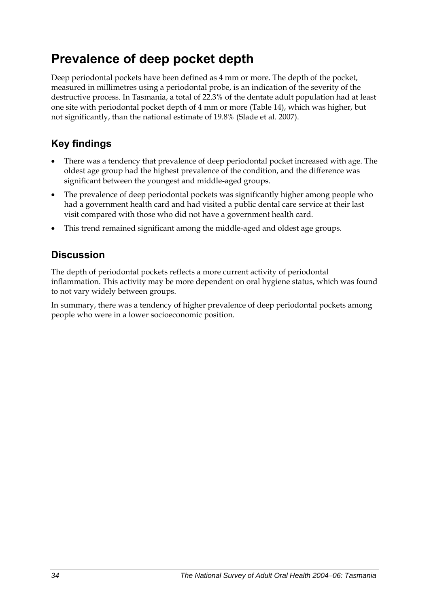## **Prevalence of deep pocket depth**

Deep periodontal pockets have been defined as 4 mm or more. The depth of the pocket, measured in millimetres using a periodontal probe, is an indication of the severity of the destructive process. In Tasmania, a total of 22.3% of the dentate adult population had at least one site with periodontal pocket depth of 4 mm or more ([Table 14](#page-42-0)), which was higher, but not significantly, than the national estimate of 19.8% (Slade et al. 2007).

### **Key findings**

- There was a tendency that prevalence of deep periodontal pocket increased with age. The oldest age group had the highest prevalence of the condition, and the difference was significant between the youngest and middle-aged groups.
- The prevalence of deep periodontal pockets was significantly higher among people who had a government health card and had visited a public dental care service at their last visit compared with those who did not have a government health card.
- This trend remained significant among the middle-aged and oldest age groups.

### **Discussion**

The depth of periodontal pockets reflects a more current activity of periodontal inflammation. This activity may be more dependent on oral hygiene status, which was found to not vary widely between groups.

In summary, there was a tendency of higher prevalence of deep periodontal pockets among people who were in a lower socioeconomic position.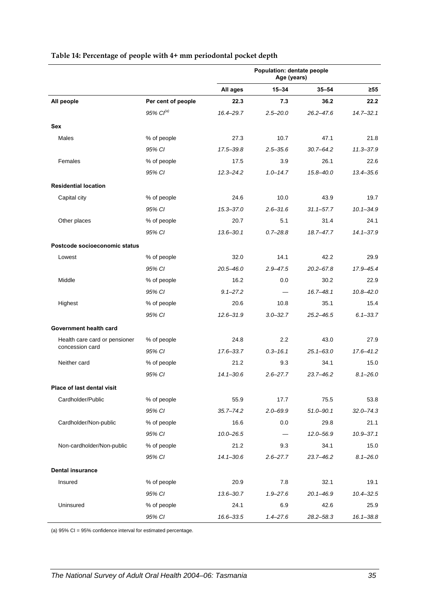|                               |                       | Population: dentate people<br>Age (years) |              |               |               |
|-------------------------------|-----------------------|-------------------------------------------|--------------|---------------|---------------|
|                               |                       | All ages                                  | $15 - 34$    | $35 - 54$     | ≥55           |
| All people                    | Per cent of people    | 22.3                                      | 7.3          | 36.2          | 22.2          |
|                               | 95% Cl <sup>(a)</sup> | 16.4-29.7                                 | $2.5 - 20.0$ | $26.2 - 47.6$ | $14.7 - 32.1$ |
| Sex                           |                       |                                           |              |               |               |
| Males                         | % of people           | 27.3                                      | 10.7         | 47.1          | 21.8          |
|                               | 95% CI                | 17.5-39.8                                 | $2.5 - 35.6$ | $30.7 - 64.2$ | $11.3 - 37.9$ |
| Females                       | % of people           | 17.5                                      | 3.9          | 26.1          | 22.6          |
|                               | 95% CI                | $12.3 - 24.2$                             | $1.0 - 14.7$ | $15.8 - 40.0$ | $13.4 - 35.6$ |
| <b>Residential location</b>   |                       |                                           |              |               |               |
| Capital city                  | % of people           | 24.6                                      | 10.0         | 43.9          | 19.7          |
|                               | 95% CI                | $15.3 - 37.0$                             | $2.6 - 31.6$ | $31.1 - 57.7$ | $10.1 - 34.9$ |
| Other places                  | % of people           | 20.7                                      | 5.1          | 31.4          | 24.1          |
|                               | 95% CI                | $13.6 - 30.1$                             | $0.7 - 28.8$ | 18.7-47.7     | $14.1 - 37.9$ |
| Postcode socioeconomic status |                       |                                           |              |               |               |
| Lowest                        | % of people           | 32.0                                      | 14.1         | 42.2          | 29.9          |
|                               | 95% CI                | $20.5 - 46.0$                             | $2.9 - 47.5$ | $20.2 - 67.8$ | 17.9-45.4     |
| Middle                        | % of people           | 16.2                                      | 0.0          | 30.2          | 22.9          |
|                               | 95% CI                | $9.1 - 27.2$                              |              | $16.7 - 48.1$ | $10.8 - 42.0$ |
| Highest                       | % of people           | 20.6                                      | 10.8         | 35.1          | 15.4          |
|                               | 95% CI                | $12.6 - 31.9$                             | $3.0 - 32.7$ | $25.2 - 46.5$ | $6.1 - 33.7$  |
| Government health card        |                       |                                           |              |               |               |
| Health care card or pensioner | % of people           | 24.8                                      | 2.2          | 43.0          | 27.9          |
| concession card               | 95% CI                | $17.6 - 33.7$                             | $0.3 - 16.1$ | $25.1 - 63.0$ | $17.6 - 41.2$ |
| Neither card                  | % of people           | 21.2                                      | 9.3          | 34.1          | 15.0          |
|                               | 95% CI                | $14.1 - 30.6$                             | $2.6 - 27.7$ | $23.7 - 46.2$ | $8.1 - 26.0$  |
| Place of last dental visit    |                       |                                           |              |               |               |
| Cardholder/Public             | % of people           | 55.9                                      | 17.7         | 75.5          | 53.8          |
|                               | 95% CI                | $35.7 - 74.2$                             | $2.0 - 69.9$ | $51.0 - 90.1$ | $32.0 - 74.3$ |
| Cardholder/Non-public         | % of people           | 16.6                                      | 0.0          | 29.8          | 21.1          |
|                               | 95% CI                | $10.0 - 26.5$                             |              | $12.0 - 56.9$ | $10.9 - 37.1$ |
| Non-cardholder/Non-public     | % of people           | 21.2                                      | 9.3          | 34.1          | 15.0          |
|                               | 95% CI                | $14.1 - 30.6$                             | $2.6 - 27.7$ | $23.7 - 46.2$ | $8.1 - 26.0$  |
| <b>Dental insurance</b>       |                       |                                           |              |               |               |
| Insured                       | % of people           | 20.9                                      | 7.8          | 32.1          | 19.1          |
|                               | 95% CI                | $13.6 - 30.7$                             | $1.9 - 27.6$ | $20.1 - 46.9$ | $10.4 - 32.5$ |
| Uninsured                     | % of people           | 24.1                                      | 6.9          | 42.6          | 25.9          |
|                               | 95% CI                | 16.6-33.5                                 | $1.4 - 27.6$ | $28.2 - 58.3$ | $16.1 - 38.8$ |

#### <span id="page-42-0"></span>**Table 14: Percentage of people with 4+ mm periodontal pocket depth**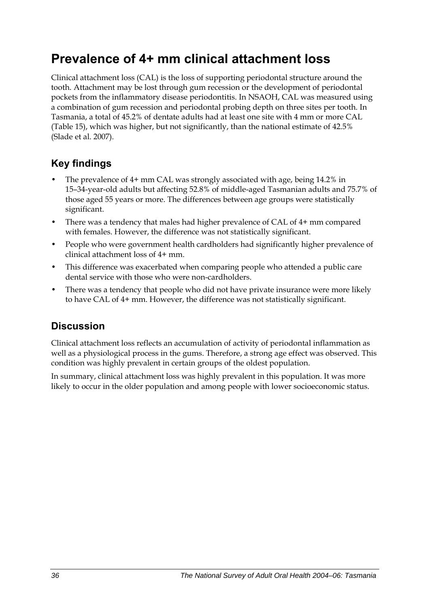## **Prevalence of 4+ mm clinical attachment loss**

Clinical attachment loss (CAL) is the loss of supporting periodontal structure around the tooth. Attachment may be lost through gum recession or the development of periodontal pockets from the inflammatory disease periodontitis. In NSAOH, CAL was measured using a combination of gum recession and periodontal probing depth on three sites per tooth. In Tasmania, a total of 45.2% of dentate adults had at least one site with 4 mm or more CAL ([Table 15](#page-44-0)), which was higher, but not significantly, than the national estimate of 42.5% (Slade et al. 2007).

### **Key findings**

- The prevalence of 4+ mm CAL was strongly associated with age, being 14.2% in 15–34-year-old adults but affecting 52.8% of middle-aged Tasmanian adults and 75.7% of those aged 55 years or more. The differences between age groups were statistically significant.
- There was a tendency that males had higher prevalence of CAL of 4+ mm compared with females. However, the difference was not statistically significant.
- People who were government health cardholders had significantly higher prevalence of clinical attachment loss of 4+ mm.
- This difference was exacerbated when comparing people who attended a public care dental service with those who were non-cardholders.
- There was a tendency that people who did not have private insurance were more likely to have CAL of 4+ mm. However, the difference was not statistically significant.

### **Discussion**

Clinical attachment loss reflects an accumulation of activity of periodontal inflammation as well as a physiological process in the gums. Therefore, a strong age effect was observed. This condition was highly prevalent in certain groups of the oldest population.

In summary, clinical attachment loss was highly prevalent in this population. It was more likely to occur in the older population and among people with lower socioeconomic status.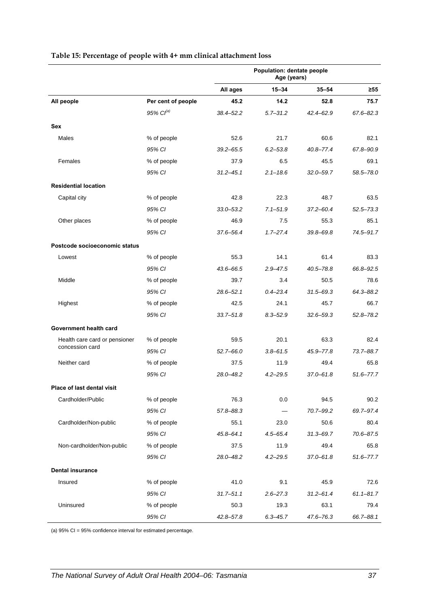|                               |                       | Population: dentate people<br>Age (years) |              |               |               |
|-------------------------------|-----------------------|-------------------------------------------|--------------|---------------|---------------|
|                               |                       | All ages                                  | $15 - 34$    | $35 - 54$     | $\geq 55$     |
| All people                    | Per cent of people    | 45.2                                      | 14.2         | 52.8          | 75.7          |
|                               | 95% Cl <sup>(a)</sup> | $38.4 - 52.2$                             | $5.7 - 31.2$ | 42.4-62.9     | 67.6-82.3     |
| Sex                           |                       |                                           |              |               |               |
| Males                         | % of people           | 52.6                                      | 21.7         | 60.6          | 82.1          |
|                               | 95% CI                | $39.2 - 65.5$                             | $6.2 - 53.8$ | $40.8 - 77.4$ | 67.8-90.9     |
| Females                       | % of people           | 37.9                                      | 6.5          | 45.5          | 69.1          |
|                               | 95% CI                | $31.2 - 45.1$                             | $2.1 - 18.6$ | $32.0 - 59.7$ | 58.5-78.0     |
| <b>Residential location</b>   |                       |                                           |              |               |               |
| Capital city                  | % of people           | 42.8                                      | 22.3         | 48.7          | 63.5          |
|                               | 95% CI                | $33.0 - 53.2$                             | $7.1 - 51.9$ | $37.2 - 60.4$ | $52.5 - 73.3$ |
| Other places                  | % of people           | 46.9                                      | 7.5          | 55.3          | 85.1          |
|                               | 95% CI                | 37.6-56.4                                 | $1.7 - 27.4$ | $39.8 - 69.8$ | 74.5-91.7     |
| Postcode socioeconomic status |                       |                                           |              |               |               |
| Lowest                        | % of people           | 55.3                                      | 14.1         | 61.4          | 83.3          |
|                               | 95% CI                | 43.6-66.5                                 | $2.9 - 47.5$ | 40.5-78.8     | 66.8-92.5     |
| Middle                        | % of people           | 39.7                                      | 3.4          | 50.5          | 78.6          |
|                               | 95% CI                | $28.6 - 52.1$                             | $0.4 - 23.4$ | $31.5 - 69.3$ | 64.3-88.2     |
| Highest                       | % of people           | 42.5                                      | 24.1         | 45.7          | 66.7          |
|                               | 95% CI                | $33.7 - 51.8$                             | $8.3 - 52.9$ | $32.6 - 59.3$ | $52.8 - 78.2$ |
| Government health card        |                       |                                           |              |               |               |
| Health care card or pensioner | % of people           | 59.5                                      | 20.1         | 63.3          | 82.4          |
| concession card               | 95% CI                | $52.7 - 66.0$                             | $3.8 - 61.5$ | 45.9-77.8     | $73.7 - 88.7$ |
| Neither card                  | % of people           | 37.5                                      | 11.9         | 49.4          | 65.8          |
|                               | 95% CI                | 28.0-48.2                                 | $4.2 - 29.5$ | 37.0-61.8     | $51.6 - 77.7$ |
| Place of last dental visit    |                       |                                           |              |               |               |
| Cardholder/Public             | % of people           | 76.3                                      | 0.0          | 94.5          | 90.2          |
|                               | 95% CI                | 57.8-88.3                                 |              | 70.7-99.2     | 69.7-97.4     |
| Cardholder/Non-public         | % of people           | 55.1                                      | 23.0         | 50.6          | 80.4          |
|                               | 95% CI                | $45.8 - 64.1$                             | $4.5 - 65.4$ | $31.3 - 69.7$ | 70.6-87.5     |
| Non-cardholder/Non-public     | % of people           | 37.5                                      | 11.9         | 49.4          | 65.8          |
|                               | 95% CI                | 28.0-48.2                                 | $4.2 - 29.5$ | $37.0 - 61.8$ | $51.6 - 77.7$ |
| <b>Dental insurance</b>       |                       |                                           |              |               |               |
| Insured                       | % of people           | 41.0                                      | 9.1          | 45.9          | 72.6          |
|                               | 95% CI                | $31.7 - 51.1$                             | $2.6 - 27.3$ | $31.2 - 61.4$ | $61.1 - 81.7$ |
| Uninsured                     | % of people           | 50.3                                      | 19.3         | 63.1          | 79.4          |
|                               | 95% CI                | $42.8 - 57.8$                             | $6.3 - 45.7$ | $47.6 - 76.3$ | 66.7-88.1     |

#### <span id="page-44-0"></span>**Table 15: Percentage of people with 4+ mm clinical attachment loss**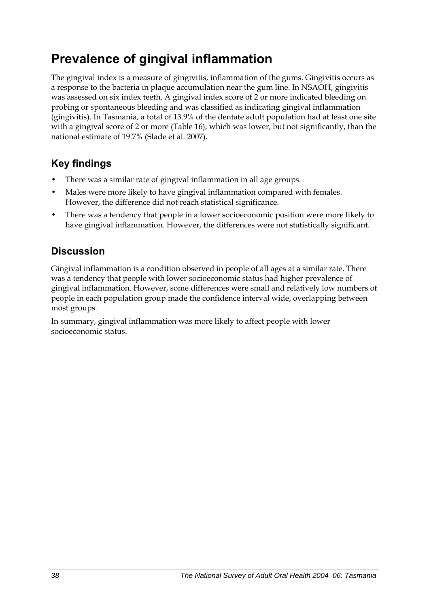## **Prevalence of gingival inflammation**

The gingival index is a measure of gingivitis, inflammation of the gums. Gingivitis occurs as a response to the bacteria in plaque accumulation near the gum line. In NSAOH, gingivitis was assessed on six index teeth. A gingival index score of 2 or more indicated bleeding on probing or spontaneous bleeding and was classified as indicating gingival inflammation (gingivitis). In Tasmania, a total of 13.9% of the dentate adult population had at least one site with a gingival score of 2 or more [\(Table 16\)](#page-46-0), which was lower, but not significantly, than the national estimate of 19.7% (Slade et al. 2007).

### **Key findings**

- There was a similar rate of gingival inflammation in all age groups.
- Males were more likely to have gingival inflammation compared with females. However, the difference did not reach statistical significance.
- There was a tendency that people in a lower socioeconomic position were more likely to have gingival inflammation. However, the differences were not statistically significant.

### **Discussion**

Gingival inflammation is a condition observed in people of all ages at a similar rate. There was a tendency that people with lower socioeconomic status had higher prevalence of gingival inflammation. However, some differences were small and relatively low numbers of people in each population group made the confidence interval wide, overlapping between most groups.

In summary, gingival inflammation was more likely to affect people with lower socioeconomic status.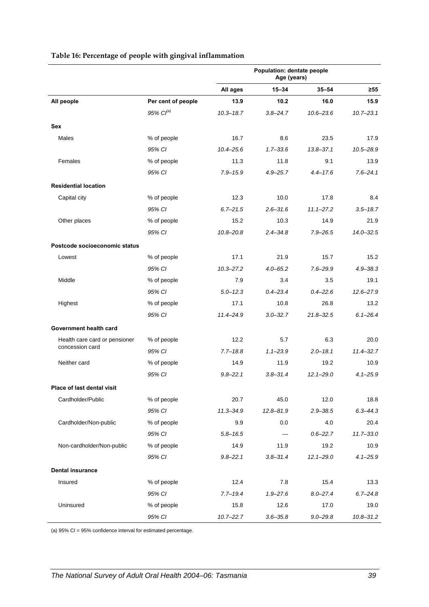<span id="page-46-0"></span>

|                               |                       | Population: dentate people<br>Age (years) |              |                     |                       |
|-------------------------------|-----------------------|-------------------------------------------|--------------|---------------------|-----------------------|
|                               |                       | All ages                                  | $15 - 34$    | $35 - 54$           | ≥55                   |
| All people                    | Per cent of people    | 13.9                                      | 10.2         | 16.0                | 15.9                  |
|                               | 95% Cl <sup>(a)</sup> | $10.3 - 18.7$                             | $3.8 - 24.7$ | $10.6 - 23.6$       | $10.7 - 23.1$         |
| <b>Sex</b>                    |                       |                                           |              |                     |                       |
| Males                         | % of people           | 16.7                                      | 8.6          | 23.5                | 17.9                  |
|                               | 95% CI                | $10.4 - 25.6$                             | $1.7 - 33.6$ | $13.8 - 37.1$       | $10.5 - 28.9$         |
| Females                       | % of people           | 11.3                                      | 11.8         | 9.1                 | 13.9                  |
|                               | 95% CI                | $7.9 - 15.9$                              | $4.9 - 25.7$ | $4.4 - 17.6$        | $7.6 - 24.1$          |
| <b>Residential location</b>   |                       |                                           |              |                     |                       |
| Capital city                  | % of people           | 12.3                                      | 10.0         | 17.8                | 8.4                   |
|                               | 95% CI                | $6.7 - 21.5$                              | $2.6 - 31.6$ | $11.1 - 27.2$       | $3.5 - 18.7$          |
| Other places                  | % of people           | 15.2                                      | 10.3         | 14.9                | 21.9                  |
|                               | 95% CI                | $10.8 - 20.8$                             | $2.4 - 34.8$ | $7.9 - 26.5$        | $14.0 - 32.5$         |
| Postcode socioeconomic status |                       |                                           |              |                     |                       |
| Lowest                        | % of people           | 17.1                                      | 21.9         | 15.7                | 15.2                  |
|                               | 95% CI                | $10.3 - 27.2$                             | $4.0 - 65.2$ | $7.6 - 29.9$        | $4.9 - 38.3$          |
| Middle                        | % of people           | 7.9                                       | 3.4          | 3.5                 | 19.1                  |
|                               | 95% CI                | $5.0 - 12.3$                              | $0.4 - 23.4$ | $0.4 - 22.6$        | $12.6 - 27.9$         |
| Highest                       | % of people           | 17.1                                      | 10.8         | 26.8                | 13.2                  |
|                               | 95% CI                | $11.4 - 24.9$                             | $3.0 - 32.7$ | $21.8 - 32.5$       | $6.1 - 26.4$          |
| Government health card        |                       |                                           |              |                     |                       |
| Health care card or pensioner | % of people           | 12.2                                      | 5.7          | 6.3                 | 20.0                  |
| concession card               | 95% CI                | $7.7 - 18.8$                              | $1.1 - 23.9$ | $2.0 - 18.1$        | $11.4 - 32.7$         |
| Neither card                  | % of people           | 14.9                                      | 11.9         | 19.2                | 10.9                  |
|                               | 95% CI                | $9.8 - 22.1$                              | $3.8 - 31.4$ | $12.1 - 29.0$       | $4.1 - 25.9$          |
|                               |                       |                                           |              |                     |                       |
| Place of last dental visit    |                       |                                           |              |                     |                       |
| Cardholder/Public             | % of people           | 20.7                                      | 45.0         | 12.0                | 18.8<br>$6.3 - 44.3$  |
|                               | 95% CI<br>% of people | $11.3 - 34.9$                             | 12.8-81.9    | $2.9 - 38.5$        |                       |
| Cardholder/Non-public         | 95% CI                | 9.9<br>$5.8 - 16.5$                       | 0.0          | 4.0<br>$0.6 - 22.7$ | 20.4<br>$11.7 - 33.0$ |
| Non-cardholder/Non-public     | % of people           | 14.9                                      | 11.9         | 19.2                | 10.9                  |
|                               | 95% CI                | $9.8 - 22.1$                              | $3.8 - 31.4$ | $12.1 - 29.0$       | $4.1 - 25.9$          |
|                               |                       |                                           |              |                     |                       |
| <b>Dental insurance</b>       |                       |                                           |              |                     |                       |
| Insured                       | % of people           | 12.4                                      | 7.8          | 15.4                | 13.3                  |
|                               | 95% CI                | $7.7 - 19.4$                              | $1.9 - 27.6$ | $8.0 - 27.4$        | $6.7 - 24.8$          |
| Uninsured                     | % of people           | 15.8                                      | 12.6         | 17.0                | 19.0                  |
|                               | 95% CI                | $10.7 - 22.7$                             | $3.6 - 35.8$ | $9.0 - 29.8$        | $10.8 - 31.2$         |

#### **Table 16: Percentage of people with gingival inflammation**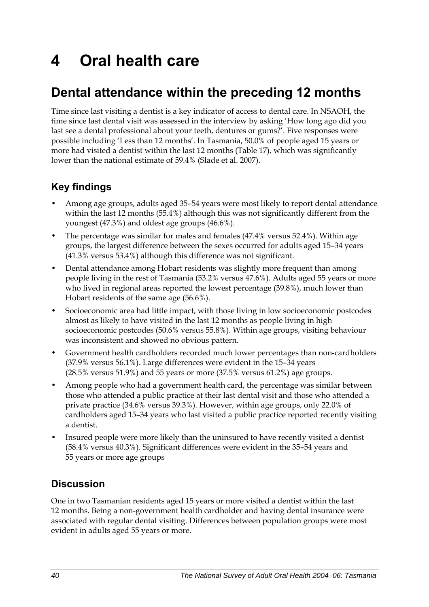# **4 Oral health care**

## **Dental attendance within the preceding 12 months**

Time since last visiting a dentist is a key indicator of access to dental care. In NSAOH, the time since last dental visit was assessed in the interview by asking 'How long ago did you last see a dental professional about your teeth, dentures or gums?'. Five responses were possible including 'Less than 12 months'. In Tasmania, 50.0% of people aged 15 years or more had visited a dentist within the last 12 months ([Table 17](#page-48-0)), which was significantly lower than the national estimate of 59.4% (Slade et al. 2007).

### **Key findings**

- Among age groups, adults aged 35–54 years were most likely to report dental attendance within the last 12 months (55.4%) although this was not significantly different from the youngest (47.3%) and oldest age groups (46.6%).
- The percentage was similar for males and females (47.4% versus 52.4%). Within age groups, the largest difference between the sexes occurred for adults aged 15–34 years (41.3% versus 53.4%) although this difference was not significant.
- Dental attendance among Hobart residents was slightly more frequent than among people living in the rest of Tasmania (53.2% versus 47.6%). Adults aged 55 years or more who lived in regional areas reported the lowest percentage (39.8%), much lower than Hobart residents of the same age (56.6%).
- Socioeconomic area had little impact, with those living in low socioeconomic postcodes almost as likely to have visited in the last 12 months as people living in high socioeconomic postcodes (50.6% versus 55.8%). Within age groups, visiting behaviour was inconsistent and showed no obvious pattern.
- Government health cardholders recorded much lower percentages than non-cardholders (37.9% versus 56.1%). Large differences were evident in the 15–34 years (28.5% versus 51.9%) and 55 years or more (37.5% versus 61.2%) age groups.
- Among people who had a government health card, the percentage was similar between those who attended a public practice at their last dental visit and those who attended a private practice (34.6% versus 39.3%). However, within age groups, only 22.0% of cardholders aged 15–34 years who last visited a public practice reported recently visiting a dentist.
- Insured people were more likely than the uninsured to have recently visited a dentist (58.4% versus 40.3%). Significant differences were evident in the 35–54 years and 55 years or more age groups

### **Discussion**

One in two Tasmanian residents aged 15 years or more visited a dentist within the last 12 months. Being a non-government health cardholder and having dental insurance were associated with regular dental visiting. Differences between population groups were most evident in adults aged 55 years or more.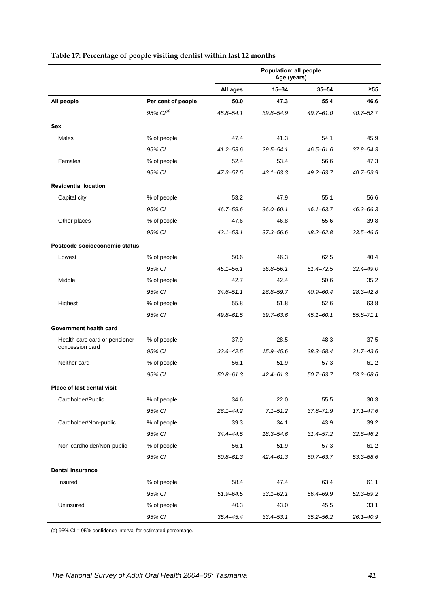|                               |                       | Population: all people<br>Age (years) |               |               |               |
|-------------------------------|-----------------------|---------------------------------------|---------------|---------------|---------------|
|                               |                       | All ages                              | $15 - 34$     | $35 - 54$     | ≥55           |
| All people                    | Per cent of people    | 50.0                                  | 47.3          | 55.4          | 46.6          |
|                               | 95% Cl <sup>(a)</sup> | 45.8-54.1                             | 39.8-54.9     | $49.7 - 61.0$ | $40.7 - 52.7$ |
| Sex                           |                       |                                       |               |               |               |
| Males                         | % of people           | 47.4                                  | 41.3          | 54.1          | 45.9          |
|                               | 95% CI                | $41.2 - 53.6$                         | $29.5 - 54.1$ | $46.5 - 61.6$ | $37.8 - 54.3$ |
| Females                       | % of people           | 52.4                                  | 53.4          | 56.6          | 47.3          |
|                               | 95% CI                | 47.3-57.5                             | $43.1 - 63.3$ | $49.2 - 63.7$ | $40.7 - 53.9$ |
| <b>Residential location</b>   |                       |                                       |               |               |               |
| Capital city                  | % of people           | 53.2                                  | 47.9          | 55.1          | 56.6          |
|                               | 95% CI                | 46.7-59.6                             | $36.0 - 60.1$ | $46.1 - 63.7$ | $46.3 - 66.3$ |
| Other places                  | % of people           | 47.6                                  | 46.8          | 55.6          | 39.8          |
|                               | 95% CI                | $42.1 - 53.1$                         | $37.3 - 56.6$ | $48.2 - 62.8$ | $33.5 - 46.5$ |
| Postcode socioeconomic status |                       |                                       |               |               |               |
| Lowest                        | % of people           | 50.6                                  | 46.3          | 62.5          | 40.4          |
|                               | 95% CI                | $45.1 - 56.1$                         | 36.8–56.1     | $51.4 - 72.5$ | 32.4–49.0     |
| Middle                        | % of people           | 42.7                                  | 42.4          | 50.6          | 35.2          |
|                               | 95% CI                | $34.6 - 51.1$                         | 26.8-59.7     | $40.9 - 60.4$ | $28.3 - 42.8$ |
| Highest                       | % of people           | 55.8                                  | 51.8          | 52.6          | 63.8          |
|                               | 95% CI                | 49.8-61.5                             | $39.7 - 63.6$ | $45.1 - 60.1$ | $55.8 - 71.1$ |
| Government health card        |                       |                                       |               |               |               |
| Health care card or pensioner | % of people           | 37.9                                  | 28.5          | 48.3          | 37.5          |
| concession card               | 95% CI                | $33.6 - 42.5$                         | 15.9-45.6     | $38.3 - 58.4$ | $31.7 - 43.6$ |
| Neither card                  | % of people           | 56.1                                  | 51.9          | 57.3          | 61.2          |
|                               | 95% CI                | $50.8 - 61.3$                         | $42.4 - 61.3$ | $50.7 - 63.7$ | $53.3 - 68.6$ |
| Place of last dental visit    |                       |                                       |               |               |               |
| Cardholder/Public             | % of people           | 34.6                                  | 22.0          | 55.5          | 30.3          |
|                               | 95% CI                | $26.1 - 44.2$                         | $7.1 - 51.2$  | $37.8 - 71.9$ | $17.1 - 47.6$ |
| Cardholder/Non-public         | % of people           | 39.3                                  | 34.1          | 43.9          | 39.2          |
|                               | 95% CI                | 34.4-44.5                             | 18.3-54.6     | $31.4 - 57.2$ | $32.6 - 46.2$ |
| Non-cardholder/Non-public     | % of people           | 56.1                                  | 51.9          | 57.3          | 61.2          |
|                               | 95% CI                | $50.8 - 61.3$                         | $42.4 - 61.3$ | $50.7 - 63.7$ | $53.3 - 68.6$ |
| <b>Dental insurance</b>       |                       |                                       |               |               |               |
| Insured                       | % of people           | 58.4                                  | 47.4          | 63.4          | 61.1          |
|                               | 95% CI                | $51.9 - 64.5$                         | $33.1 - 62.1$ | 56.4-69.9     | $52.3 - 69.2$ |
| Uninsured                     | % of people           | 40.3                                  | 43.0          | 45.5          | 33.1          |
|                               | 95% CI                | $35.4 - 45.4$                         | $33.4 - 53.1$ | $35.2 - 56.2$ | $26.1 - 40.9$ |

#### <span id="page-48-0"></span>**Table 17: Percentage of people visiting dentist within last 12 months**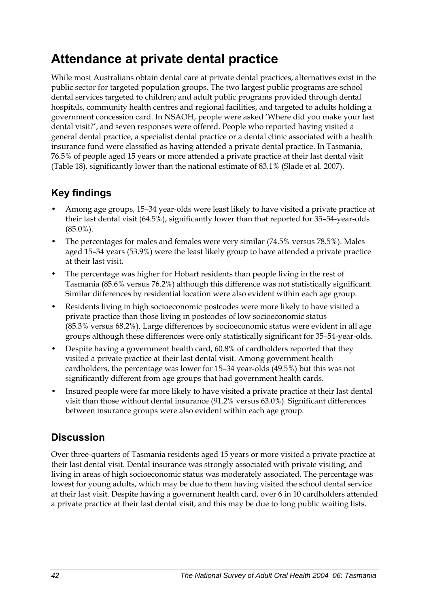## **Attendance at private dental practice**

While most Australians obtain dental care at private dental practices, alternatives exist in the public sector for targeted population groups. The two largest public programs are school dental services targeted to children; and adult public programs provided through dental hospitals, community health centres and regional facilities, and targeted to adults holding a government concession card. In NSAOH, people were asked 'Where did you make your last dental visit?', and seven responses were offered. People who reported having visited a general dental practice, a specialist dental practice or a dental clinic associated with a health insurance fund were classified as having attended a private dental practice. In Tasmania, 76.5% of people aged 15 years or more attended a private practice at their last dental visit ([Table 18](#page-50-0)), significantly lower than the national estimate of 83.1% (Slade et al. 2007).

### **Key findings**

- Among age groups, 15–34 year-olds were least likely to have visited a private practice at their last dental visit (64.5%), significantly lower than that reported for 35–54-year-olds (85.0%).
- The percentages for males and females were very similar (74.5% versus 78.5%). Males aged 15–34 years (53.9%) were the least likely group to have attended a private practice at their last visit.
- The percentage was higher for Hobart residents than people living in the rest of Tasmania (85.6% versus 76.2%) although this difference was not statistically significant. Similar differences by residential location were also evident within each age group.
- Residents living in high socioeconomic postcodes were more likely to have visited a private practice than those living in postcodes of low socioeconomic status (85.3% versus 68.2%). Large differences by socioeconomic status were evident in all age groups although these differences were only statistically significant for 35–54-year-olds.
- Despite having a government health card, 60.8% of cardholders reported that they visited a private practice at their last dental visit. Among government health cardholders, the percentage was lower for 15–34 year-olds (49.5%) but this was not significantly different from age groups that had government health cards.
- Insured people were far more likely to have visited a private practice at their last dental visit than those without dental insurance (91.2% versus 63.0%). Significant differences between insurance groups were also evident within each age group.

### **Discussion**

Over three-quarters of Tasmania residents aged 15 years or more visited a private practice at their last dental visit. Dental insurance was strongly associated with private visiting, and living in areas of high socioeconomic status was moderately associated. The percentage was lowest for young adults, which may be due to them having visited the school dental service at their last visit. Despite having a government health card, over 6 in 10 cardholders attended a private practice at their last dental visit, and this may be due to long public waiting lists.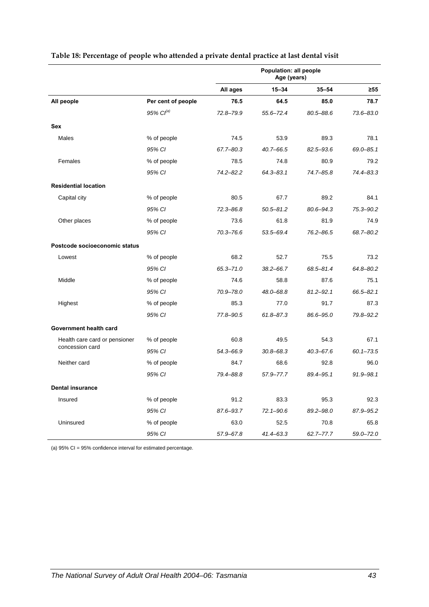|                               |                       | Population: all people<br>Age (years) |               |               |               |
|-------------------------------|-----------------------|---------------------------------------|---------------|---------------|---------------|
|                               |                       | All ages                              | $15 - 34$     | $35 - 54$     | $\geq 55$     |
| All people                    | Per cent of people    | 76.5                                  | 64.5          | 85.0          | 78.7          |
|                               | 95% Cl <sup>(a)</sup> | $72.8 - 79.9$                         | $55.6 - 72.4$ | 80.5-88.6     | $73.6 - 83.0$ |
| Sex                           |                       |                                       |               |               |               |
| Males                         | % of people           | 74.5                                  | 53.9          | 89.3          | 78.1          |
|                               | 95% CI                | 67.7-80.3                             | $40.7 - 66.5$ | 82.5-93.6     | 69.0-85.1     |
| Females                       | % of people           | 78.5                                  | 74.8          | 80.9          | 79.2          |
|                               | 95% CI                | $74.2 - 82.2$                         | $64.3 - 83.1$ | 74.7-85.8     | 74.4-83.3     |
| <b>Residential location</b>   |                       |                                       |               |               |               |
| Capital city                  | % of people           | 80.5                                  | 67.7          | 89.2          | 84.1          |
|                               | 95% CI                | $72.3 - 86.8$                         | $50.5 - 81.2$ | $80.6 - 94.3$ | 75.3-90.2     |
| Other places                  | % of people           | 73.6                                  | 61.8          | 81.9          | 74.9          |
|                               | 95% CI                | $70.3 - 76.6$                         | 53.5-69.4     | $76.2 - 86.5$ | 68.7-80.2     |
| Postcode socioeconomic status |                       |                                       |               |               |               |
| Lowest                        | % of people           | 68.2                                  | 52.7          | 75.5          | 73.2          |
|                               | 95% CI                | $65.3 - 71.0$                         | $38.2 - 66.7$ | 68.5-81.4     | 64.8-80.2     |
| Middle                        | % of people           | 74.6                                  | 58.8          | 87.6          | 75.1          |
|                               | 95% CI                | $70.9 - 78.0$                         | 48.0-68.8     | $81.2 - 92.1$ | 66.5-82.1     |
| Highest                       | % of people           | 85.3                                  | 77.0          | 91.7          | 87.3          |
|                               | 95% CI                | 77.8-90.5                             | $61.8 - 87.3$ | 86.6-95.0     | 79.8-92.2     |
| Government health card        |                       |                                       |               |               |               |
| Health care card or pensioner | % of people           | 60.8                                  | 49.5          | 54.3          | 67.1          |
| concession card               | 95% CI                | 54.3-66.9                             | $30.8 - 68.3$ | $40.3 - 67.6$ | $60.1 - 73.5$ |
| Neither card                  | % of people           | 84.7                                  | 68.6          | 92.8          | 96.0          |
|                               | 95% CI                | 79.4-88.8                             | 57.9-77.7     | 89.4-95.1     | $91.9 - 98.1$ |
| <b>Dental insurance</b>       |                       |                                       |               |               |               |
| Insured                       | % of people           | 91.2                                  | 83.3          | 95.3          | 92.3          |
|                               | 95% CI                | 87.6-93.7                             | $72.1 - 90.6$ | 89.2-98.0     | 87.9-95.2     |
| Uninsured                     | % of people           | 63.0                                  | 52.5          | 70.8          | 65.8          |
|                               | 95% CI                | 57.9-67.8                             | $41.4 - 63.3$ | $62.7 - 77.7$ | $59.0 - 72.0$ |

#### <span id="page-50-0"></span>**Table 18: Percentage of people who attended a private dental practice at last dental visit**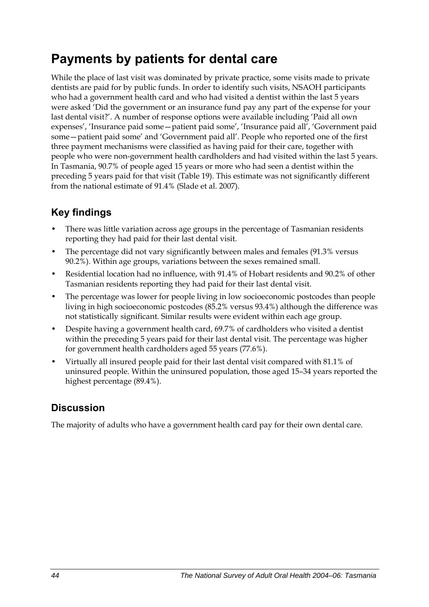## **Payments by patients for dental care**

While the place of last visit was dominated by private practice, some visits made to private dentists are paid for by public funds. In order to identify such visits, NSAOH participants who had a government health card and who had visited a dentist within the last 5 years were asked 'Did the government or an insurance fund pay any part of the expense for your last dental visit?'. A number of response options were available including 'Paid all own expenses', 'Insurance paid some—patient paid some', 'Insurance paid all', 'Government paid some—patient paid some' and 'Government paid all'. People who reported one of the first three payment mechanisms were classified as having paid for their care, together with people who were non-government health cardholders and had visited within the last 5 years. In Tasmania, 90.7% of people aged 15 years or more who had seen a dentist within the preceding 5 years paid for that visit [\(Table 19\)](#page-52-0). This estimate was not significantly different from the national estimate of 91.4% (Slade et al. 2007).

### **Key findings**

- There was little variation across age groups in the percentage of Tasmanian residents reporting they had paid for their last dental visit.
- The percentage did not vary significantly between males and females (91.3% versus 90.2%). Within age groups, variations between the sexes remained small.
- Residential location had no influence, with 91.4% of Hobart residents and 90.2% of other Tasmanian residents reporting they had paid for their last dental visit.
- The percentage was lower for people living in low socioeconomic postcodes than people living in high socioeconomic postcodes (85.2% versus 93.4%) although the difference was not statistically significant. Similar results were evident within each age group.
- Despite having a government health card, 69.7% of cardholders who visited a dentist within the preceding 5 years paid for their last dental visit. The percentage was higher for government health cardholders aged 55 years (77.6%).
- Virtually all insured people paid for their last dental visit compared with 81.1% of uninsured people. Within the uninsured population, those aged 15–34 years reported the highest percentage (89.4%).

### **Discussion**

The majority of adults who have a government health card pay for their own dental care.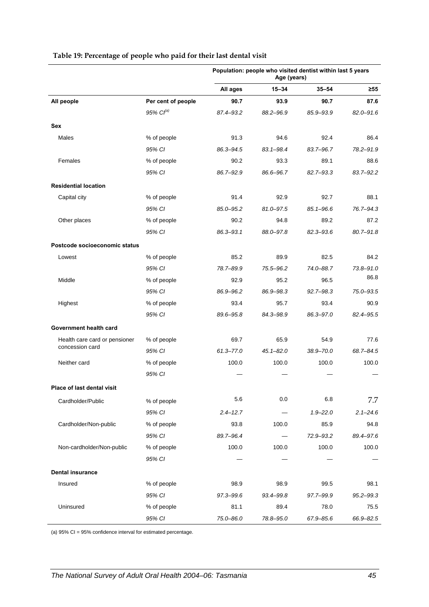<span id="page-52-0"></span>

|                               |                    | Population: people who visited dentist within last 5 years<br>Age (years) |               |               |               |
|-------------------------------|--------------------|---------------------------------------------------------------------------|---------------|---------------|---------------|
|                               |                    | All ages                                                                  | 15-34         | $35 - 54$     | $\geq 55$     |
| All people                    | Per cent of people | 90.7                                                                      | 93.9          | 90.7          | 87.6          |
|                               | 95% $Cl^{(a)}$     | 87.4-93.2                                                                 | 88.2-96.9     | 85.9-93.9     | $82.0 - 91.6$ |
| Sex                           |                    |                                                                           |               |               |               |
| Males                         | % of people        | 91.3                                                                      | 94.6          | 92.4          | 86.4          |
|                               | 95% CI             | 86.3-94.5                                                                 | 83.1-98.4     | 83.7-96.7     | 78.2-91.9     |
| Females                       | % of people        | 90.2                                                                      | 93.3          | 89.1          | 88.6          |
|                               | 95% CI             | 86.7-92.9                                                                 | 86.6-96.7     | 82.7-93.3     | 83.7-92.2     |
| <b>Residential location</b>   |                    |                                                                           |               |               |               |
| Capital city                  | % of people        | 91.4                                                                      | 92.9          | 92.7          | 88.1          |
|                               | 95% CI             | 85.0-95.2                                                                 | 81.0-97.5     | 85.1-96.6     | 76.7-94.3     |
| Other places                  | % of people        | 90.2                                                                      | 94.8          | 89.2          | 87.2          |
|                               | 95% CI             | 86.3-93.1                                                                 | 88.0-97.8     | 82.3-93.6     | 80.7-91.8     |
| Postcode socioeconomic status |                    |                                                                           |               |               |               |
| Lowest                        | % of people        | 85.2                                                                      | 89.9          | 82.5          | 84.2          |
|                               | 95% CI             | 78.7-89.9                                                                 | 75.5-96.2     | 74.0-88.7     | $73.8 - 91.0$ |
| Middle                        | % of people        | 92.9                                                                      | 95.2          | 96.5          | 86.8          |
|                               | 95% CI             | 86.9-96.2                                                                 | 86.9-98.3     | $92.7 - 98.3$ | 75.0-93.5     |
| Highest                       | % of people        | 93.4                                                                      | 95.7          | 93.4          | 90.9          |
|                               | 95% CI             | 89.6-95.8                                                                 | 84.3-98.9     | 86.3-97.0     | 82.4-95.5     |
| Government health card        |                    |                                                                           |               |               |               |
| Health care card or pensioner | % of people        | 69.7                                                                      | 65.9          | 54.9          | 77.6          |
| concession card               | 95% CI             | $61.3 - 77.0$                                                             | $45.1 - 82.0$ | $38.9 - 70.0$ | 68.7-84.5     |
| Neither card                  | % of people        | 100.0                                                                     | 100.0         | 100.0         | 100.0         |
|                               | 95% CI             |                                                                           |               |               |               |
| Place of last dental visit    |                    |                                                                           |               |               |               |
| Cardholder/Public             | % of people        | 5.6                                                                       | 0.0           | 6.8           | 7.7           |
|                               | 95% CI             | $2.4 - 12.7$                                                              |               | $1.9 - 22.0$  | $2.1 - 24.6$  |
| Cardholder/Non-public         | % of people        | 93.8                                                                      | 100.0         | 85.9          | 94.8          |
|                               | 95% CI             | 89.7-96.4                                                                 |               | 72.9-93.2     | 89.4-97.6     |
| Non-cardholder/Non-public     | % of people        | 100.0                                                                     | 100.0         | 100.0         | 100.0         |
|                               | 95% CI             |                                                                           |               |               |               |
| <b>Dental insurance</b>       |                    |                                                                           |               |               |               |
| Insured                       | % of people        | 98.9                                                                      | 98.9          | 99.5          | 98.1          |
|                               | 95% CI             | 97.3-99.6                                                                 | 93.4-99.8     | 97.7-99.9     | $95.2 - 99.3$ |
| Uninsured                     | % of people        | 81.1                                                                      | 89.4          | 78.0          | 75.5          |
|                               | 95% CI             | 75.0-86.0                                                                 | 78.8-95.0     | 67.9-85.6     | 66.9-82.5     |

#### **Table 19: Percentage of people who paid for their last dental visit**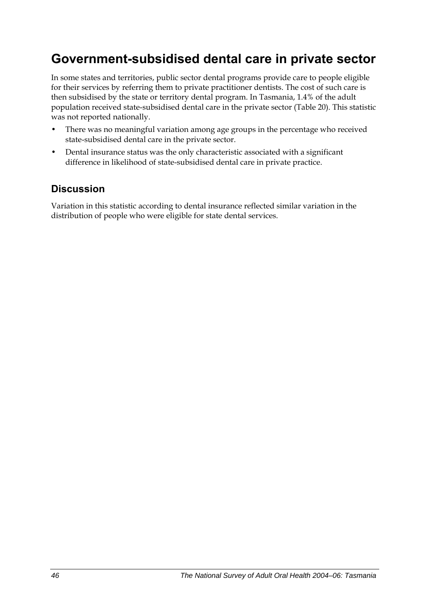## **Government-subsidised dental care in private sector**

In some states and territories, public sector dental programs provide care to people eligible for their services by referring them to private practitioner dentists. The cost of such care is then subsidised by the state or territory dental program. In Tasmania, 1.4% of the adult population received state-subsidised dental care in the private sector [\(Table 20\)](#page-54-0). This statistic was not reported nationally.

- There was no meaningful variation among age groups in the percentage who received state-subsidised dental care in the private sector.
- Dental insurance status was the only characteristic associated with a significant difference in likelihood of state-subsidised dental care in private practice.

### **Discussion**

Variation in this statistic according to dental insurance reflected similar variation in the distribution of people who were eligible for state dental services.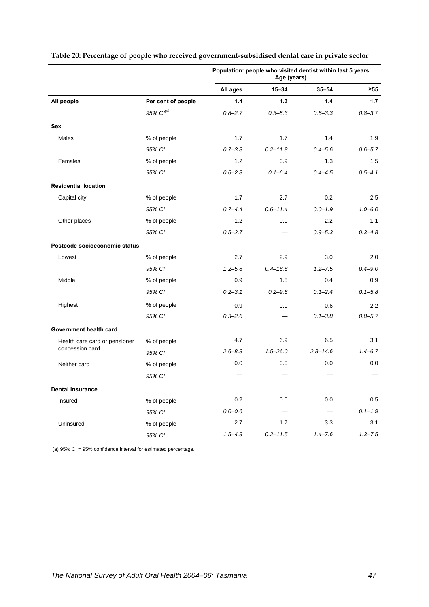|                               |                       | Population: people who visited dentist within last 5 years<br>Age (years) |              |              |             |
|-------------------------------|-----------------------|---------------------------------------------------------------------------|--------------|--------------|-------------|
|                               |                       | All ages                                                                  | $15 - 34$    | $35 - 54$    | $\geq 55$   |
| All people                    | Per cent of people    | 1.4                                                                       | 1.3          | 1.4          | 1.7         |
|                               | 95% Cl <sup>(a)</sup> | $0.8 - 2.7$                                                               | $0.3 - 5.3$  | $0.6 - 3.3$  | $0.8 - 3.7$ |
| <b>Sex</b>                    |                       |                                                                           |              |              |             |
| Males                         | % of people           | 1.7                                                                       | 1.7          | 1.4          | 1.9         |
|                               | 95% CI                | $0.7 - 3.8$                                                               | $0.2 - 11.8$ | $0.4 - 5.6$  | $0.6 - 5.7$ |
| Females                       | % of people           | 1.2                                                                       | 0.9          | 1.3          | 1.5         |
|                               | 95% CI                | $0.6 - 2.8$                                                               | $0.1 - 6.4$  | $0.4 - 4.5$  | $0.5 - 4.1$ |
| <b>Residential location</b>   |                       |                                                                           |              |              |             |
| Capital city                  | % of people           | 1.7                                                                       | 2.7          | 0.2          | 2.5         |
|                               | 95% CI                | $0.7 - 4.4$                                                               | $0.6 - 11.4$ | $0.0 - 1.9$  | $1.0 - 6.0$ |
| Other places                  | % of people           | 1.2                                                                       | 0.0          | 2.2          | 1.1         |
|                               | 95% CI                | $0.5 - 2.7$                                                               |              | $0.9 - 5.3$  | $0.3 - 4.8$ |
| Postcode socioeconomic status |                       |                                                                           |              |              |             |
| Lowest                        | % of people           | 2.7                                                                       | 2.9          | 3.0          | 2.0         |
|                               | 95% CI                | $1.2 - 5.8$                                                               | $0.4 - 18.8$ | $1.2 - 7.5$  | $0.4 - 9.0$ |
| Middle                        | % of people           | 0.9                                                                       | 1.5          | 0.4          | 0.9         |
|                               | 95% CI                | $0.2 - 3.1$                                                               | $0.2 - 9.6$  | $0.1 - 2.4$  | $0.1 - 5.8$ |
| Highest                       | % of people           | 0.9                                                                       | 0.0          | 0.6          | 2.2         |
|                               | 95% CI                | $0.3 - 2.6$                                                               |              | $0.1 - 3.8$  | $0.8 - 5.7$ |
| Government health card        |                       |                                                                           |              |              |             |
| Health care card or pensioner | % of people           | 4.7                                                                       | 6.9          | 6.5          | 3.1         |
| concession card               | 95% CI                | $2.6 - 8.3$                                                               | $1.5 - 26.0$ | $2.8 - 14.6$ | $1.4 - 6.7$ |
| Neither card                  | % of people           | 0.0                                                                       | 0.0          | 0.0          | 0.0         |
|                               | 95% CI                |                                                                           |              |              |             |
| <b>Dental insurance</b>       |                       |                                                                           |              |              |             |
| Insured                       | % of people           | 0.2                                                                       | 0.0          | 0.0          | 0.5         |
|                               | 95% CI                | $0.0 - 0.6$                                                               |              |              | $0.1 - 1.9$ |
| Uninsured                     | % of people           | 2.7                                                                       | 1.7          | 3.3          | 3.1         |
|                               | 95% CI                | $1.5 - 4.9$                                                               | $0.2 - 11.5$ | $1.4 - 7.6$  | $1.3 - 7.5$ |

#### <span id="page-54-0"></span>**Table 20: Percentage of people who received government-subsidised dental care in private sector**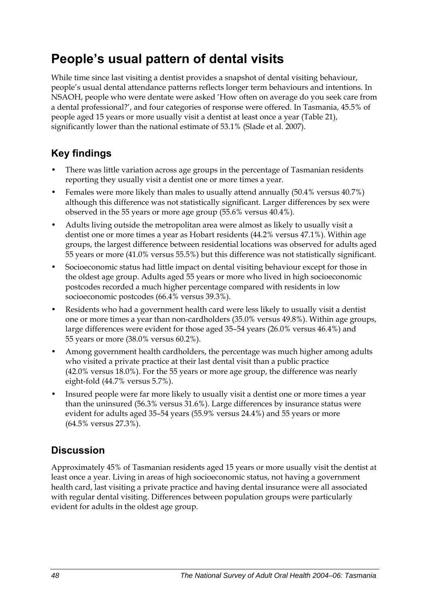## **People's usual pattern of dental visits**

While time since last visiting a dentist provides a snapshot of dental visiting behaviour, people's usual dental attendance patterns reflects longer term behaviours and intentions. In NSAOH, people who were dentate were asked 'How often on average do you seek care from a dental professional?', and four categories of response were offered. In Tasmania, 45.5% of people aged 15 years or more usually visit a dentist at least once a year [\(Table 21\)](#page-56-0), significantly lower than the national estimate of 53.1% (Slade et al. 2007).

### **Key findings**

- There was little variation across age groups in the percentage of Tasmanian residents reporting they usually visit a dentist one or more times a year.
- Females were more likely than males to usually attend annually (50.4% versus 40.7%) although this difference was not statistically significant. Larger differences by sex were observed in the 55 years or more age group (55.6% versus 40.4%).
- Adults living outside the metropolitan area were almost as likely to usually visit a dentist one or more times a year as Hobart residents (44.2% versus 47.1%). Within age groups, the largest difference between residential locations was observed for adults aged 55 years or more (41.0% versus 55.5%) but this difference was not statistically significant.
- Socioeconomic status had little impact on dental visiting behaviour except for those in the oldest age group. Adults aged 55 years or more who lived in high socioeconomic postcodes recorded a much higher percentage compared with residents in low socioeconomic postcodes (66.4% versus 39.3%).
- Residents who had a government health card were less likely to usually visit a dentist one or more times a year than non-cardholders (35.0% versus 49.8%). Within age groups, large differences were evident for those aged 35–54 years (26.0% versus 46.4%) and 55 years or more (38.0% versus 60.2%).
- Among government health cardholders, the percentage was much higher among adults who visited a private practice at their last dental visit than a public practice (42.0% versus 18.0%). For the 55 years or more age group, the difference was nearly eight-fold (44.7% versus 5.7%).
- Insured people were far more likely to usually visit a dentist one or more times a year than the uninsured (56.3% versus 31.6%). Large differences by insurance status were evident for adults aged 35–54 years (55.9% versus 24.4%) and 55 years or more (64.5% versus 27.3%).

### **Discussion**

Approximately 45% of Tasmanian residents aged 15 years or more usually visit the dentist at least once a year. Living in areas of high socioeconomic status, not having a government health card, last visiting a private practice and having dental insurance were all associated with regular dental visiting. Differences between population groups were particularly evident for adults in the oldest age group.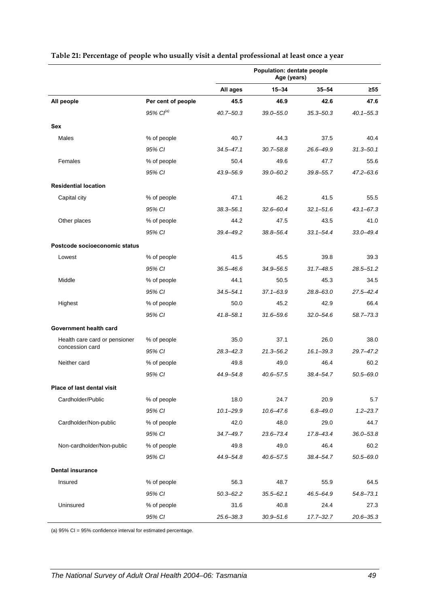|                               |                       | Population: dentate people<br>Age (years) |               |               |               |
|-------------------------------|-----------------------|-------------------------------------------|---------------|---------------|---------------|
|                               |                       | All ages                                  | 15-34         | $35 - 54$     | $\geq 55$     |
| All people                    | Per cent of people    | 45.5                                      | 46.9          | 42.6          | 47.6          |
|                               | 95% Cl <sup>(a)</sup> | $40.7 - 50.3$                             | $39.0 - 55.0$ | $35.3 - 50.3$ | $40.1 - 55.3$ |
| Sex                           |                       |                                           |               |               |               |
| Males                         | % of people           | 40.7                                      | 44.3          | 37.5          | 40.4          |
|                               | 95% CI                | $34.5 - 47.1$                             | $30.7 - 58.8$ | 26.6-49.9     | $31.3 - 50.1$ |
| Females                       | % of people           | 50.4                                      | 49.6          | 47.7          | 55.6          |
|                               | 95% CI                | 43.9-56.9                                 | $39.0 - 60.2$ | $39.8 - 55.7$ | $47.2 - 63.6$ |
| <b>Residential location</b>   |                       |                                           |               |               |               |
| Capital city                  | % of people           | 47.1                                      | 46.2          | 41.5          | 55.5          |
|                               | 95% CI                | $38.3 - 56.1$                             | $32.6 - 60.4$ | $32.1 - 51.6$ | $43.1 - 67.3$ |
| Other places                  | % of people           | 44.2                                      | 47.5          | 43.5          | 41.0          |
|                               | 95% CI                | 39.4-49.2                                 | 38.8-56.4     | $33.1 - 54.4$ | $33.0 - 49.4$ |
| Postcode socioeconomic status |                       |                                           |               |               |               |
| Lowest                        | % of people           | 41.5                                      | 45.5          | 39.8          | 39.3          |
|                               | 95% CI                | $36.5 - 46.6$                             | 34.9-56.5     | $31.7 - 48.5$ | $28.5 - 51.2$ |
| Middle                        | % of people           | 44.1                                      | 50.5          | 45.3          | 34.5          |
|                               | 95% CI                | $34.5 - 54.1$                             | $37.1 - 63.9$ | $28.8 - 63.0$ | $27.5 - 42.4$ |
| Highest                       | % of people           | 50.0                                      | 45.2          | 42.9          | 66.4          |
|                               | 95% CI                | $41.8 - 58.1$                             | $31.6 - 59.6$ | $32.0 - 54.6$ | 58.7-73.3     |
| Government health card        |                       |                                           |               |               |               |
| Health care card or pensioner | % of people           | 35.0                                      | 37.1          | 26.0          | 38.0          |
| concession card               | 95% CI                | $28.3 - 42.3$                             | 21.3-56.2     | $16.1 - 39.3$ | 29.7-47.2     |
| Neither card                  | % of people           | 49.8                                      | 49.0          | 46.4          | 60.2          |
|                               | 95% CI                | 44.9-54.8                                 | $40.6 - 57.5$ | 38.4-54.7     | $50.5 - 69.0$ |
| Place of last dental visit    |                       |                                           |               |               |               |
| Cardholder/Public             | % of people           | 18.0                                      | 24.7          | 20.9          | 5.7           |
|                               | 95% CI                | $10.1 - 29.9$                             | $10.6 - 47.6$ | $6.8 - 49.0$  | $1.2 - 23.7$  |
| Cardholder/Non-public         | % of people           | 42.0                                      | 48.0          | 29.0          | 44.7          |
|                               | 95% CI                | $34.7 - 49.7$                             | 23.6-73.4     | 17.8-43.4     | $36.0 - 53.8$ |
| Non-cardholder/Non-public     | % of people           | 49.8                                      | 49.0          | 46.4          | 60.2          |
|                               | 95% CI                | 44.9-54.8                                 | $40.6 - 57.5$ | 38.4-54.7     | $50.5 - 69.0$ |
| <b>Dental insurance</b>       |                       |                                           |               |               |               |
| Insured                       | % of people           | 56.3                                      | 48.7          | 55.9          | 64.5          |
|                               | 95% CI                | $50.3 - 62.2$                             | $35.5 - 62.1$ | 46.5-64.9     | $54.8 - 73.1$ |
| Uninsured                     | % of people           | 31.6                                      | 40.8          | 24.4          | 27.3          |
|                               | 95% CI                | 25.6-38.3                                 | $30.9 - 51.6$ | $17.7 - 32.7$ | $20.6 - 35.3$ |

#### <span id="page-56-0"></span>**Table 21: Percentage of people who usually visit a dental professional at least once a year**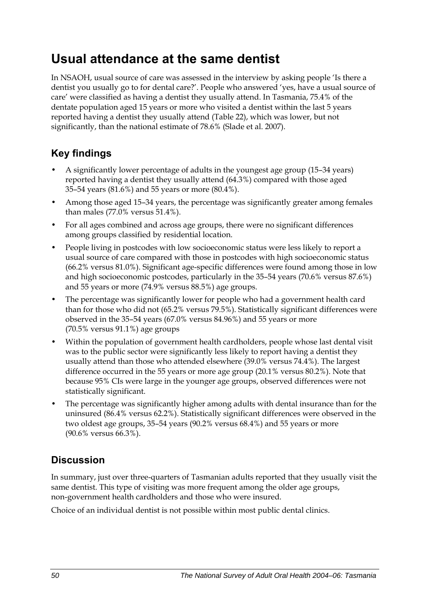## **Usual attendance at the same dentist**

In NSAOH, usual source of care was assessed in the interview by asking people 'Is there a dentist you usually go to for dental care?'. People who answered 'yes, have a usual source of care' were classified as having a dentist they usually attend. In Tasmania, 75.4% of the dentate population aged 15 years or more who visited a dentist within the last 5 years reported having a dentist they usually attend [\(Table 22\)](#page-58-0), which was lower, but not significantly, than the national estimate of 78.6% (Slade et al. 2007).

### **Key findings**

- A significantly lower percentage of adults in the youngest age group (15–34 years) reported having a dentist they usually attend (64.3%) compared with those aged 35–54 years (81.6%) and 55 years or more (80.4%).
- Among those aged 15–34 years, the percentage was significantly greater among females than males (77.0% versus 51.4%).
- For all ages combined and across age groups, there were no significant differences among groups classified by residential location.
- People living in postcodes with low socioeconomic status were less likely to report a usual source of care compared with those in postcodes with high socioeconomic status (66.2% versus 81.0%). Significant age-specific differences were found among those in low and high socioeconomic postcodes, particularly in the 35–54 years (70.6% versus 87.6%) and 55 years or more (74.9% versus 88.5%) age groups.
- The percentage was significantly lower for people who had a government health card than for those who did not (65.2% versus 79.5%). Statistically significant differences were observed in the 35–54 years (67.0% versus 84.96%) and 55 years or more (70.5% versus 91.1%) age groups
- Within the population of government health cardholders, people whose last dental visit was to the public sector were significantly less likely to report having a dentist they usually attend than those who attended elsewhere (39.0% versus 74.4%). The largest difference occurred in the 55 years or more age group (20.1% versus 80.2%). Note that because 95% CIs were large in the younger age groups, observed differences were not statistically significant.
- The percentage was significantly higher among adults with dental insurance than for the uninsured (86.4% versus 62.2%). Statistically significant differences were observed in the two oldest age groups, 35–54 years (90.2% versus 68.4%) and 55 years or more (90.6% versus 66.3%).

### **Discussion**

In summary, just over three-quarters of Tasmanian adults reported that they usually visit the same dentist. This type of visiting was more frequent among the older age groups, non-government health cardholders and those who were insured.

Choice of an individual dentist is not possible within most public dental clinics.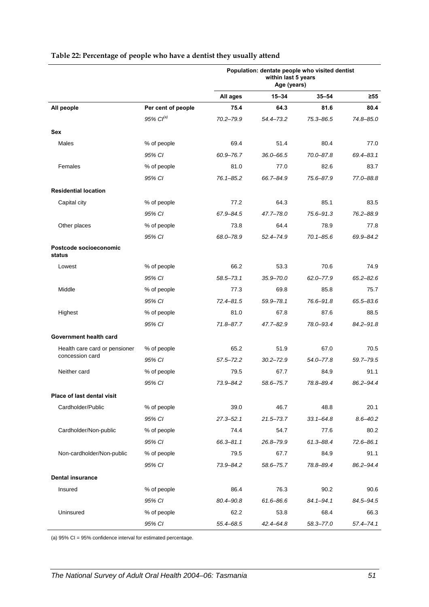|                                  |                    | Population: dentate people who visited dentist<br>within last 5 years<br>Age (years) |               |               |               |  |
|----------------------------------|--------------------|--------------------------------------------------------------------------------------|---------------|---------------|---------------|--|
|                                  |                    | All ages                                                                             | $15 - 34$     | $35 - 54$     | ≥55           |  |
| All people                       | Per cent of people | 75.4                                                                                 | 64.3          | 81.6          | 80.4          |  |
|                                  | $95\%$ $Cl^{(a)}$  | 70.2-79.9                                                                            | 54.4-73.2     | 75.3-86.5     | 74.8-85.0     |  |
| Sex                              |                    |                                                                                      |               |               |               |  |
| Males                            | % of people        | 69.4                                                                                 | 51.4          | 80.4          | 77.0          |  |
|                                  | 95% CI             | 60.9-76.7                                                                            | $36.0 - 66.5$ | 70.0-87.8     | $69.4 - 83.1$ |  |
| Females                          | % of people        | 81.0                                                                                 | 77.0          | 82.6          | 83.7          |  |
|                                  | 95% CI             | $76.1 - 85.2$                                                                        | 66.7-84.9     | 75.6-87.9     | 77.0-88.8     |  |
| <b>Residential location</b>      |                    |                                                                                      |               |               |               |  |
| Capital city                     | % of people        | 77.2                                                                                 | 64.3          | 85.1          | 83.5          |  |
|                                  | 95% CI             | 67.9-84.5                                                                            | 47.7-78.0     | $75.6 - 91.3$ | 76.2-88.9     |  |
| Other places                     | % of people        | 73.8                                                                                 | 64.4          | 78.9          | 77.8          |  |
|                                  | 95% CI             | 68.0-78.9                                                                            | $52.4 - 74.9$ | $70.1 - 85.6$ | 69.9-84.2     |  |
| Postcode socioeconomic<br>status |                    |                                                                                      |               |               |               |  |
| Lowest                           | % of people        | 66.2                                                                                 | 53.3          | 70.6          | 74.9          |  |
|                                  | 95% CI             | $58.5 - 73.1$                                                                        | $35.9 - 70.0$ | $62.0 - 77.9$ | $65.2 - 82.6$ |  |
| Middle                           | % of people        | 77.3                                                                                 | 69.8          | 85.8          | 75.7          |  |
|                                  | 95% CI             | 72.4-81.5                                                                            | $59.9 - 78.1$ | 76.6-91.8     | 65.5-83.6     |  |
| Highest                          | % of people        | 81.0                                                                                 | 67.8          | 87.6          | 88.5          |  |
|                                  | 95% CI             | 71.8-87.7                                                                            | $47.7 - 82.9$ | 78.0-93.4     | 84.2-91.8     |  |
| Government health card           |                    |                                                                                      |               |               |               |  |
| Health care card or pensioner    | % of people        | 65.2                                                                                 | 51.9          | 67.0          | 70.5          |  |
| concession card                  | 95% CI             | $57.5 - 72.2$                                                                        | $30.2 - 72.9$ | $54.0 - 77.8$ | 59.7-79.5     |  |
| Neither card                     | % of people        | 79.5                                                                                 | 67.7          | 84.9          | 91.1          |  |
|                                  | 95% CI             | 73.9-84.2                                                                            | 58.6-75.7     | 78.8-89.4     | 86.2-94.4     |  |
| Place of last dental visit       |                    |                                                                                      |               |               |               |  |
| Cardholder/Public                | % of people        | 39.0                                                                                 | 46.7          | 48.8          | 20.1          |  |
|                                  | 95% CI             | $27.3 - 52.1$                                                                        | $21.5 - 73.7$ | $33.1 - 64.8$ | $8.6 - 40.2$  |  |
| Cardholder/Non-public            | % of people        | 74.4                                                                                 | 54.7          | 77.6          | 80.2          |  |
|                                  | 95% CI             | 66.3-81.1                                                                            | 26.8-79.9     | $61.3 - 88.4$ | $72.6 - 86.1$ |  |
| Non-cardholder/Non-public        | % of people        | 79.5                                                                                 | 67.7          | 84.9          | 91.1          |  |
|                                  | 95% CI             | 73.9-84.2                                                                            | 58.6-75.7     | 78.8-89.4     | 86.2-94.4     |  |
| <b>Dental insurance</b>          |                    |                                                                                      |               |               |               |  |
| Insured                          | % of people        | 86.4                                                                                 | 76.3          | 90.2          | 90.6          |  |
|                                  | 95% CI             | $80.4 - 90.8$                                                                        | $61.6 - 86.6$ | $84.1 - 94.1$ | 84.5-94.5     |  |
| Uninsured                        | % of people        | 62.2                                                                                 | 53.8          | 68.4          | 66.3          |  |
|                                  | 95% CI             | 55.4-68.5                                                                            | $42.4 - 64.8$ | $58.3 - 77.0$ | 57.4–74.1     |  |

#### <span id="page-58-0"></span>**Table 22: Percentage of people who have a dentist they usually attend**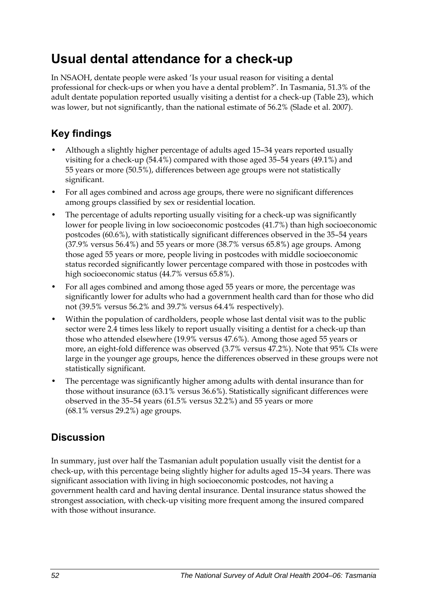## **Usual dental attendance for a check-up**

In NSAOH, dentate people were asked 'Is your usual reason for visiting a dental professional for check-ups or when you have a dental problem?'. In Tasmania, 51.3% of the adult dentate population reported usually visiting a dentist for a check-up [\(Table 23\)](#page-60-0), which was lower, but not significantly, than the national estimate of 56.2% (Slade et al. 2007).

### **Key findings**

- Although a slightly higher percentage of adults aged 15–34 years reported usually visiting for a check-up (54.4%) compared with those aged 35–54 years (49.1%) and 55 years or more (50.5%), differences between age groups were not statistically significant.
- For all ages combined and across age groups, there were no significant differences among groups classified by sex or residential location.
- The percentage of adults reporting usually visiting for a check-up was significantly lower for people living in low socioeconomic postcodes (41.7%) than high socioeconomic postcodes (60.6%), with statistically significant differences observed in the 35–54 years (37.9% versus 56.4%) and 55 years or more (38.7% versus 65.8%) age groups. Among those aged 55 years or more, people living in postcodes with middle socioeconomic status recorded significantly lower percentage compared with those in postcodes with high socioeconomic status (44.7% versus 65.8%).
- For all ages combined and among those aged 55 years or more, the percentage was significantly lower for adults who had a government health card than for those who did not (39.5% versus 56.2% and 39.7% versus 64.4% respectively).
- Within the population of cardholders, people whose last dental visit was to the public sector were 2.4 times less likely to report usually visiting a dentist for a check-up than those who attended elsewhere (19.9% versus 47.6%). Among those aged 55 years or more, an eight-fold difference was observed (3.7% versus 47.2%). Note that 95% CIs were large in the younger age groups, hence the differences observed in these groups were not statistically significant.
- The percentage was significantly higher among adults with dental insurance than for those without insurance (63.1% versus 36.6%). Statistically significant differences were observed in the 35–54 years (61.5% versus 32.2%) and 55 years or more (68.1% versus 29.2%) age groups.

### **Discussion**

In summary, just over half the Tasmanian adult population usually visit the dentist for a check-up, with this percentage being slightly higher for adults aged 15–34 years. There was significant association with living in high socioeconomic postcodes, not having a government health card and having dental insurance. Dental insurance status showed the strongest association, with check-up visiting more frequent among the insured compared with those without insurance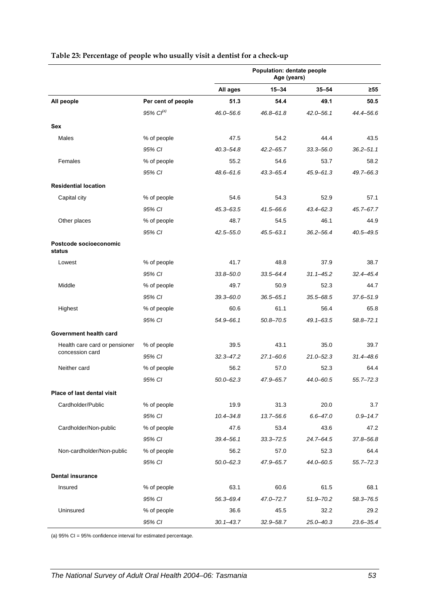|                                                  |                    | Population: dentate people<br>Age (years) |               |               |               |
|--------------------------------------------------|--------------------|-------------------------------------------|---------------|---------------|---------------|
|                                                  |                    | All ages                                  | 15-34         | $35 - 54$     | $\geq 55$     |
| All people                                       | Per cent of people | 51.3                                      | 54.4          | 49.1          | 50.5          |
|                                                  | 95% $Cl^{(a)}$     | $46.0 - 56.6$                             | $46.8 - 61.8$ | $42.0 - 56.1$ | 44.4-56.6     |
| Sex                                              |                    |                                           |               |               |               |
| Males                                            | % of people        | 47.5                                      | 54.2          | 44.4          | 43.5          |
|                                                  | 95% CI             | $40.3 - 54.8$                             | $42.2 - 65.7$ | $33.3 - 56.0$ | $36.2 - 51.1$ |
| Females                                          | % of people        | 55.2                                      | 54.6          | 53.7          | 58.2          |
|                                                  | 95% CI             | $48.6 - 61.6$                             | $43.3 - 65.4$ | $45.9 - 61.3$ | 49.7-66.3     |
| <b>Residential location</b>                      |                    |                                           |               |               |               |
| Capital city                                     | % of people        | 54.6                                      | 54.3          | 52.9          | 57.1          |
|                                                  | 95% CI             | $45.3 - 63.5$                             | 41.5-66.6     | $43.4 - 62.3$ | $45.7 - 67.7$ |
| Other places                                     | % of people        | 48.7                                      | 54.5          | 46.1          | 44.9          |
|                                                  | 95% CI             | $42.5 - 55.0$                             | $45.5 - 63.1$ | $36.2 - 56.4$ | $40.5 - 49.5$ |
| Postcode socioeconomic<br>status                 |                    |                                           |               |               |               |
| Lowest                                           | % of people        | 41.7                                      | 48.8          | 37.9          | 38.7          |
|                                                  | 95% CI             | $33.8 - 50.0$                             | $33.5 - 64.4$ | $31.1 - 45.2$ | $32.4 - 45.4$ |
| Middle                                           | % of people        | 49.7                                      | 50.9          | 52.3          | 44.7          |
|                                                  | 95% CI             | $39.3 - 60.0$                             | $36.5 - 65.1$ | $35.5 - 68.5$ | 37.6-51.9     |
| Highest                                          | % of people        | 60.6                                      | 61.1          | 56.4          | 65.8          |
|                                                  | 95% CI             | 54.9-66.1                                 | $50.8 - 70.5$ | $49.1 - 63.5$ | 58.8-72.1     |
| Government health card                           |                    |                                           |               |               |               |
| Health care card or pensioner<br>concession card | % of people        | 39.5                                      | 43.1          | 35.0          | 39.7          |
|                                                  | 95% CI             | $32.3 - 47.2$                             | $27.1 - 60.6$ | $21.0 - 52.3$ | 31.4-48.6     |
| Neither card                                     | % of people        | 56.2                                      | 57.0          | 52.3          | 64.4          |
|                                                  | 95% CI             | $50.0 - 62.3$                             | 47.9-65.7     | 44.0-60.5     | 55.7–72.3     |
| Place of last dental visit                       |                    |                                           |               |               |               |
| Cardholder/Public                                | % of people        | 19.9                                      | 31.3          | 20.0          | 3.7           |
|                                                  | 95% CI             | $10.4 - 34.8$                             | 13.7-56.6     | $6.6 - 47.0$  | $0.9 - 14.7$  |
| Cardholder/Non-public                            | % of people        | 47.6                                      | 53.4          | 43.6          | 47.2          |
|                                                  | 95% CI             | $39.4 - 56.1$                             | $33.3 - 72.5$ | $24.7 - 64.5$ | 37.8-56.8     |
| Non-cardholder/Non-public                        | % of people        | 56.2                                      | 57.0          | 52.3          | 64.4          |
|                                                  | 95% CI             | $50.0 - 62.3$                             | 47.9–65.7     | 44.0-60.5     | $55.7 - 72.3$ |
| <b>Dental insurance</b>                          |                    |                                           |               |               |               |
| Insured                                          | % of people        | 63.1                                      | 60.6          | 61.5          | 68.1          |
|                                                  | 95% CI             | 56.3-69.4                                 | 47.0-72.7     | $51.9 - 70.2$ | 58.3-76.5     |
| Uninsured                                        | % of people        | 36.6                                      | 45.5          | 32.2          | 29.2          |
|                                                  | 95% CI             | $30.1 - 43.7$                             | 32.9 - 58.7   | $25.0 - 40.3$ | 23.6-35.4     |

#### <span id="page-60-0"></span>**Table 23: Percentage of people who usually visit a dentist for a check-up**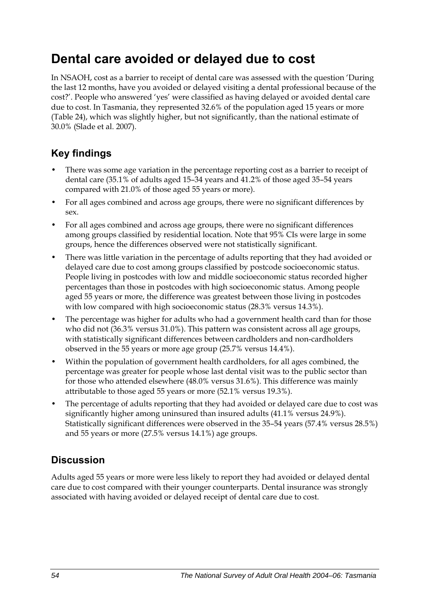## **Dental care avoided or delayed due to cost**

In NSAOH, cost as a barrier to receipt of dental care was assessed with the question 'During the last 12 months, have you avoided or delayed visiting a dental professional because of the cost?'. People who answered 'yes' were classified as having delayed or avoided dental care due to cost. In Tasmania, they represented 32.6% of the population aged 15 years or more ([Table 24](#page-62-0)), which was slightly higher, but not significantly, than the national estimate of 30.0% (Slade et al. 2007).

### **Key findings**

- There was some age variation in the percentage reporting cost as a barrier to receipt of dental care (35.1% of adults aged 15–34 years and 41.2% of those aged 35–54 years compared with 21.0% of those aged 55 years or more).
- For all ages combined and across age groups, there were no significant differences by sex.
- For all ages combined and across age groups, there were no significant differences among groups classified by residential location. Note that 95% CIs were large in some groups, hence the differences observed were not statistically significant.
- There was little variation in the percentage of adults reporting that they had avoided or delayed care due to cost among groups classified by postcode socioeconomic status. People living in postcodes with low and middle socioeconomic status recorded higher percentages than those in postcodes with high socioeconomic status. Among people aged 55 years or more, the difference was greatest between those living in postcodes with low compared with high socioeconomic status (28.3% versus 14.3%).
- The percentage was higher for adults who had a government health card than for those who did not (36.3% versus 31.0%). This pattern was consistent across all age groups, with statistically significant differences between cardholders and non-cardholders observed in the 55 years or more age group (25.7% versus 14.4%).
- Within the population of government health cardholders, for all ages combined, the percentage was greater for people whose last dental visit was to the public sector than for those who attended elsewhere (48.0% versus 31.6%). This difference was mainly attributable to those aged 55 years or more (52.1% versus 19.3%).
- The percentage of adults reporting that they had avoided or delayed care due to cost was significantly higher among uninsured than insured adults (41.1% versus 24.9%). Statistically significant differences were observed in the 35–54 years (57.4% versus 28.5%) and 55 years or more (27.5% versus 14.1%) age groups.

### **Discussion**

Adults aged 55 years or more were less likely to report they had avoided or delayed dental care due to cost compared with their younger counterparts. Dental insurance was strongly associated with having avoided or delayed receipt of dental care due to cost.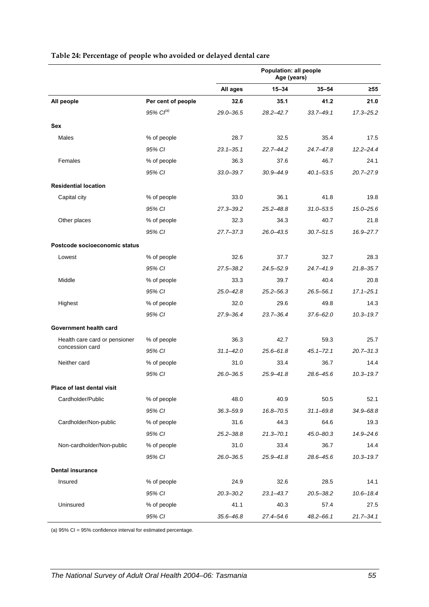<span id="page-62-0"></span>

|                                                  |                    | Population: all people<br>Age (years) |               |               |               |
|--------------------------------------------------|--------------------|---------------------------------------|---------------|---------------|---------------|
|                                                  |                    | All ages                              | $15 - 34$     | $35 - 54$     | ≥55           |
| All people                                       | Per cent of people | 32.6                                  | 35.1          | 41.2          | 21.0          |
|                                                  | $95\%$ $Cl^{(a)}$  | 29.0-36.5                             | $28.2 - 42.7$ | $33.7 - 49.1$ | $17.3 - 25.2$ |
| <b>Sex</b>                                       |                    |                                       |               |               |               |
| Males                                            | % of people        | 28.7                                  | 32.5          | 35.4          | 17.5          |
|                                                  | 95% CI             | $23.1 - 35.1$                         | $22.7 - 44.2$ | 24.7-47.8     | $12.2 - 24.4$ |
| Females                                          | % of people        | 36.3                                  | 37.6          | 46.7          | 24.1          |
|                                                  | 95% CI             | $33.0 - 39.7$                         | $30.9 - 44.9$ | $40.1 - 53.5$ | $20.7 - 27.9$ |
| <b>Residential location</b>                      |                    |                                       |               |               |               |
| Capital city                                     | % of people        | 33.0                                  | 36.1          | 41.8          | 19.8          |
|                                                  | 95% CI             | $27.3 - 39.2$                         | $25.2 - 48.8$ | $31.0 - 53.5$ | $15.0 - 25.6$ |
| Other places                                     | % of people        | 32.3                                  | 34.3          | 40.7          | 21.8          |
|                                                  | 95% CI             | 27.7–37.3                             | $26.0 - 43.5$ | $30.7 - 51.5$ | 16.9-27.7     |
| Postcode socioeconomic status                    |                    |                                       |               |               |               |
| Lowest                                           | % of people        | 32.6                                  | 37.7          | 32.7          | 28.3          |
|                                                  | 95% CI             | $27.5 - 38.2$                         | $24.5 - 52.9$ | 24.7-41.9     | $21.8 - 35.7$ |
| Middle                                           | % of people        | 33.3                                  | 39.7          | 40.4          | 20.8          |
|                                                  | 95% CI             | 25.0-42.8                             | $25.2 - 56.3$ | $26.5 - 56.1$ | $17.1 - 25.1$ |
| Highest                                          | % of people        | 32.0                                  | 29.6          | 49.8          | 14.3          |
|                                                  | 95% CI             | 27.9-36.4                             | $23.7 - 36.4$ | $37.6 - 62.0$ | $10.3 - 19.7$ |
| Government health card                           |                    |                                       |               |               |               |
| Health care card or pensioner<br>concession card | % of people        | 36.3                                  | 42.7          | 59.3          | 25.7          |
|                                                  | 95% CI             | $31.1 - 42.0$                         | $25.6 - 61.8$ | $45.1 - 72.1$ | $20.7 - 31.3$ |
| Neither card                                     | % of people        | 31.0                                  | 33.4          | 36.7          | 14.4          |
|                                                  | 95% CI             | $26.0 - 36.5$                         | $25.9 - 41.8$ | 28.6-45.6     | $10.3 - 19.7$ |
| Place of last dental visit                       |                    |                                       |               |               |               |
| Cardholder/Public                                | % of people        | 48.0                                  | 40.9          | 50.5          | 52.1          |
|                                                  | 95% CI             | 36.3-59.9                             | 16.8-70.5     | $31.1 - 69.8$ | 34.9-68.8     |
| Cardholder/Non-public                            | % of people        | 31.6                                  | 44.3          | 64.6          | 19.3          |
|                                                  | 95% CI             | $25.2 - 38.8$                         | $21.3 - 70.1$ | $45.0 - 80.3$ | 14.9-24.6     |
| Non-cardholder/Non-public                        | % of people        | 31.0                                  | 33.4          | 36.7          | 14.4          |
|                                                  | 95% CI             | 26.0–36.5                             | $25.9 - 41.8$ | 28.6-45.6     | $10.3 - 19.7$ |
| <b>Dental insurance</b>                          |                    |                                       |               |               |               |
| Insured                                          | % of people        | 24.9                                  | 32.6          | 28.5          | 14.1          |
|                                                  | 95% CI             | $20.3 - 30.2$                         | $23.1 - 43.7$ | 20.5-38.2     | $10.6 - 18.4$ |
| Uninsured                                        | % of people        | 41.1                                  | 40.3          | 57.4          | 27.5          |
|                                                  | 95% CI             | $35.6 - 46.8$                         | 27.4-54.6     | $48.2 - 66.1$ | $21.7 - 34.1$ |

#### **Table 24: Percentage of people who avoided or delayed dental care**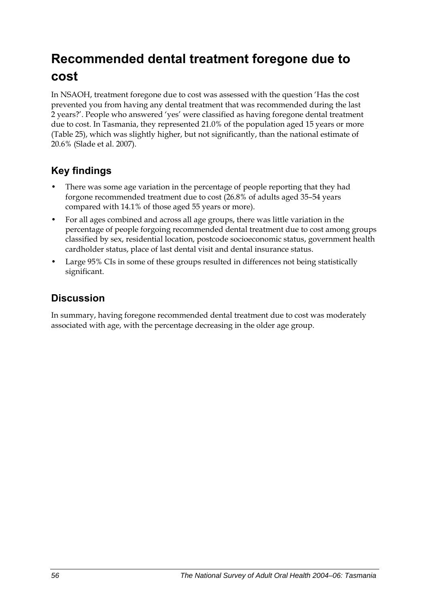## **Recommended dental treatment foregone due to cost**

In NSAOH, treatment foregone due to cost was assessed with the question 'Has the cost prevented you from having any dental treatment that was recommended during the last 2 years?'. People who answered 'yes' were classified as having foregone dental treatment due to cost. In Tasmania, they represented 21.0% of the population aged 15 years or more ([Table 25](#page-64-0)), which was slightly higher, but not significantly, than the national estimate of 20.6% (Slade et al. 2007).

### **Key findings**

- There was some age variation in the percentage of people reporting that they had forgone recommended treatment due to cost (26.8% of adults aged 35–54 years compared with 14.1% of those aged 55 years or more).
- For all ages combined and across all age groups, there was little variation in the percentage of people forgoing recommended dental treatment due to cost among groups classified by sex, residential location, postcode socioeconomic status, government health cardholder status, place of last dental visit and dental insurance status.
- Large 95% CIs in some of these groups resulted in differences not being statistically significant.

### **Discussion**

In summary, having foregone recommended dental treatment due to cost was moderately associated with age, with the percentage decreasing in the older age group.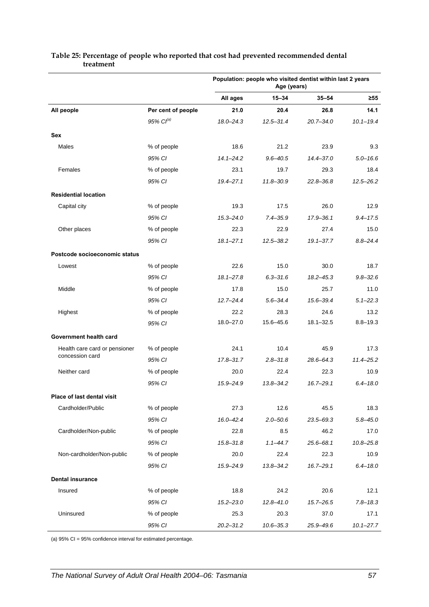|                               |                    | Population: people who visited dentist within last 2 years<br>Age (years) |               |               |               |
|-------------------------------|--------------------|---------------------------------------------------------------------------|---------------|---------------|---------------|
|                               |                    | All ages                                                                  | $15 - 34$     | $35 - 54$     | $\geq 55$     |
| All people                    | Per cent of people | 21.0                                                                      | 20.4          | 26.8          | 14.1          |
|                               | 95% $Cl^{(a)}$     | $18.0 - 24.3$                                                             | $12.5 - 31.4$ | $20.7 - 34.0$ | $10.1 - 19.4$ |
| Sex                           |                    |                                                                           |               |               |               |
| Males                         | % of people        | 18.6                                                                      | 21.2          | 23.9          | 9.3           |
|                               | 95% CI             | $14.1 - 24.2$                                                             | $9.6 - 40.5$  | $14.4 - 37.0$ | $5.0 - 16.6$  |
| Females                       | % of people        | 23.1                                                                      | 19.7          | 29.3          | 18.4          |
|                               | 95% CI             | $19.4 - 27.1$                                                             | $11.8 - 30.9$ | $22.8 - 36.8$ | $12.5 - 26.2$ |
| <b>Residential location</b>   |                    |                                                                           |               |               |               |
| Capital city                  | % of people        | 19.3                                                                      | 17.5          | 26.0          | 12.9          |
|                               | 95% CI             | $15.3 - 24.0$                                                             | $7.4 - 35.9$  | 17.9 - 36.1   | $9.4 - 17.5$  |
| Other places                  | % of people        | 22.3                                                                      | 22.9          | 27.4          | 15.0          |
|                               | 95% CI             | $18.1 - 27.1$                                                             | $12.5 - 38.2$ | $19.1 - 37.7$ | $8.8 - 24.4$  |
| Postcode socioeconomic status |                    |                                                                           |               |               |               |
| Lowest                        | % of people        | 22.6                                                                      | 15.0          | 30.0          | 18.7          |
|                               | 95% CI             | $18.1 - 27.8$                                                             | $6.3 - 31.6$  | $18.2 - 45.3$ | $9.8 - 32.6$  |
| Middle                        | % of people        | 17.8                                                                      | 15.0          | 25.7          | 11.0          |
|                               | 95% CI             | $12.7 - 24.4$                                                             | $5.6 - 34.4$  | 15.6-39.4     | $5.1 - 22.3$  |
| Highest                       | % of people        | 22.2                                                                      | 28.3          | 24.6          | 13.2          |
|                               | 95% CI             | $18.0 - 27.0$                                                             | 15.6-45.6     | $18.1 - 32.5$ | $8.8 - 19.3$  |
| Government health card        |                    |                                                                           |               |               |               |
| Health care card or pensioner | % of people        | 24.1                                                                      | 10.4          | 45.9          | 17.3          |
| concession card               | 95% CI             | 17.8-31.7                                                                 | $2.8 - 31.8$  | $28.6 - 64.3$ | 11.4-25.2     |
| Neither card                  | % of people        | 20.0                                                                      | 22.4          | 22.3          | 10.9          |
|                               | 95% CI             | 15.9-24.9                                                                 | $13.8 - 34.2$ | $16.7 - 29.1$ | $6.4 - 18.0$  |
| Place of last dental visit    |                    |                                                                           |               |               |               |
| Cardholder/Public             | % of people        | 27.3                                                                      | 12.6          | 45.5          | 18.3          |
|                               | 95% CI             | $16.0 - 42.4$                                                             | $2.0 - 50.6$  | 23.5-69.3     | $5.8 - 45.0$  |
| Cardholder/Non-public         | % of people        | 22.8                                                                      | 8.5           | 46.2          | 17.0          |
|                               | 95% CI             | $15.8 - 31.8$                                                             | $1.1 - 44.7$  | $25.6 - 68.1$ | $10.8 - 25.8$ |
| Non-cardholder/Non-public     | % of people        | 20.0                                                                      | 22.4          | 22.3          | 10.9          |
|                               | 95% CI             | 15.9-24.9                                                                 | $13.8 - 34.2$ | $16.7 - 29.1$ | $6.4 - 18.0$  |
| <b>Dental insurance</b>       |                    |                                                                           |               |               |               |
| Insured                       | % of people        | 18.8                                                                      | 24.2          | 20.6          | 12.1          |
|                               | 95% CI             | $15.2 - 23.0$                                                             | $12.8 - 41.0$ | $15.7 - 26.5$ | $7.8 - 18.3$  |
| Uninsured                     | % of people        | 25.3                                                                      | 20.3          | 37.0          | 17.1          |
|                               | 95% CI             | $20.2 - 31.2$                                                             | $10.6 - 35.3$ | 25.9-49.6     | $10.1 - 27.7$ |

#### <span id="page-64-0"></span>**Table 25: Percentage of people who reported that cost had prevented recommended dental treatment**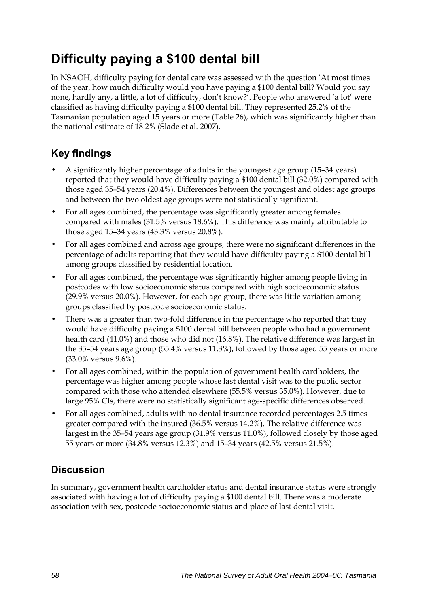## **Difficulty paying a \$100 dental bill**

In NSAOH, difficulty paying for dental care was assessed with the question 'At most times of the year, how much difficulty would you have paying a \$100 dental bill? Would you say none, hardly any, a little, a lot of difficulty, don't know?'. People who answered 'a lot' were classified as having difficulty paying a \$100 dental bill. They represented 25.2% of the Tasmanian population aged 15 years or more [\(Table 26\)](#page-66-0), which was significantly higher than the national estimate of 18.2% (Slade et al. 2007).

### **Key findings**

- A significantly higher percentage of adults in the youngest age group (15–34 years) reported that they would have difficulty paying a \$100 dental bill (32.0%) compared with those aged 35–54 years (20.4%). Differences between the youngest and oldest age groups and between the two oldest age groups were not statistically significant.
- For all ages combined, the percentage was significantly greater among females compared with males (31.5% versus 18.6%). This difference was mainly attributable to those aged 15–34 years (43.3% versus 20.8%).
- For all ages combined and across age groups, there were no significant differences in the percentage of adults reporting that they would have difficulty paying a \$100 dental bill among groups classified by residential location.
- For all ages combined, the percentage was significantly higher among people living in postcodes with low socioeconomic status compared with high socioeconomic status (29.9% versus 20.0%). However, for each age group, there was little variation among groups classified by postcode socioeconomic status.
- There was a greater than two-fold difference in the percentage who reported that they would have difficulty paying a \$100 dental bill between people who had a government health card (41.0%) and those who did not (16.8%). The relative difference was largest in the 35–54 years age group (55.4% versus 11.3%), followed by those aged 55 years or more (33.0% versus 9.6%).
- For all ages combined, within the population of government health cardholders, the percentage was higher among people whose last dental visit was to the public sector compared with those who attended elsewhere (55.5% versus 35.0%). However, due to large 95% CIs, there were no statistically significant age-specific differences observed.
- For all ages combined, adults with no dental insurance recorded percentages 2.5 times greater compared with the insured (36.5% versus 14.2%). The relative difference was largest in the 35–54 years age group (31.9% versus 11.0%), followed closely by those aged 55 years or more (34.8% versus 12.3%) and 15–34 years (42.5% versus 21.5%).

### **Discussion**

In summary, government health cardholder status and dental insurance status were strongly associated with having a lot of difficulty paying a \$100 dental bill. There was a moderate association with sex, postcode socioeconomic status and place of last dental visit.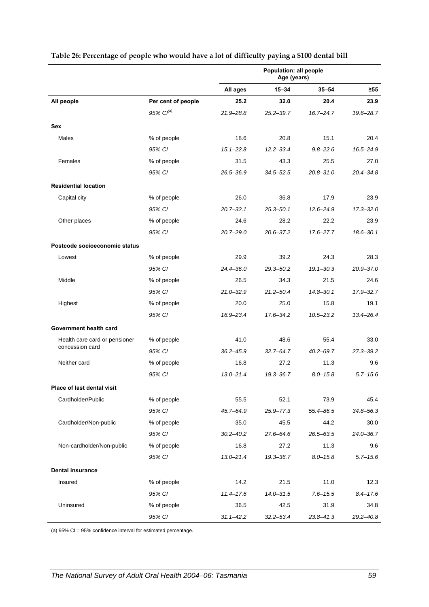|                               |                    | Population: all people<br>Age (years) |               |               |               |
|-------------------------------|--------------------|---------------------------------------|---------------|---------------|---------------|
|                               |                    | All ages                              | $15 - 34$     | $35 - 54$     | ≥55           |
| All people                    | Per cent of people | 25.2                                  | 32.0          | 20.4          | 23.9          |
|                               | 95% $Cl^{(a)}$     | 21.9-28.8                             | $25.2 - 39.7$ | $16.7 - 24.7$ | 19.6-28.7     |
| Sex                           |                    |                                       |               |               |               |
| Males                         | % of people        | 18.6                                  | 20.8          | 15.1          | 20.4          |
|                               | 95% CI             | $15.1 - 22.8$                         | $12.2 - 33.4$ | $9.8 - 22.6$  | 16.5-24.9     |
| Females                       | % of people        | 31.5                                  | 43.3          | 25.5          | 27.0          |
|                               | 95% CI             | 26.5-36.9                             | $34.5 - 52.5$ | $20.8 - 31.0$ | $20.4 - 34.8$ |
| <b>Residential location</b>   |                    |                                       |               |               |               |
| Capital city                  | % of people        | 26.0                                  | 36.8          | 17.9          | 23.9          |
|                               | 95% CI             | $20.7 - 32.1$                         | $25.3 - 50.1$ | $12.6 - 24.9$ | $17.3 - 32.0$ |
| Other places                  | % of people        | 24.6                                  | 28.2          | 22.2          | 23.9          |
|                               | 95% CI             | $20.7 - 29.0$                         | $20.6 - 37.2$ | $17.6 - 27.7$ | $18.6 - 30.1$ |
| Postcode socioeconomic status |                    |                                       |               |               |               |
| Lowest                        | % of people        | 29.9                                  | 39.2          | 24.3          | 28.3          |
|                               | 95% CI             | 24.4-36.0                             | $29.3 - 50.2$ | $19.1 - 30.3$ | $20.9 - 37.0$ |
| Middle                        | % of people        | 26.5                                  | 34.3          | 21.5          | 24.6          |
|                               | 95% CI             | $21.0 - 32.9$                         | $21.2 - 50.4$ | $14.8 - 30.1$ | 17.9-32.7     |
| Highest                       | % of people        | 20.0                                  | 25.0          | 15.8          | 19.1          |
|                               | 95% CI             | 16.9-23.4                             | 17.6-34.2     | $10.5 - 23.2$ | $13.4 - 26.4$ |
| Government health card        |                    |                                       |               |               |               |
| Health care card or pensioner | % of people        | 41.0                                  | 48.6          | 55.4          | 33.0          |
| concession card               | 95% CI             | $36.2 - 45.9$                         | $32.7 - 64.7$ | $40.2 - 69.7$ | $27.3 - 39.2$ |
| Neither card                  | % of people        | 16.8                                  | 27.2          | 11.3          | 9.6           |
|                               | 95% CI             | $13.0 - 21.4$                         | 19.3-36.7     | $8.0 - 15.8$  | $5.7 - 15.6$  |
| Place of last dental visit    |                    |                                       |               |               |               |
| Cardholder/Public             | % of people        | 55.5                                  | 52.1          | 73.9          | 45.4          |
|                               | 95% CI             | 45.7-64.9                             | $25.9 - 77.3$ | 55.4-86.5     | $34.8 - 56.3$ |
| Cardholder/Non-public         | % of people        | 35.0                                  | 45.5          | 44.2          | 30.0          |
|                               | 95% CI             | $30.2 - 40.2$                         | $27.6 - 64.6$ | $26.5 - 63.5$ | $24.0 - 36.7$ |
| Non-cardholder/Non-public     | % of people        | 16.8                                  | 27.2          | 11.3          | 9.6           |
|                               | 95% CI             | $13.0 - 21.4$                         | 19.3-36.7     | $8.0 - 15.8$  | $5.7 - 15.6$  |
| <b>Dental insurance</b>       |                    |                                       |               |               |               |
| Insured                       | % of people        | 14.2                                  | 21.5          | 11.0          | 12.3          |
|                               | 95% CI             | $11.4 - 17.6$                         | $14.0 - 31.5$ | $7.6 - 15.5$  | $8.4 - 17.6$  |
| Uninsured                     | % of people        | 36.5                                  | 42.5          | 31.9          | 34.8          |
|                               | 95% CI             | $31.1 - 42.2$                         | $32.2 - 53.4$ | $23.8 - 41.3$ | $29.2 - 40.8$ |

#### <span id="page-66-0"></span>**Table 26: Percentage of people who would have a lot of difficulty paying a \$100 dental bill**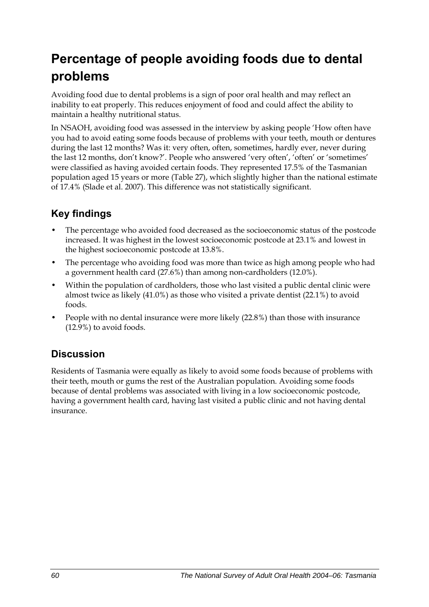## **Percentage of people avoiding foods due to dental problems**

Avoiding food due to dental problems is a sign of poor oral health and may reflect an inability to eat properly. This reduces enjoyment of food and could affect the ability to maintain a healthy nutritional status.

In NSAOH, avoiding food was assessed in the interview by asking people 'How often have you had to avoid eating some foods because of problems with your teeth, mouth or dentures during the last 12 months? Was it: very often, often, sometimes, hardly ever, never during the last 12 months, don't know?'. People who answered 'very often', 'often' or 'sometimes' were classified as having avoided certain foods. They represented 17.5% of the Tasmanian population aged 15 years or more [\(Table 27\)](#page-68-0), which slightly higher than the national estimate of 17.4% (Slade et al. 2007). This difference was not statistically significant.

### **Key findings**

- The percentage who avoided food decreased as the socioeconomic status of the postcode increased. It was highest in the lowest socioeconomic postcode at 23.1% and lowest in the highest socioeconomic postcode at 13.8%.
- The percentage who avoiding food was more than twice as high among people who had a government health card (27.6%) than among non-cardholders (12.0%).
- Within the population of cardholders, those who last visited a public dental clinic were almost twice as likely (41.0%) as those who visited a private dentist (22.1%) to avoid foods.
- People with no dental insurance were more likely (22.8%) than those with insurance (12.9%) to avoid foods.

### **Discussion**

Residents of Tasmania were equally as likely to avoid some foods because of problems with their teeth, mouth or gums the rest of the Australian population. Avoiding some foods because of dental problems was associated with living in a low socioeconomic postcode, having a government health card, having last visited a public clinic and not having dental insurance.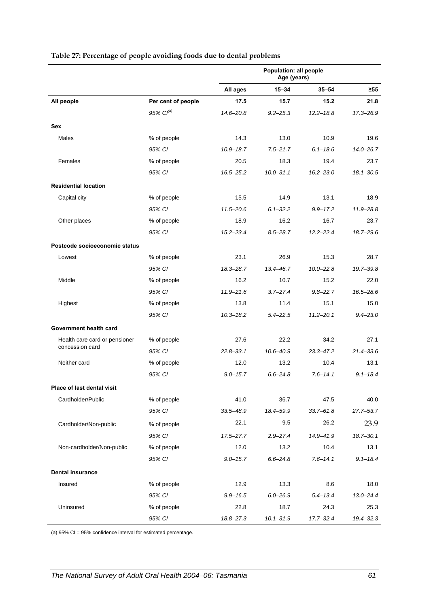|                               |                    | Population: all people<br>Age (years) |               |               |               |
|-------------------------------|--------------------|---------------------------------------|---------------|---------------|---------------|
|                               |                    | All ages                              | $15 - 34$     | $35 - 54$     | ≥55           |
| All people                    | Per cent of people | 17.5                                  | 15.7          | 15.2          | 21.8          |
|                               | 95% $Cl^{(a)}$     | $14.6 - 20.8$                         | $9.2 - 25.3$  | $12.2 - 18.8$ | $17.3 - 26.9$ |
| Sex                           |                    |                                       |               |               |               |
| Males                         | % of people        | 14.3                                  | 13.0          | 10.9          | 19.6          |
|                               | 95% CI             | $10.9 - 18.7$                         | $7.5 - 21.7$  | $6.1 - 18.6$  | $14.0 - 26.7$ |
| Females                       | % of people        | 20.5                                  | 18.3          | 19.4          | 23.7          |
|                               | 95% CI             | $16.5 - 25.2$                         | $10.0 - 31.1$ | $16.2 - 23.0$ | $18.1 - 30.5$ |
| <b>Residential location</b>   |                    |                                       |               |               |               |
| Capital city                  | % of people        | 15.5                                  | 14.9          | 13.1          | 18.9          |
|                               | 95% CI             | $11.5 - 20.6$                         | $6.1 - 32.2$  | $9.9 - 17.2$  | $11.9 - 28.8$ |
| Other places                  | % of people        | 18.9                                  | 16.2          | 16.7          | 23.7          |
|                               | 95% CI             | $15.2 - 23.4$                         | $8.5 - 28.7$  | $12.2 - 22.4$ | 18.7-29.6     |
| Postcode socioeconomic status |                    |                                       |               |               |               |
| Lowest                        | % of people        | 23.1                                  | 26.9          | 15.3          | 28.7          |
|                               | 95% CI             | $18.3 - 28.7$                         | 13.4-46.7     | $10.0 - 22.8$ | 19.7-39.8     |
| Middle                        | % of people        | 16.2                                  | 10.7          | 15.2          | 22.0          |
|                               | 95% CI             | $11.9 - 21.6$                         | $3.7 - 27.4$  | $9.8 - 22.7$  | 16.5-28.6     |
| Highest                       | % of people        | 13.8                                  | 11.4          | 15.1          | 15.0          |
|                               | 95% CI             | $10.3 - 18.2$                         | $5.4 - 22.5$  | $11.2 - 20.1$ | $9.4 - 23.0$  |
| Government health card        |                    |                                       |               |               |               |
| Health care card or pensioner | % of people        | 27.6                                  | 22.2          | 34.2          | 27.1          |
| concession card               | 95% CI             | $22.8 - 33.1$                         | 10.6-40.9     | 23.3-47.2     | $21.4 - 33.6$ |
| Neither card                  | % of people        | 12.0                                  | 13.2          | 10.4          | 13.1          |
|                               | 95% CI             | $9.0 - 15.7$                          | $6.6 - 24.8$  | $7.6 - 14.1$  | $9.1 - 18.4$  |
| Place of last dental visit    |                    |                                       |               |               |               |
| Cardholder/Public             | % of people        | 41.0                                  | 36.7          | 47.5          | 40.0          |
|                               | 95% CI             | $33.5 - 48.9$                         | 18.4-59.9     | $33.7 - 61.8$ | 27.7-53.7     |
| Cardholder/Non-public         | % of people        | 22.1                                  | 9.5           | 26.2          | 23.9          |
|                               | 95% CI             | 17.5-27.7                             | $2.9 - 27.4$  | $14.9 - 41.9$ | $18.7 - 30.1$ |
| Non-cardholder/Non-public     | % of people        | 12.0                                  | 13.2          | 10.4          | 13.1          |
|                               | 95% CI             | $9.0 - 15.7$                          | $6.6 - 24.8$  | $7.6 - 14.1$  | $9.1 - 18.4$  |
| <b>Dental insurance</b>       |                    |                                       |               |               |               |
| Insured                       | % of people        | 12.9                                  | 13.3          | 8.6           | 18.0          |
|                               | 95% CI             | $9.9 - 16.5$                          | $6.0 - 26.9$  | $5.4 - 13.4$  | $13.0 - 24.4$ |
| Uninsured                     | % of people        | 22.8                                  | 18.7          | 24.3          | 25.3          |
|                               | 95% CI             | 18.8-27.3                             | $10.1 - 31.9$ | $17.7 - 32.4$ | 19.4-32.3     |

#### <span id="page-68-0"></span>**Table 27: Percentage of people avoiding foods due to dental problems**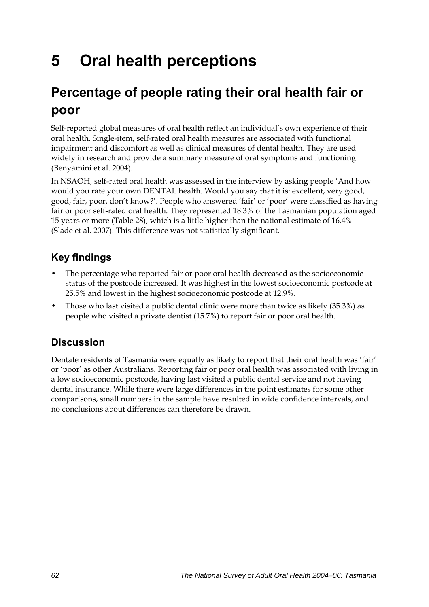# **5 Oral health perceptions**

## **Percentage of people rating their oral health fair or poor**

Self-reported global measures of oral health reflect an individual's own experience of their oral health. Single-item, self-rated oral health measures are associated with functional impairment and discomfort as well as clinical measures of dental health. They are used widely in research and provide a summary measure of oral symptoms and functioning (Benyamini et al. 2004).

In NSAOH, self-rated oral health was assessed in the interview by asking people 'And how would you rate your own DENTAL health. Would you say that it is: excellent, very good, good, fair, poor, don't know?'. People who answered 'fair' or 'poor' were classified as having fair or poor self-rated oral health. They represented 18.3% of the Tasmanian population aged 15 years or more [\(Table 28\)](#page-70-0), which is a little higher than the national estimate of 16.4% (Slade et al. 2007). This difference was not statistically significant.

### **Key findings**

- The percentage who reported fair or poor oral health decreased as the socioeconomic status of the postcode increased. It was highest in the lowest socioeconomic postcode at 25.5% and lowest in the highest socioeconomic postcode at 12.9%.
- Those who last visited a public dental clinic were more than twice as likely (35.3%) as people who visited a private dentist (15.7%) to report fair or poor oral health.

### **Discussion**

Dentate residents of Tasmania were equally as likely to report that their oral health was 'fair' or 'poor' as other Australians. Reporting fair or poor oral health was associated with living in a low socioeconomic postcode, having last visited a public dental service and not having dental insurance. While there were large differences in the point estimates for some other comparisons, small numbers in the sample have resulted in wide confidence intervals, and no conclusions about differences can therefore be drawn.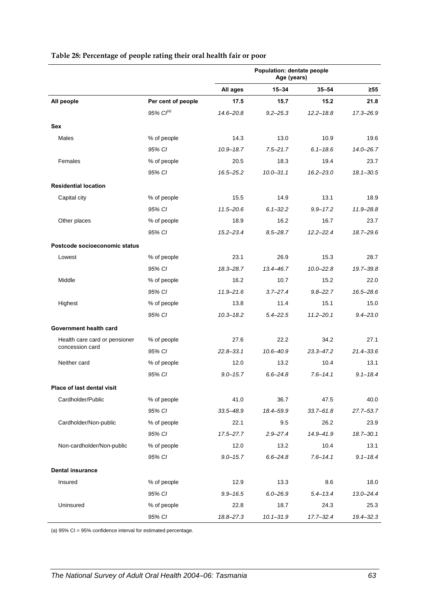<span id="page-70-0"></span>

|                               |                       | Population: dentate people<br>Age (years) |               |               |               |
|-------------------------------|-----------------------|-------------------------------------------|---------------|---------------|---------------|
|                               |                       | All ages                                  | $15 - 34$     | $35 - 54$     | ≥55           |
| All people                    | Per cent of people    | 17.5                                      | 15.7          | 15.2          | 21.8          |
|                               | 95% Cl <sup>(a)</sup> | $14.6 - 20.8$                             | $9.2 - 25.3$  | $12.2 - 18.8$ | 17.3-26.9     |
| <b>Sex</b>                    |                       |                                           |               |               |               |
| Males                         | % of people           | 14.3                                      | 13.0          | 10.9          | 19.6          |
|                               | 95% CI                | $10.9 - 18.7$                             | $7.5 - 21.7$  | $6.1 - 18.6$  | $14.0 - 26.7$ |
| Females                       | % of people           | 20.5                                      | 18.3          | 19.4          | 23.7          |
|                               | 95% CI                | 16.5–25.2                                 | $10.0 - 31.1$ | $16.2 - 23.0$ | $18.1 - 30.5$ |
| <b>Residential location</b>   |                       |                                           |               |               |               |
| Capital city                  | % of people           | 15.5                                      | 14.9          | 13.1          | 18.9          |
|                               | 95% CI                | $11.5 - 20.6$                             | $6.1 - 32.2$  | $9.9 - 17.2$  | 11.9-28.8     |
| Other places                  | % of people           | 18.9                                      | 16.2          | 16.7          | 23.7          |
|                               | 95% CI                | $15.2 - 23.4$                             | $8.5 - 28.7$  | $12.2 - 22.4$ | $18.7 - 29.6$ |
| Postcode socioeconomic status |                       |                                           |               |               |               |
| Lowest                        | % of people           | 23.1                                      | 26.9          | 15.3          | 28.7          |
|                               | 95% CI                | 18.3-28.7                                 | 13.4-46.7     | $10.0 - 22.8$ | 19.7-39.8     |
| Middle                        | % of people           | 16.2                                      | 10.7          | 15.2          | 22.0          |
|                               | 95% CI                | $11.9 - 21.6$                             | $3.7 - 27.4$  | $9.8 - 22.7$  | 16.5-28.6     |
| Highest                       | % of people           | 13.8                                      | 11.4          | 15.1          | 15.0          |
|                               | 95% CI                | $10.3 - 18.2$                             | $5.4 - 22.5$  | $11.2 - 20.1$ | $9.4 - 23.0$  |
| Government health card        |                       |                                           |               |               |               |
| Health care card or pensioner | % of people           | 27.6                                      | 22.2          | 34.2          | 27.1          |
| concession card               | 95% CI                | $22.8 - 33.1$                             | $10.6 - 40.9$ | $23.3 - 47.2$ | $21.4 - 33.6$ |
| Neither card                  | % of people           | 12.0                                      | 13.2          | 10.4          | 13.1          |
|                               | 95% CI                | $9.0 - 15.7$                              | $6.6 - 24.8$  | $7.6 - 14.1$  | $9.1 - 18.4$  |
| Place of last dental visit    |                       |                                           |               |               |               |
| Cardholder/Public             | % of people           | 41.0                                      | 36.7          | 47.5          | 40.0          |
|                               | 95% CI                | $33.5 - 48.9$                             | 18.4-59.9     | $33.7 - 61.8$ | $27.7 - 53.7$ |
| Cardholder/Non-public         | % of people           | 22.1                                      | 9.5           | 26.2          | 23.9          |
|                               | 95% CI                | $17.5 - 27.7$                             | $2.9 - 27.4$  | 14.9-41.9     | $18.7 - 30.1$ |
| Non-cardholder/Non-public     | % of people           | 12.0                                      | 13.2          | 10.4          | 13.1          |
|                               | 95% CI                | $9.0 - 15.7$                              | $6.6 - 24.8$  | $7.6 - 14.1$  | $9.1 - 18.4$  |
| <b>Dental insurance</b>       |                       |                                           |               |               |               |
| Insured                       | % of people           | 12.9                                      | 13.3          | 8.6           | 18.0          |
|                               | 95% CI                | $9.9 - 16.5$                              | $6.0 - 26.9$  | $5.4 - 13.4$  | $13.0 - 24.4$ |
| Uninsured                     | % of people           | 22.8                                      | 18.7          | 24.3          | 25.3          |
|                               | 95% CI                | 18.8-27.3                                 | $10.1 - 31.9$ | $17.7 - 32.4$ | 19.4-32.3     |

#### **Table 28: Percentage of people rating their oral health fair or poor**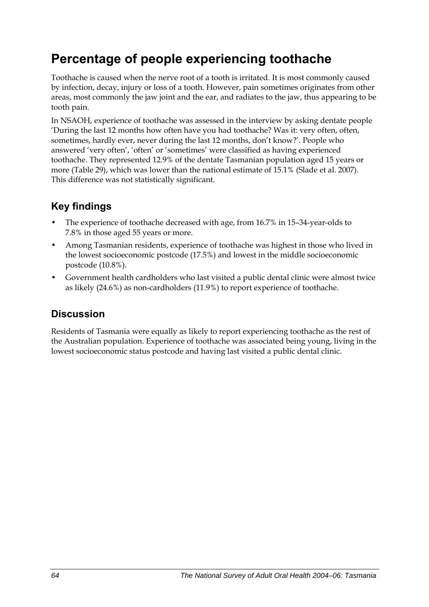## **Percentage of people experiencing toothache**

Toothache is caused when the nerve root of a tooth is irritated. It is most commonly caused by infection, decay, injury or loss of a tooth. However, pain sometimes originates from other areas, most commonly the jaw joint and the ear, and radiates to the jaw, thus appearing to be tooth pain.

In NSAOH, experience of toothache was assessed in the interview by asking dentate people 'During the last 12 months how often have you had toothache? Was it: very often, often, sometimes, hardly ever, never during the last 12 months, don't know?'. People who answered 'very often', 'often' or 'sometimes' were classified as having experienced toothache. They represented 12.9% of the dentate Tasmanian population aged 15 years or more ([Table 29](#page-72-0)), which was lower than the national estimate of 15.1% (Slade et al. 2007). This difference was not statistically significant.

### **Key findings**

- The experience of toothache decreased with age, from 16.7% in 15–34-year-olds to 7.8% in those aged 55 years or more.
- Among Tasmanian residents, experience of toothache was highest in those who lived in the lowest socioeconomic postcode (17.5%) and lowest in the middle socioeconomic postcode (10.8%).
- Government health cardholders who last visited a public dental clinic were almost twice as likely (24.6%) as non-cardholders (11.9%) to report experience of toothache.

### **Discussion**

Residents of Tasmania were equally as likely to report experiencing toothache as the rest of the Australian population. Experience of toothache was associated being young, living in the lowest socioeconomic status postcode and having last visited a public dental clinic.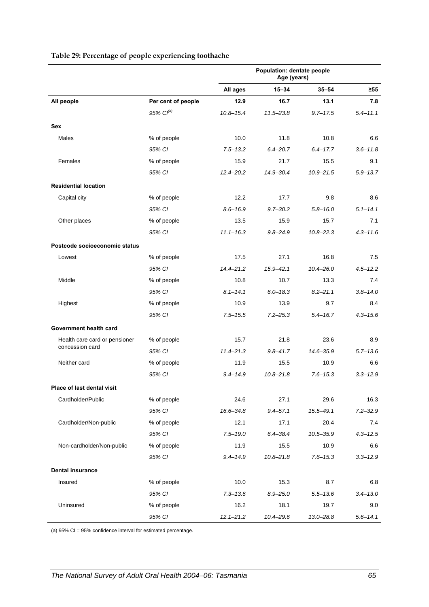|                               |                    | Population: dentate people<br>Age (years) |               |               |              |
|-------------------------------|--------------------|-------------------------------------------|---------------|---------------|--------------|
|                               |                    | All ages                                  | $15 - 34$     | $35 - 54$     | $\geq 55$    |
| All people                    | Per cent of people | 12.9                                      | 16.7          | 13.1          | 7.8          |
|                               | $95\%$ $Cl^{(a)}$  | $10.8 - 15.4$                             | $11.5 - 23.8$ | $9.7 - 17.5$  | $5.4 - 11.1$ |
| Sex                           |                    |                                           |               |               |              |
| Males                         | % of people        | 10.0                                      | 11.8          | 10.8          | 6.6          |
|                               | 95% CI             | $7.5 - 13.2$                              | $6.4 - 20.7$  | $6.4 - 17.7$  | $3.6 - 11.8$ |
| Females                       | % of people        | 15.9                                      | 21.7          | 15.5          | 9.1          |
|                               | 95% CI             | $12.4 - 20.2$                             | 14.9-30.4     | $10.9 - 21.5$ | $5.9 - 13.7$ |
| <b>Residential location</b>   |                    |                                           |               |               |              |
| Capital city                  | % of people        | 12.2                                      | 17.7          | 9.8           | 8.6          |
|                               | 95% CI             | $8.6 - 16.9$                              | $9.7 - 30.2$  | $5.8 - 16.0$  | $5.1 - 14.1$ |
| Other places                  | % of people        | 13.5                                      | 15.9          | 15.7          | 7.1          |
|                               | 95% CI             | $11.1 - 16.3$                             | $9.8 - 24.9$  | $10.8 - 22.3$ | $4.3 - 11.6$ |
| Postcode socioeconomic status |                    |                                           |               |               |              |
| Lowest                        | % of people        | 17.5                                      | 27.1          | 16.8          | 7.5          |
|                               | 95% CI             | $14.4 - 21.2$                             | $15.9 - 42.1$ | 10.4-26.0     | $4.5 - 12.2$ |
| Middle                        | % of people        | 10.8                                      | 10.7          | 13.3          | 7.4          |
|                               | 95% CI             | $8.1 - 14.1$                              | $6.0 - 18.3$  | $8.2 - 21.1$  | $3.8 - 14.0$ |
| Highest                       | % of people        | 10.9                                      | 13.9          | 9.7           | 8.4          |
|                               | 95% CI             | $7.5 - 15.5$                              | $7.2 - 25.3$  | $5.4 - 16.7$  | $4.3 - 15.6$ |
| Government health card        |                    |                                           |               |               |              |
| Health care card or pensioner | % of people        | 15.7                                      | 21.8          | 23.6          | 8.9          |
| concession card               | 95% CI             | $11.4 - 21.3$                             | $9.8 - 41.7$  | 14.6-35.9     | $5.7 - 13.6$ |
| Neither card                  | % of people        | 11.9                                      | 15.5          | 10.9          | 6.6          |
|                               | 95% CI             | $9.4 - 14.9$                              | $10.8 - 21.8$ | $7.6 - 15.3$  | $3.3 - 12.9$ |
| Place of last dental visit    |                    |                                           |               |               |              |
| Cardholder/Public             | % of people        | 24.6                                      | 27.1          | 29.6          | 16.3         |
|                               | 95% CI             | 16.6-34.8                                 | $9.4 - 57.1$  | 15.5-49.1     | $7.2 - 32.9$ |
| Cardholder/Non-public         | % of people        | 12.1                                      | 17.1          | 20.4          | 7.4          |
|                               | 95% CI             | $7.5 - 19.0$                              | $6.4 - 38.4$  | $10.5 - 35.9$ | $4.3 - 12.5$ |
| Non-cardholder/Non-public     | % of people        | 11.9                                      | 15.5          | 10.9          | 6.6          |
|                               | 95% CI             | $9.4 - 14.9$                              | $10.8 - 21.8$ | $7.6 - 15.3$  | $3.3 - 12.9$ |
| <b>Dental insurance</b>       |                    |                                           |               |               |              |
| Insured                       | % of people        | 10.0                                      | 15.3          | 8.7           | 6.8          |
|                               | 95% CI             | $7.3 - 13.6$                              | $8.9 - 25.0$  | $5.5 - 13.6$  | $3.4 - 13.0$ |
| Uninsured                     | % of people        | 16.2                                      | 18.1          | 19.7          | 9.0          |
|                               | 95% CI             | $12.1 - 21.2$                             | $10.4 - 29.6$ | 13.0-28.8     | $5.6 - 14.1$ |

#### <span id="page-72-0"></span>**Table 29: Percentage of people experiencing toothache**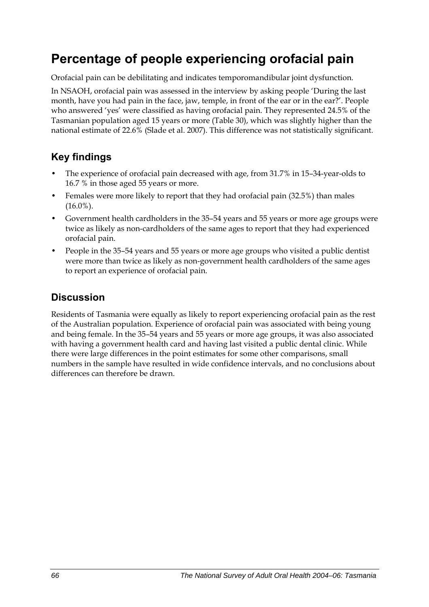## **Percentage of people experiencing orofacial pain**

Orofacial pain can be debilitating and indicates temporomandibular joint dysfunction.

In NSAOH, orofacial pain was assessed in the interview by asking people 'During the last month, have you had pain in the face, jaw, temple, in front of the ear or in the ear?'. People who answered 'yes' were classified as having orofacial pain. They represented 24.5% of the Tasmanian population aged 15 years or more [\(Table 30\)](#page-74-0), which was slightly higher than the national estimate of 22.6% (Slade et al. 2007). This difference was not statistically significant.

### **Key findings**

- The experience of orofacial pain decreased with age, from 31.7% in 15–34-year-olds to 16.7 % in those aged 55 years or more.
- Females were more likely to report that they had orofacial pain (32.5%) than males  $(16.0\%)$ .
- Government health cardholders in the 35–54 years and 55 years or more age groups were twice as likely as non-cardholders of the same ages to report that they had experienced orofacial pain.
- People in the 35–54 years and 55 years or more age groups who visited a public dentist were more than twice as likely as non-government health cardholders of the same ages to report an experience of orofacial pain.

### **Discussion**

Residents of Tasmania were equally as likely to report experiencing orofacial pain as the rest of the Australian population. Experience of orofacial pain was associated with being young and being female. In the 35–54 years and 55 years or more age groups, it was also associated with having a government health card and having last visited a public dental clinic. While there were large differences in the point estimates for some other comparisons, small numbers in the sample have resulted in wide confidence intervals, and no conclusions about differences can therefore be drawn.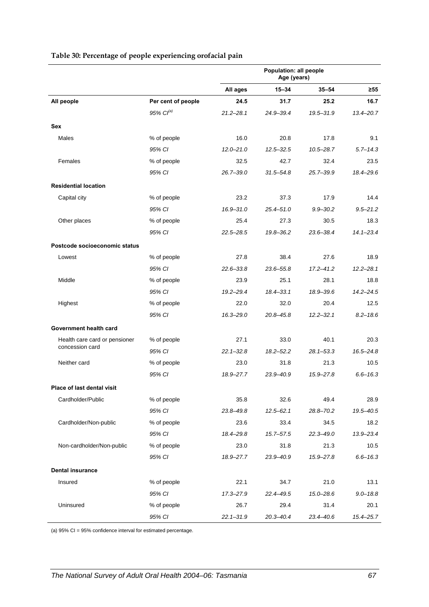|                               |                       | Population: all people<br>Age (years) |               |               |               |
|-------------------------------|-----------------------|---------------------------------------|---------------|---------------|---------------|
|                               |                       | All ages                              | 15-34         | $35 - 54$     | $\geq 55$     |
| All people                    | Per cent of people    | 24.5                                  | 31.7          | 25.2          | 16.7          |
|                               | 95% Cl <sup>(a)</sup> | $21.2 - 28.1$                         | 24.9-39.4     | 19.5-31.9     | $13.4 - 20.7$ |
| Sex                           |                       |                                       |               |               |               |
| Males                         | % of people           | 16.0                                  | 20.8          | 17.8          | 9.1           |
|                               | 95% CI                | $12.0 - 21.0$                         | $12.5 - 32.5$ | $10.5 - 28.7$ | $5.7 - 14.3$  |
| Females                       | % of people           | 32.5                                  | 42.7          | 32.4          | 23.5          |
|                               | 95% CI                | $26.7 - 39.0$                         | $31.5 - 54.8$ | $25.7 - 39.9$ | 18.4-29.6     |
| <b>Residential location</b>   |                       |                                       |               |               |               |
| Capital city                  | % of people           | 23.2                                  | 37.3          | 17.9          | 14.4          |
|                               | 95% CI                | $16.9 - 31.0$                         | $25.4 - 51.0$ | $9.9 - 30.2$  | $9.5 - 21.2$  |
| Other places                  | % of people           | 25.4                                  | 27.3          | 30.5          | 18.3          |
|                               | 95% CI                | $22.5 - 28.5$                         | 19.8-36.2     | $23.6 - 38.4$ | $14.1 - 23.4$ |
| Postcode socioeconomic status |                       |                                       |               |               |               |
| Lowest                        | % of people           | 27.8                                  | 38.4          | 27.6          | 18.9          |
|                               | 95% CI                | $22.6 - 33.8$                         | $23.6 - 55.8$ | $17.2 - 41.2$ | $12.2 - 28.1$ |
| Middle                        | % of people           | 23.9                                  | 25.1          | 28.1          | 18.8          |
|                               | 95% CI                | $19.2 - 29.4$                         | $18.4 - 33.1$ | 18.9-39.6     | $14.2 - 24.5$ |
| Highest                       | % of people           | 22.0                                  | 32.0          | 20.4          | 12.5          |
|                               | 95% CI                | $16.3 - 29.0$                         | 20.8-45.8     | $12.2 - 32.1$ | $8.2 - 18.6$  |
| Government health card        |                       |                                       |               |               |               |
| Health care card or pensioner | % of people           | 27.1                                  | 33.0          | 40.1          | 20.3          |
| concession card               | 95% CI                | $22.1 - 32.8$                         | $18.2 - 52.2$ | $28.1 - 53.3$ | $16.5 - 24.8$ |
| Neither card                  | % of people           | 23.0                                  | 31.8          | 21.3          | 10.5          |
|                               | 95% CI                | 18.9-27.7                             | 23.9-40.9     | 15.9-27.8     | $6.6 - 16.3$  |
| Place of last dental visit    |                       |                                       |               |               |               |
| Cardholder/Public             | % of people           | 35.8                                  | 32.6          | 49.4          | 28.9          |
|                               | 95% CI                | 23.8-49.8                             | $12.5 - 62.1$ | 28.8-70.2     | 19.5-40.5     |
| Cardholder/Non-public         | % of people           | 23.6                                  | 33.4          | 34.5          | 18.2          |
|                               | 95% CI                | 18.4-29.8                             | $15.7 - 57.5$ | $22.3 - 49.0$ | 13.9-23.4     |
| Non-cardholder/Non-public     | % of people           | 23.0                                  | 31.8          | 21.3          | 10.5          |
|                               | 95% CI                | 18.9-27.7                             | 23.9-40.9     | 15.9-27.8     | $6.6 - 16.3$  |
| <b>Dental insurance</b>       |                       |                                       |               |               |               |
| Insured                       | % of people           | 22.1                                  | 34.7          | 21.0          | 13.1          |
|                               | 95% CI                | 17.3-27.9                             | 22.4-49.5     | 15.0-28.6     | $9.0 - 18.8$  |
| Uninsured                     | % of people           | 26.7                                  | 29.4          | 31.4          | 20.1          |
|                               | 95% CI                | $22.1 - 31.9$                         | $20.3 - 40.4$ | $23.4 - 40.6$ | $15.4 - 25.7$ |

#### <span id="page-74-1"></span><span id="page-74-0"></span>**Table 30: Percentage of people experiencing orofacial pain**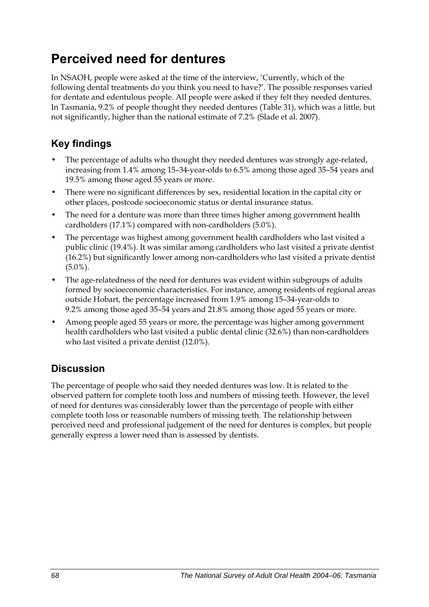## **Perceived need for dentures**

In NSAOH, people were asked at the time of the interview, 'Currently, which of the following dental treatments do you think you need to have?'. The possible responses varied for dentate and edentulous people. All people were asked if they felt they needed dentures. In Tasmania, 9.2% of people thought they needed dentures ([Table 31](#page-76-0)), which was a little, but not significantly, higher than the national estimate of 7.2% (Slade et al. 2007).

### **Key findings**

- The percentage of adults who thought they needed dentures was strongly age-related, increasing from 1.4% among 15–34-year-olds to 6.5% among those aged 35–54 years and 19.5% among those aged 55 years or more.
- There were no significant differences by sex, residential location in the capital city or other places, postcode socioeconomic status or dental insurance status.
- The need for a denture was more than three times higher among government health cardholders (17.1%) compared with non-cardholders (5.0%).
- The percentage was highest among government health cardholders who last visited a public clinic (19.4%). It was similar among cardholders who last visited a private dentist (16.2%) but significantly lower among non-cardholders who last visited a private dentist (5.0%).
- The age-relatedness of the need for dentures was evident within subgroups of adults formed by socioeconomic characteristics. For instance, among residents of regional areas outside Hobart, the percentage increased from 1.9% among 15–34-year-olds to 9.2% among those aged 35–54 years and 21.8% among those aged 55 years or more.
- Among people aged 55 years or more, the percentage was higher among government health cardholders who last visited a public dental clinic (32.6%) than non-cardholders who last visited a private dentist (12.0%).

## **Discussion**

The percentage of people who said they needed dentures was low. It is related to the observed pattern for complete tooth loss and numbers of missing teeth. However, the level of need for dentures was considerably lower than the percentage of people with either complete tooth loss or reasonable numbers of missing teeth. The relationship between perceived need and professional judgement of the need for dentures is complex, but people generally express a lower need than is assessed by dentists.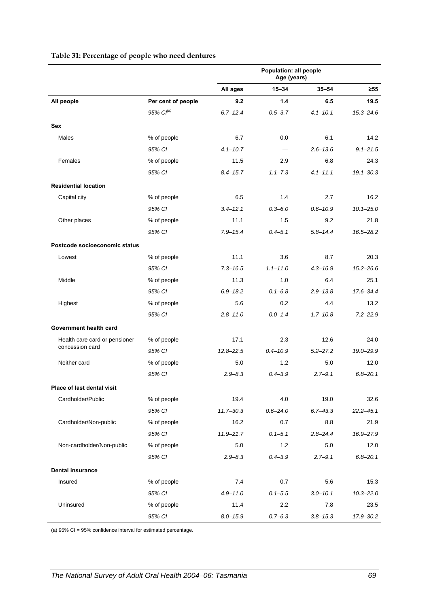<span id="page-76-0"></span>

|                               |                       | Population: all people<br>Age (years) |              |              |               |
|-------------------------------|-----------------------|---------------------------------------|--------------|--------------|---------------|
|                               |                       | All ages                              | $15 - 34$    | $35 - 54$    | $\geq 55$     |
| All people                    | Per cent of people    | 9.2                                   | 1.4          | 6.5          | 19.5          |
|                               | 95% Cl <sup>(a)</sup> | $6.7 - 12.4$                          | $0.5 - 3.7$  | $4.1 - 10.1$ | $15.3 - 24.6$ |
| <b>Sex</b>                    |                       |                                       |              |              |               |
| <b>Males</b>                  | % of people           | 6.7                                   | 0.0          | 6.1          | 14.2          |
|                               | 95% CI                | $4.1 - 10.7$                          |              | $2.6 - 13.6$ | $9.1 - 21.5$  |
| Females                       | % of people           | 11.5                                  | 2.9          | 6.8          | 24.3          |
|                               | 95% CI                | $8.4 - 15.7$                          | $1.1 - 7.3$  | $4.1 - 11.1$ | $19.1 - 30.3$ |
| <b>Residential location</b>   |                       |                                       |              |              |               |
| Capital city                  | % of people           | 6.5                                   | 1.4          | 2.7          | 16.2          |
|                               | 95% CI                | $3.4 - 12.1$                          | $0.3 - 6.0$  | $0.6 - 10.9$ | $10.1 - 25.0$ |
| Other places                  | % of people           | 11.1                                  | 1.5          | 9.2          | 21.8          |
|                               | 95% CI                | $7.9 - 15.4$                          | $0.4 - 5.1$  | $5.8 - 14.4$ | 16.5-28.2     |
| Postcode socioeconomic status |                       |                                       |              |              |               |
| Lowest                        | % of people           | 11.1                                  | 3.6          | 8.7          | 20.3          |
|                               | 95% CI                | $7.3 - 16.5$                          | $1.1 - 11.0$ | $4.3 - 16.9$ | $15.2 - 26.6$ |
| Middle                        | % of people           | 11.3                                  | 1.0          | 6.4          | 25.1          |
|                               | 95% CI                | $6.9 - 18.2$                          | $0.1 - 6.8$  | $2.9 - 13.8$ | 17.6-34.4     |
| Highest                       | % of people           | 5.6                                   | 0.2          | 4.4          | 13.2          |
|                               | 95% CI                | $2.8 - 11.0$                          | $0.0 - 1.4$  | $1.7 - 10.8$ | $7.2 - 22.9$  |
| Government health card        |                       |                                       |              |              |               |
| Health care card or pensioner | % of people           | 17.1                                  | 2.3          | 12.6         | 24.0          |
| concession card               | 95% CI                | $12.8 - 22.5$                         | $0.4 - 10.9$ | $5.2 - 27.2$ | 19.0-29.9     |
| Neither card                  | % of people           | 5.0                                   | 1.2          | 5.0          | 12.0          |
|                               | 95% CI                | $2.9 - 8.3$                           | $0.4 - 3.9$  | $2.7 - 9.1$  | $6.8 - 20.1$  |
| Place of last dental visit    |                       |                                       |              |              |               |
| Cardholder/Public             | % of people           | 19.4                                  | 4.0          | 19.0         | 32.6          |
|                               | 95% CI                | $11.7 - 30.3$                         | $0.6 - 24.0$ | $6.7 - 43.3$ | $22.2 - 45.1$ |
| Cardholder/Non-public         | % of people           | 16.2                                  | 0.7          | 8.8          | 21.9          |
|                               | 95% CI                | $11.9 - 21.7$                         | $0.1 - 5.1$  | $2.8 - 24.4$ | 16.9-27.9     |
| Non-cardholder/Non-public     | % of people           | 5.0                                   | 1.2          | 5.0          | 12.0          |
|                               | 95% CI                | $2.9 - 8.3$                           | $0.4 - 3.9$  | $2.7 - 9.1$  | $6.8 - 20.1$  |
| <b>Dental insurance</b>       |                       |                                       |              |              |               |
| Insured                       | % of people           | 7.4                                   | 0.7          | 5.6          | 15.3          |
|                               | 95% CI                | $4.9 - 11.0$                          | $0.1 - 5.5$  | $3.0 - 10.1$ | $10.3 - 22.0$ |
| Uninsured                     | % of people           | 11.4                                  | 2.2          | 7.8          | 23.5          |
|                               | 95% CI                | $8.0 - 15.9$                          | $0.7 - 6.3$  | $3.8 - 15.3$ | 17.9-30.2     |

#### <span id="page-76-1"></span>**Table 31: Percentage of people who need dentures**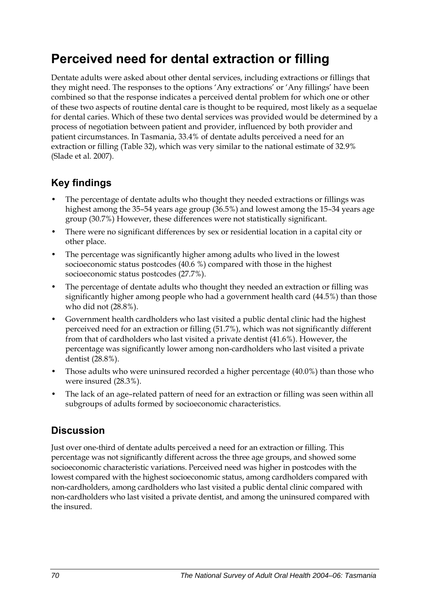## **Perceived need for dental extraction or filling**

Dentate adults were asked about other dental services, including extractions or fillings that they might need. The responses to the options 'Any extractions' or 'Any fillings' have been combined so that the response indicates a perceived dental problem for which one or other of these two aspects of routine dental care is thought to be required, most likely as a sequelae for dental caries. Which of these two dental services was provided would be determined by a process of negotiation between patient and provider, influenced by both provider and patient circumstances. In Tasmania, 33.4% of dentate adults perceived a need for an extraction or filling ([Table 32](#page-78-0)), which was very similar to the national estimate of 32.9% (Slade et al. 2007).

### **Key findings**

- The percentage of dentate adults who thought they needed extractions or fillings was highest among the 35–54 years age group (36.5%) and lowest among the 15–34 years age group (30.7%) However, these differences were not statistically significant.
- There were no significant differences by sex or residential location in a capital city or other place.
- The percentage was significantly higher among adults who lived in the lowest socioeconomic status postcodes (40.6 %) compared with those in the highest socioeconomic status postcodes (27.7%).
- The percentage of dentate adults who thought they needed an extraction or filling was significantly higher among people who had a government health card (44.5%) than those who did not (28.8%).
- Government health cardholders who last visited a public dental clinic had the highest perceived need for an extraction or filling (51.7%), which was not significantly different from that of cardholders who last visited a private dentist (41.6%). However, the percentage was significantly lower among non-cardholders who last visited a private dentist (28.8%).
- Those adults who were uninsured recorded a higher percentage (40.0%) than those who were insured (28.3%).
- The lack of an age–related pattern of need for an extraction or filling was seen within all subgroups of adults formed by socioeconomic characteristics.

### **Discussion**

Just over one-third of dentate adults perceived a need for an extraction or filling. This percentage was not significantly different across the three age groups, and showed some socioeconomic characteristic variations. Perceived need was higher in postcodes with the lowest compared with the highest socioeconomic status, among cardholders compared with non-cardholders, among cardholders who last visited a public dental clinic compared with non-cardholders who last visited a private dentist, and among the uninsured compared with the insured.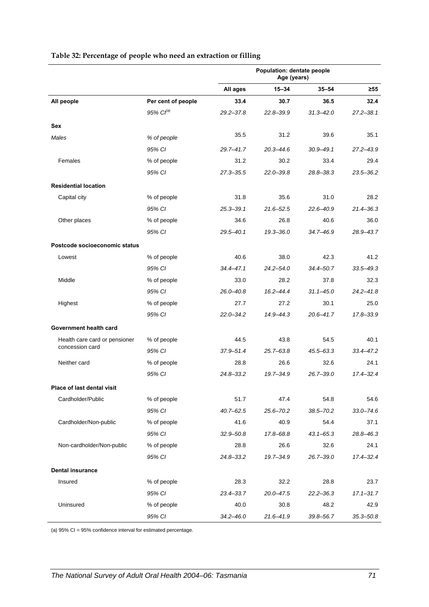<span id="page-78-0"></span>

|                                   |                       | Population: dentate people<br>Age (years) |               |               |               |
|-----------------------------------|-----------------------|-------------------------------------------|---------------|---------------|---------------|
|                                   |                       | All ages                                  | $15 - 34$     | $35 - 54$     | ≥55           |
| All people                        | Per cent of people    | 33.4                                      | 30.7          | 36.5          | 32.4          |
|                                   | 95% Cl <sup>(a)</sup> | $29.2 - 37.8$                             | $22.8 - 39.9$ | $31.3 - 42.0$ | $27.2 - 38.1$ |
| Sex                               |                       |                                           |               |               |               |
| Males                             | % of people           | 35.5                                      | 31.2          | 39.6          | 35.1          |
|                                   | 95% CI                | $29.7 - 41.7$                             | $20.3 - 44.6$ | $30.9 - 49.1$ | 27.2-43.9     |
| Females                           | % of people           | 31.2                                      | 30.2          | 33.4          | 29.4          |
|                                   | 95% CI                | $27.3 - 35.5$                             | $22.0 - 39.8$ | 28.8-38.3     | $23.5 - 36.2$ |
| <b>Residential location</b>       |                       |                                           |               |               |               |
| Capital city                      | % of people           | 31.8                                      | 35.6          | 31.0          | 28.2          |
|                                   | 95% CI                | $25.3 - 39.1$                             | $21.6 - 52.5$ | $22.6 - 40.9$ | $21.4 - 36.3$ |
| Other places                      | % of people           | 34.6                                      | 26.8          | 40.6          | 36.0          |
|                                   | 95% CI                | $29.5 - 40.1$                             | $19.3 - 36.0$ | 34.7-46.9     | 28.9-43.7     |
| Postcode socioeconomic status     |                       |                                           |               |               |               |
| Lowest                            | % of people           | 40.6                                      | 38.0          | 42.3          | 41.2          |
|                                   | 95% CI                | $34.4 - 47.1$                             | $24.2 - 54.0$ | 34.4-50.7     | $33.5 - 49.3$ |
| Middle                            | % of people           | 33.0                                      | 28.2          | 37.8          | 32.3          |
|                                   | 95% CI                | $26.0 - 40.8$                             | $16.2 - 44.4$ | $31.1 - 45.0$ | $24.2 - 41.8$ |
| Highest                           | % of people           | 27.7                                      | 27.2          | 30.1          | 25.0          |
|                                   | 95% CI                | $22.0 - 34.2$                             | 14.9-44.3     | $20.6 - 41.7$ | 17.8-33.9     |
| Government health card            |                       |                                           |               |               |               |
| Health care card or pensioner     | % of people           | 44.5                                      | 43.8          | 54.5          | 40.1          |
| concession card                   | 95% CI                | $37.9 - 51.4$                             | $25.7 - 63.8$ | $45.5 - 63.3$ | $33.4 - 47.2$ |
| Neither card                      | % of people           | 28.8                                      | 26.6          | 32.6          | 24.1          |
|                                   | 95% CI                | $24.8 - 33.2$                             | 19.7-34.9     | $26.7 - 39.0$ | $17.4 - 32.4$ |
| <b>Place of last dental visit</b> |                       |                                           |               |               |               |
| Cardholder/Public                 | % of people           | 51.7                                      | 47.4          | 54.8          | 54.6          |
|                                   | 95% CI                | $40.7 - 62.5$                             | $25.6 - 70.2$ | $38.5 - 70.2$ | $33.0 - 74.6$ |
| Cardholder/Non-public             | % of people           | 41.6                                      | 40.9          | 54.4          | 37.1          |
|                                   | 95% CI                | $32.9 - 50.8$                             | 17.8-68.8     | $43.1 - 65.3$ | 28.8-46.3     |
| Non-cardholder/Non-public         | % of people           | 28.8                                      | 26.6          | 32.6          | 24.1          |
|                                   | 95% CI                | $24.8 - 33.2$                             | 19.7-34.9     | $26.7 - 39.0$ | $17.4 - 32.4$ |
| <b>Dental insurance</b>           |                       |                                           |               |               |               |
| Insured                           | % of people           | 28.3                                      | 32.2          | 28.8          | 23.7          |
|                                   | 95% CI                | $23.4 - 33.7$                             | $20.0 - 47.5$ | $22.2 - 36.3$ | $17.1 - 31.7$ |
| Uninsured                         | % of people           | 40.0                                      | 30.8          | 48.2          | 42.9          |
|                                   | 95% CI                | $34.2 - 46.0$                             | $21.6 - 41.9$ | $39.8 - 56.7$ | $35.3 - 50.8$ |

#### <span id="page-78-1"></span>**Table 32: Percentage of people who need an extraction or filling**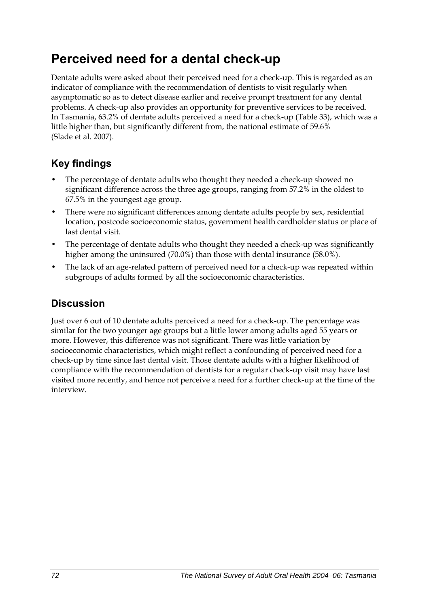## **Perceived need for a dental check-up**

Dentate adults were asked about their perceived need for a check-up. This is regarded as an indicator of compliance with the recommendation of dentists to visit regularly when asymptomatic so as to detect disease earlier and receive prompt treatment for any dental problems. A check-up also provides an opportunity for preventive services to be received. In Tasmania, 63.2% of dentate adults perceived a need for a check-up [\(Table 33\)](#page-80-0), which was a little higher than, but significantly different from, the national estimate of 59.6% (Slade et al. 2007).

## **Key findings**

- The percentage of dentate adults who thought they needed a check-up showed no significant difference across the three age groups, ranging from 57.2% in the oldest to 67.5% in the youngest age group.
- There were no significant differences among dentate adults people by sex, residential location, postcode socioeconomic status, government health cardholder status or place of last dental visit.
- The percentage of dentate adults who thought they needed a check-up was significantly higher among the uninsured (70.0%) than those with dental insurance (58.0%).
- The lack of an age-related pattern of perceived need for a check-up was repeated within subgroups of adults formed by all the socioeconomic characteristics.

### **Discussion**

Just over 6 out of 10 dentate adults perceived a need for a check-up. The percentage was similar for the two younger age groups but a little lower among adults aged 55 years or more. However, this difference was not significant. There was little variation by socioeconomic characteristics, which might reflect a confounding of perceived need for a check-up by time since last dental visit. Those dentate adults with a higher likelihood of compliance with the recommendation of dentists for a regular check-up visit may have last visited more recently, and hence not perceive a need for a further check-up at the time of the interview.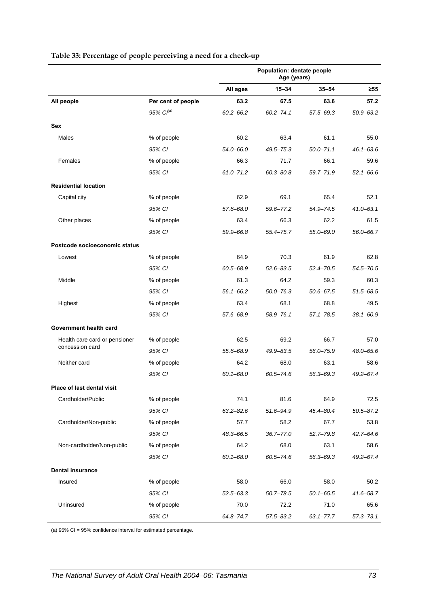<span id="page-80-0"></span>

|                               |                       | Population: dentate people<br>Age (years) |               |               |               |
|-------------------------------|-----------------------|-------------------------------------------|---------------|---------------|---------------|
|                               |                       | All ages                                  | $15 - 34$     | $35 - 54$     | ≥55           |
| All people                    | Per cent of people    | 63.2                                      | 67.5          | 63.6          | 57.2          |
|                               | 95% Cl <sup>(a)</sup> | $60.2 - 66.2$                             | $60.2 - 74.1$ | $57.5 - 69.3$ | $50.9 - 63.2$ |
| <b>Sex</b>                    |                       |                                           |               |               |               |
| Males                         | % of people           | 60.2                                      | 63.4          | 61.1          | 55.0          |
|                               | 95% CI                | 54.0-66.0                                 | $49.5 - 75.3$ | $50.0 - 71.1$ | $46.1 - 63.6$ |
| Females                       | % of people           | 66.3                                      | 71.7          | 66.1          | 59.6          |
|                               | 95% CI                | $61.0 - 71.2$                             | $60.3 - 80.8$ | 59.7-71.9     | $52.1 - 66.6$ |
| <b>Residential location</b>   |                       |                                           |               |               |               |
| Capital city                  | % of people           | 62.9                                      | 69.1          | 65.4          | 52.1          |
|                               | 95% CI                | 57.6-68.0                                 | 59.6-77.2     | 54.9-74.5     | $41.0 - 63.1$ |
| Other places                  | % of people           | 63.4                                      | 66.3          | 62.2          | 61.5          |
|                               | 95% CI                | 59.9-66.8                                 | 55.4-75.7     | 55.0-69.0     | $56.0 - 66.7$ |
| Postcode socioeconomic status |                       |                                           |               |               |               |
| Lowest                        | % of people           | 64.9                                      | 70.3          | 61.9          | 62.8          |
|                               | 95% CI                | 60.5-68.9                                 | $52.6 - 83.5$ | $52.4 - 70.5$ | 54.5–70.5     |
| Middle                        | % of people           | 61.3                                      | 64.2          | 59.3          | 60.3          |
|                               | 95% CI                | $56.1 - 66.2$                             | $50.0 - 76.3$ | $50.6 - 67.5$ | $51.5 - 68.5$ |
| Highest                       | % of people           | 63.4                                      | 68.1          | 68.8          | 49.5          |
|                               | 95% CI                | 57.6-68.9                                 | 58.9-76.1     | $57.1 - 78.5$ | 38.1-60.9     |
| Government health card        |                       |                                           |               |               |               |
| Health care card or pensioner | % of people           | 62.5                                      | 69.2          | 66.7          | 57.0          |
| concession card               | 95% CI                | 55.6-68.9                                 | 49.9-83.5     | 56.0-75.9     | 48.0-65.6     |
| Neither card                  | % of people           | 64.2                                      | 68.0          | 63.1          | 58.6          |
|                               | 95% CI                | $60.1 - 68.0$                             | $60.5 - 74.6$ | $56.3 - 69.3$ | $49.2 - 67.4$ |
| Place of last dental visit    |                       |                                           |               |               |               |
| Cardholder/Public             | % of people           | 74.1                                      | 81.6          | 64.9          | 72.5          |
|                               | 95% CI                | $63.2 - 82.6$                             | 51.6-94.9     | $45.4 - 80.4$ | $50.5 - 87.2$ |
| Cardholder/Non-public         | % of people           | 57.7                                      | 58.2          | 67.7          | 53.8          |
|                               | 95% CI                | 48.3-66.5                                 | $36.7 - 77.0$ | $52.7 - 79.8$ | $42.7 - 64.6$ |
| Non-cardholder/Non-public     | % of people           | 64.2                                      | 68.0          | 63.1          | 58.6          |
|                               | 95% CI                | $60.1 - 68.0$                             | $60.5 - 74.6$ | 56.3-69.3     | 49.2-67.4     |
| <b>Dental insurance</b>       |                       |                                           |               |               |               |
| Insured                       | % of people           | 58.0                                      | 66.0          | 58.0          | 50.2          |
|                               | 95% CI                | $52.5 - 63.3$                             | 50.7-78.5     | $50.1 - 65.5$ | 41.6-58.7     |
| Uninsured                     | % of people           | 70.0                                      | 72.2          | 71.0          | 65.6          |
|                               | 95% CI                | 64.8-74.7                                 | $57.5 - 83.2$ | $63.1 - 77.7$ | $57.3 - 73.1$ |

#### <span id="page-80-1"></span>**Table 33: Percentage of people perceiving a need for a check-up**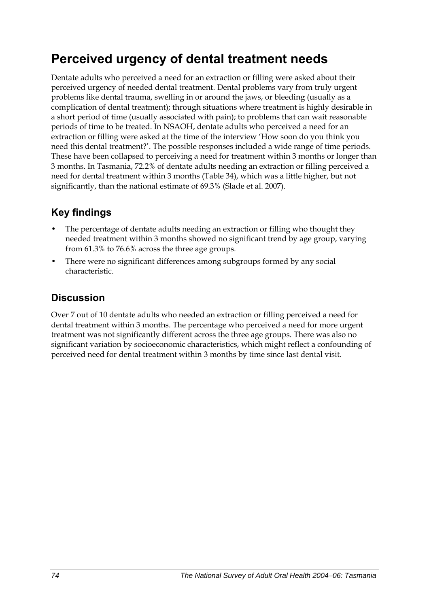## **Perceived urgency of dental treatment needs**

Dentate adults who perceived a need for an extraction or filling were asked about their perceived urgency of needed dental treatment. Dental problems vary from truly urgent problems like dental trauma, swelling in or around the jaws, or bleeding (usually as a complication of dental treatment); through situations where treatment is highly desirable in a short period of time (usually associated with pain); to problems that can wait reasonable periods of time to be treated. In NSAOH, dentate adults who perceived a need for an extraction or filling were asked at the time of the interview 'How soon do you think you need this dental treatment?'. The possible responses included a wide range of time periods. These have been collapsed to perceiving a need for treatment within 3 months or longer than 3 months. In Tasmania, 72.2% of dentate adults needing an extraction or filling perceived a need for dental treatment within 3 months ([Table 34](#page-82-0)), which was a little higher, but not significantly, than the national estimate of 69.3% (Slade et al. 2007).

### **Key findings**

- The percentage of dentate adults needing an extraction or filling who thought they needed treatment within 3 months showed no significant trend by age group, varying from 61.3% to 76.6% across the three age groups.
- There were no significant differences among subgroups formed by any social characteristic.

### **Discussion**

Over 7 out of 10 dentate adults who needed an extraction or filling perceived a need for dental treatment within 3 months. The percentage who perceived a need for more urgent treatment was not significantly different across the three age groups. There was also no significant variation by socioeconomic characteristics, which might reflect a confounding of perceived need for dental treatment within 3 months by time since last dental visit.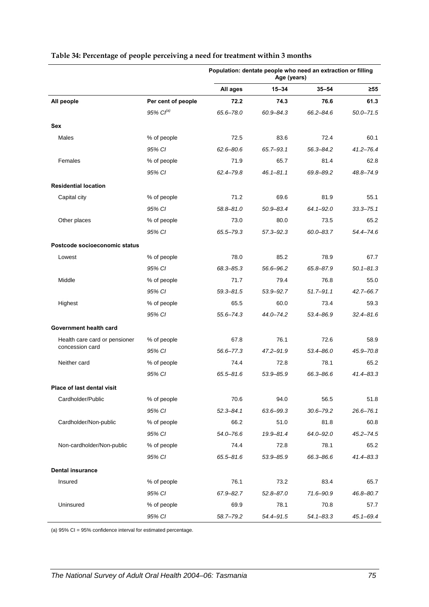|                               |                    | Population: dentate people who need an extraction or filling<br>Age (years) |               |               |               |
|-------------------------------|--------------------|-----------------------------------------------------------------------------|---------------|---------------|---------------|
|                               |                    | All ages                                                                    | $15 - 34$     | $35 - 54$     | ≥55           |
| All people                    | Per cent of people | 72.2                                                                        | 74.3          | 76.6          | 61.3          |
|                               | 95% $Cl^{(a)}$     | 65.6-78.0                                                                   | $60.9 - 84.3$ | 66.2-84.6     | $50.0 - 71.5$ |
| Sex                           |                    |                                                                             |               |               |               |
| Males                         | % of people        | 72.5                                                                        | 83.6          | 72.4          | 60.1          |
|                               | 95% CI             | $62.6 - 80.6$                                                               | $65.7 - 93.1$ | 56.3-84.2     | $41.2 - 76.4$ |
| Females                       | % of people        | 71.9                                                                        | 65.7          | 81.4          | 62.8          |
|                               | 95% CI             | 62.4-79.8                                                                   | $46.1 - 81.1$ | 69.8-89.2     | 48.8-74.9     |
| <b>Residential location</b>   |                    |                                                                             |               |               |               |
| Capital city                  | % of people        | 71.2                                                                        | 69.6          | 81.9          | 55.1          |
|                               | 95% CI             | $58.8 - 81.0$                                                               | 50.9-83.4     | $64.1 - 92.0$ | $33.3 - 75.1$ |
| Other places                  | % of people        | 73.0                                                                        | 80.0          | 73.5          | 65.2          |
|                               | 95% CI             | 65.5-79.3                                                                   | $57.3 - 92.3$ | $60.0 - 83.7$ | 54.4-74.6     |
| Postcode socioeconomic status |                    |                                                                             |               |               |               |
| Lowest                        | % of people        | 78.0                                                                        | 85.2          | 78.9          | 67.7          |
|                               | 95% CI             | 68.3-85.3                                                                   | 56.6-96.2     | 65.8-87.9     | $50.1 - 81.3$ |
| Middle                        | % of people        | 71.7                                                                        | 79.4          | 76.8          | 55.0          |
|                               | 95% CI             | $59.3 - 81.5$                                                               | 53.9 - 92.7   | $51.7 - 91.1$ | 42.7-66.7     |
| Highest                       | % of people        | 65.5                                                                        | 60.0          | 73.4          | 59.3          |
|                               | 95% CI             | $55.6 - 74.3$                                                               | 44.0-74.2     | 53.4-86.9     | $32.4 - 81.6$ |
| Government health card        |                    |                                                                             |               |               |               |
| Health care card or pensioner | % of people        | 67.8                                                                        | 76.1          | 72.6          | 58.9          |
| concession card               | 95% CI             | $56.6 - 77.3$                                                               | $47.2 - 91.9$ | 53.4-86.0     | 45.9-70.8     |
| Neither card                  | % of people        | 74.4                                                                        | 72.8          | 78.1          | 65.2          |
|                               | 95% CI             | 65.5-81.6                                                                   | 53.9 - 85.9   | 66.3-86.6     | $41.4 - 83.3$ |
| Place of last dental visit    |                    |                                                                             |               |               |               |
| Cardholder/Public             | % of people        | 70.6                                                                        | 94.0          | 56.5          | 51.8          |
|                               | 95% CI             | $52.3 - 84.1$                                                               | 63.6-99.3     | $30.6 - 79.2$ | $26.6 - 76.1$ |
| Cardholder/Non-public         | % of people        | 66.2                                                                        | 51.0          | 81.8          | 60.8          |
|                               | 95% CI             | $54.0 - 76.6$                                                               | 19.9-81.4     | 64.0-92.0     | $45.2 - 74.5$ |
| Non-cardholder/Non-public     | % of people        | 74.4                                                                        | 72.8          | 78.1          | 65.2          |
|                               | 95% CI             | $65.5 - 81.6$                                                               | 53.9-85.9     | 66.3-86.6     | $41.4 - 83.3$ |
| <b>Dental insurance</b>       |                    |                                                                             |               |               |               |
| Insured                       | % of people        | 76.1                                                                        | 73.2          | 83.4          | 65.7          |
|                               | 95% CI             | 67.9-82.7                                                                   | $52.8 - 87.0$ | 71.6-90.9     | 46.8-80.7     |
| Uninsured                     | % of people        | 69.9                                                                        | 78.1          | 70.8          | 57.7          |
|                               | 95% CI             | 58.7-79.2                                                                   | 54.4-91.5     | $54.1 - 83.3$ | $45.1 - 69.4$ |

#### <span id="page-82-1"></span><span id="page-82-0"></span>**Table 34: Percentage of people perceiving a need for treatment within 3 months**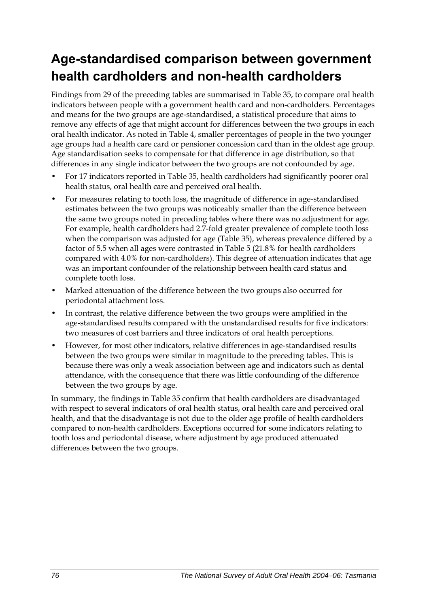## **Age-standardised comparison between government health cardholders and non-health cardholders**

Findings from 29 of the preceding tables are summarised in [Table 35,](#page-84-0) to compare oral health indicators between people with a government health card and non-cardholders. Percentages and means for the two groups are age-standardised, a statistical procedure that aims to remove any effects of age that might account for differences between the two groups in each oral health indicator. As noted in Table 4, smaller percentages of people in the two younger age groups had a health care card or pensioner concession card than in the oldest age group. Age standardisation seeks to compensate for that difference in age distribution, so that differences in any single indicator between the two groups are not confounded by age.

- For 17 indicators reported in [Table 35,](#page-84-0) health cardholders had significantly poorer oral health status, oral health care and perceived oral health.
- For measures relating to tooth loss, the magnitude of difference in age-standardised estimates between the two groups was noticeably smaller than the difference between the same two groups noted in preceding tables where there was no adjustment for age. For example, health cardholders had 2.7-fold greater prevalence of complete tooth loss when the comparison was adjusted for age [\(Table 35\)](#page-84-0), whereas prevalence differed by a factor of 5.5 when all ages were contrasted in Table 5 (21.8% for health cardholders compared with 4.0% for non-cardholders). This degree of attenuation indicates that age was an important confounder of the relationship between health card status and complete tooth loss.
- Marked attenuation of the difference between the two groups also occurred for periodontal attachment loss.
- In contrast, the relative difference between the two groups were amplified in the age-standardised results compared with the unstandardised results for five indicators: two measures of cost barriers and three indicators of oral health perceptions.
- However, for most other indicators, relative differences in age-standardised results between the two groups were similar in magnitude to the preceding tables. This is because there was only a weak association between age and indicators such as dental attendance, with the consequence that there was little confounding of the difference between the two groups by age.

In summary, the findings in [Table 35](#page-84-0) confirm that health cardholders are disadvantaged with respect to several indicators of oral health status, oral health care and perceived oral health, and that the disadvantage is not due to the older age profile of health cardholders compared to non-health cardholders. Exceptions occurred for some indicators relating to tooth loss and periodontal disease, where adjustment by age produced attenuated differences between the two groups.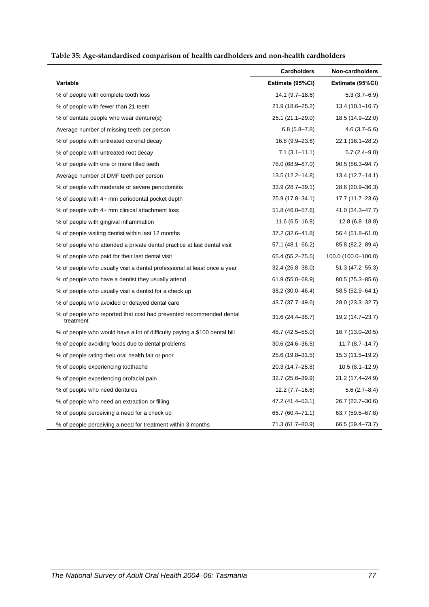<span id="page-84-1"></span>

| Table 35: Age-standardised comparison of health cardholders and non-health cardholders |  |  |
|----------------------------------------------------------------------------------------|--|--|
|                                                                                        |  |  |

<span id="page-84-0"></span>

|                                                                                  | <b>Cardholders</b>  | Non-cardholders     |
|----------------------------------------------------------------------------------|---------------------|---------------------|
| Variable                                                                         | Estimate (95%CI)    | Estimate (95%CI)    |
| % of people with complete tooth loss                                             | 14.1 (9.7–18.6)     | $5.3(3.7-6.9)$      |
| % of people with fewer than 21 teeth                                             | 21.9 (18.6-25.2)    | $13.4(10.1 - 16.7)$ |
| % of dentate people who wear denture(s)                                          | 25.1 (21.1-29.0)    | 18.5 (14.9–22.0)    |
| Average number of missing teeth per person                                       | $6.8(5.8 - 7.8)$    | $4.6(3.7 - 5.6)$    |
| % of people with untreated coronal decay                                         | $16.8(9.9-23.6)$    | 22.1 (16.1-28.2)    |
| % of people with untreated root decay                                            | $7.1(3.1 - 11.1)$   | $5.7(2.4-9.0)$      |
| % of people with one or more filled teeth                                        | 78.0 (68.9-87.0)    | $90.5(86.3 - 94.7)$ |
| Average number of DMF teeth per person                                           | 13.5 (12.2-14.8)    | $13.4(12.7 - 14.1)$ |
| % of people with moderate or severe periodontitis                                | $33.9(28.7 - 39.1)$ | 28.6 (20.9–36.3)    |
| % of people with 4+ mm periodontal pocket depth                                  | 25.9 (17.8-34.1)    | 17.7 (11.7–23.6)    |
| % of people with 4+ mm clinical attachment loss                                  | 51.8 (46.0–57.6)    | 41.0 (34.3–47.7)    |
| % of people with gingival inflammation                                           | $11.6(6.5 - 16.8)$  | $12.8(6.8-18.8)$    |
| % of people visiting dentist within last 12 months                               | 37.2 (32.6-41.8)    | 56.4 (51.8-61.0)    |
| % of people who attended a private dental practice at last dental visit          | 57.1 (48.1–66.2)    | 85.8 (82.2-89.4)    |
| % of people who paid for their last dental visit                                 | 65.4 (55.2-75.5)    | 100.0 (100.0-100.0) |
| % of people who usually visit a dental professional at least once a year         | $32.4(26.8-38.0)$   | $51.3(47.2 - 55.3)$ |
| % of people who have a dentist they usually attend                               | $61.9(55.0 - 68.9)$ | $80.5(75.3 - 85.6)$ |
| % of people who usually visit a dentist for a check up                           | 38.2 (30.0–46.4)    | 58.5 (52.9–64.1)    |
| % of people who avoided or delayed dental care                                   | 43.7 (37.7–49.6)    | 28.0 (23.3–32.7)    |
| % of people who reported that cost had prevented recommended dental<br>treatment | 31.6 (24.4-38.7)    | 19.2 (14.7–23.7)    |
| % of people who would have a lot of difficulty paying a \$100 dental bill        | 48.7 (42.5–55.0)    | 16.7 (13.0–20.5)    |
| % of people avoiding foods due to dental problems                                | $30.6(24.6 - 36.5)$ | $11.7(8.7-14.7)$    |
| % of people rating their oral health fair or poor                                | 25.6 (19.8–31.5)    | 15.3 (11.5–19.2)    |
| % of people experiencing toothache                                               | 20.3 (14.7–25.8)    | $10.5(8.1 - 12.9)$  |
| % of people experiencing orofacial pain                                          | 32.7 (25.6-39.9)    | 21.2 (17.4–24.9)    |
| % of people who need dentures                                                    | $12.2(7.7-16.6)$    | $5.6(2.7-8.4)$      |
| % of people who need an extraction or filling                                    | 47.2 (41.4–53.1)    | 26.7 (22.7-30.6)    |
| % of people perceiving a need for a check up                                     | 65.7 (60.4-71.1)    | $63.7(59.5 - 67.8)$ |
| % of people perceiving a need for treatment within 3 months                      | 71.3 (61.7–80.9)    | 66.5 (59.4–73.7)    |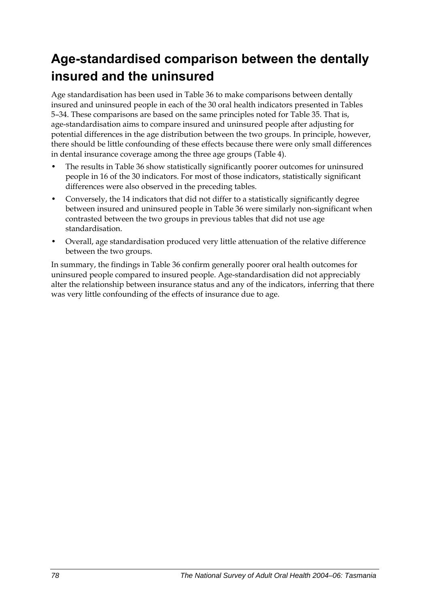## **Age-standardised comparison between the dentally insured and the uninsured**

Age standardisation has been used in [Table 36](#page-86-0) to make comparisons between dentally insured and uninsured people in each of the 30 oral health indicators presented in Tables 5–34. These comparisons are based on the same principles noted for [Table 35](#page-84-0). That is, age-standardisation aims to compare insured and uninsured people after adjusting for potential differences in the age distribution between the two groups. In principle, however, there should be little confounding of these effects because there were only small differences in dental insurance coverage among the three age groups (Table 4).

- The results in [Table 36](#page-86-0) show statistically significantly poorer outcomes for uninsured people in 16 of the 30 indicators. For most of those indicators, statistically significant differences were also observed in the preceding tables.
- Conversely, the 14 indicators that did not differ to a statistically significantly degree between insured and uninsured people in [Table 36](#page-86-0) were similarly non-significant when contrasted between the two groups in previous tables that did not use age standardisation.
- Overall, age standardisation produced very little attenuation of the relative difference between the two groups.

In summary, the findings in [Table 36](#page-86-0) confirm generally poorer oral health outcomes for uninsured people compared to insured people. Age-standardisation did not appreciably alter the relationship between insurance status and any of the indicators, inferring that there was very little confounding of the effects of insurance due to age.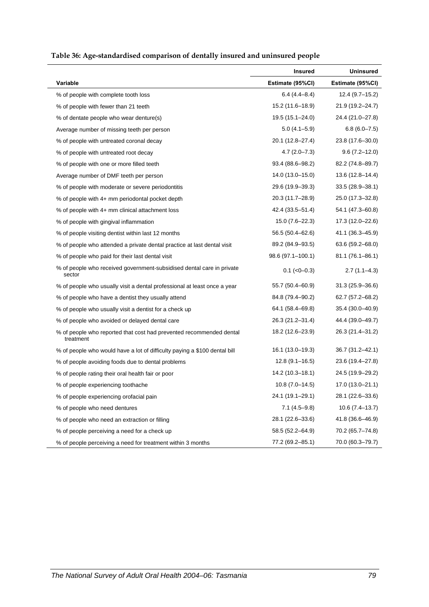<span id="page-86-1"></span>

| Table 36: Age-standardised comparison of dentally insured and uninsured people |  |  |
|--------------------------------------------------------------------------------|--|--|
|                                                                                |  |  |

<span id="page-86-0"></span>

|                                                                                  | Insured             | <b>Uninsured</b>    |
|----------------------------------------------------------------------------------|---------------------|---------------------|
| Variable                                                                         | Estimate (95%CI)    | Estimate (95%CI)    |
| % of people with complete tooth loss                                             | $6.4(4.4 - 8.4)$    | $12.4(9.7-15.2)$    |
| % of people with fewer than 21 teeth                                             | 15.2 (11.6-18.9)    | 21.9 (19.2-24.7)    |
| % of dentate people who wear denture(s)                                          | 19.5 (15.1-24.0)    | 24.4 (21.0-27.8)    |
| Average number of missing teeth per person                                       | $5.0(4.1 - 5.9)$    | $6.8(6.0 - 7.5)$    |
| % of people with untreated coronal decay                                         | 20.1 (12.8–27.4)    | 23.8 (17.6-30.0)    |
| % of people with untreated root decay                                            | $4.7(2.0 - 7.3)$    | $9.6(7.2 - 12.0)$   |
| % of people with one or more filled teeth                                        | $93.4(88.6 - 98.2)$ | 82.2 (74.8–89.7)    |
| Average number of DMF teeth per person                                           | 14.0 (13.0-15.0)    | $13.6(12.8 - 14.4)$ |
| % of people with moderate or severe periodontitis                                | 29.6 (19.9–39.3)    | $33.5(28.9 - 38.1)$ |
| % of people with 4+ mm periodontal pocket depth                                  | 20.3 (11.7-28.9)    | 25.0 (17.3-32.8)    |
| % of people with 4+ mm clinical attachment loss                                  | 42.4 (33.5–51.4)    | 54.1 (47.3–60.8)    |
| % of people with gingival inflammation                                           | $15.0(7.6-22.3)$    | 17.3 (12.0-22.6)    |
| % of people visiting dentist within last 12 months                               | 56.5 (50.4–62.6)    | 41.1 (36.3–45.9)    |
| % of people who attended a private dental practice at last dental visit          | 89.2 (84.9–93.5)    | $63.6(59.2 - 68.0)$ |
| % of people who paid for their last dental visit                                 | 98.6 (97.1-100.1)   | 81.1 (76.1-86.1)    |
| % of people who received government-subsidised dental care in private<br>sector  | $0.1$ ( $<0$ -0.3)  | $2.7(1.1 - 4.3)$    |
| % of people who usually visit a dental professional at least once a year         | 55.7 (50.4-60.9)    | $31.3(25.9 - 36.6)$ |
| % of people who have a dentist they usually attend                               | 84.8 (79.4–90.2)    | 62.7 (57.2-68.2)    |
| % of people who usually visit a dentist for a check up                           | 64.1 (58.4–69.8)    | 35.4 (30.0-40.9)    |
| % of people who avoided or delayed dental care                                   | 26.3 (21.2-31.4)    | 44.4 (39.0-49.7)    |
| % of people who reported that cost had prevented recommended dental<br>treatment | 18.2 (12.6-23.9)    | 26.3 (21.4-31.2)    |
| % of people who would have a lot of difficulty paying a \$100 dental bill        | 16.1 (13.0-19.3)    | 36.7 (31.2-42.1)    |
| % of people avoiding foods due to dental problems                                | $12.8(9.1 - 16.5)$  | 23.6 (19.4-27.8)    |
| % of people rating their oral health fair or poor                                | 14.2 (10.3-18.1)    | 24.5 (19.9-29.2)    |
| % of people experiencing toothache                                               | $10.8(7.0-14.5)$    | 17.0 (13.0-21.1)    |
| % of people experiencing orofacial pain                                          | 24.1 (19.1–29.1)    | 28.1 (22.6–33.6)    |
| % of people who need dentures                                                    | $7.1(4.5-9.8)$      | $10.6(7.4-13.7)$    |
| % of people who need an extraction or filling                                    | 28.1 (22.6-33.6)    | 41.8 (36.6-46.9)    |
| % of people perceiving a need for a check up                                     | 58.5 (52.2-64.9)    | 70.2 (65.7-74.8)    |
| % of people perceiving a need for treatment within 3 months                      | 77.2 (69.2-85.1)    | 70.0 (60.3-79.7)    |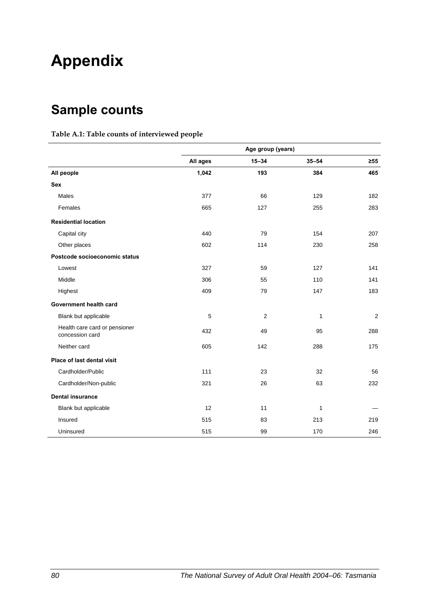# **Appendix**

## **Sample counts**

#### **Table A.1: Table counts of interviewed people**

|                                                  | Age group (years) |           |              |                |
|--------------------------------------------------|-------------------|-----------|--------------|----------------|
|                                                  | All ages          | $15 - 34$ | $35 - 54$    | $\geq 55$      |
| All people                                       | 1,042             | 193       | 384          | 465            |
| <b>Sex</b>                                       |                   |           |              |                |
| Males                                            | 377               | 66        | 129          | 182            |
| Females                                          | 665               | 127       | 255          | 283            |
| <b>Residential location</b>                      |                   |           |              |                |
| Capital city                                     | 440               | 79        | 154          | 207            |
| Other places                                     | 602               | 114       | 230          | 258            |
| Postcode socioeconomic status                    |                   |           |              |                |
| Lowest                                           | 327               | 59        | 127          | 141            |
| Middle                                           | 306               | 55        | 110          | 141            |
| Highest                                          | 409               | 79        | 147          | 183            |
| Government health card                           |                   |           |              |                |
| Blank but applicable                             | 5                 | 2         | $\mathbf{1}$ | $\overline{2}$ |
| Health care card or pensioner<br>concession card | 432               | 49        | 95           | 288            |
| Neither card                                     | 605               | 142       | 288          | 175            |
| Place of last dental visit                       |                   |           |              |                |
| Cardholder/Public                                | 111               | 23        | 32           | 56             |
| Cardholder/Non-public                            | 321               | 26        | 63           | 232            |
| <b>Dental insurance</b>                          |                   |           |              |                |
| Blank but applicable                             | 12                | 11        | 1            |                |
| Insured                                          | 515               | 83        | 213          | 219            |
| Uninsured                                        | 515               | 99        | 170          | 246            |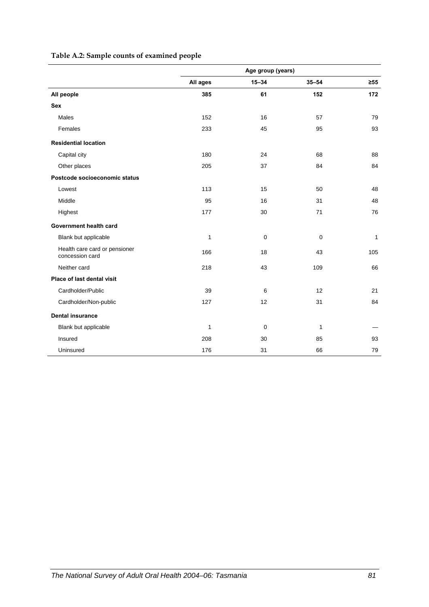#### **Table A.2: Sample counts of examined people**

|                                                  | Age group (years) |             |              |           |
|--------------------------------------------------|-------------------|-------------|--------------|-----------|
|                                                  | All ages          | $15 - 34$   | $35 - 54$    | $\geq 55$ |
| All people                                       | 385               | 61          | 152          | 172       |
| <b>Sex</b>                                       |                   |             |              |           |
| Males                                            | 152               | 16          | 57           | 79        |
| Females                                          | 233               | 45          | 95           | 93        |
| <b>Residential location</b>                      |                   |             |              |           |
| Capital city                                     | 180               | 24          | 68           | 88        |
| Other places                                     | 205               | 37          | 84           | 84        |
| Postcode socioeconomic status                    |                   |             |              |           |
| Lowest                                           | 113               | 15          | 50           | 48        |
| Middle                                           | 95                | 16          | 31           | 48        |
| Highest                                          | 177               | 30          | 71           | 76        |
| Government health card                           |                   |             |              |           |
| Blank but applicable                             | $\mathbf{1}$      | $\mathbf 0$ | 0            | 1         |
| Health care card or pensioner<br>concession card | 166               | 18          | 43           | 105       |
| Neither card                                     | 218               | 43          | 109          | 66        |
| Place of last dental visit                       |                   |             |              |           |
| Cardholder/Public                                | 39                | 6           | 12           | 21        |
| Cardholder/Non-public                            | 127               | 12          | 31           | 84        |
| <b>Dental insurance</b>                          |                   |             |              |           |
| Blank but applicable                             | $\mathbf{1}$      | $\mathbf 0$ | $\mathbf{1}$ |           |
| Insured                                          | 208               | 30          | 85           | 93        |
| Uninsured                                        | 176               | 31          | 66           | 79        |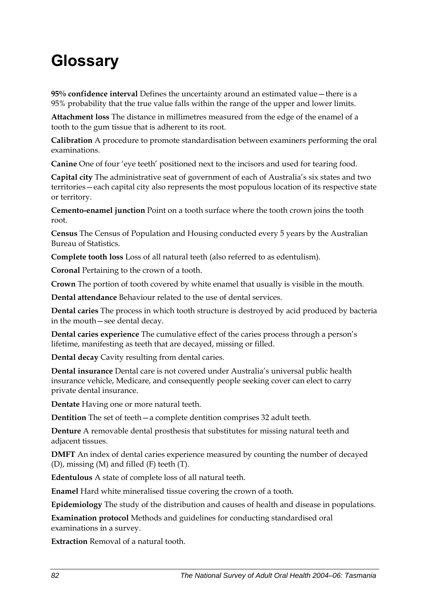# **Glossary**

**95% confidence interval** Defines the uncertainty around an estimated value—there is a 95% probability that the true value falls within the range of the upper and lower limits.

**Attachment loss** The distance in millimetres measured from the edge of the enamel of a tooth to the gum tissue that is adherent to its root.

**Calibration** A procedure to promote standardisation between examiners performing the oral examinations.

**Canine** One of four 'eye teeth' positioned next to the incisors and used for tearing food.

**Capital city** The administrative seat of government of each of Australia's six states and two territories—each capital city also represents the most populous location of its respective state or territory.

**Cemento-enamel junction** Point on a tooth surface where the tooth crown joins the tooth root.

**Census** The Census of Population and Housing conducted every 5 years by the Australian Bureau of Statistics.

**Complete tooth loss** Loss of all natural teeth (also referred to as edentulism).

**Coronal** Pertaining to the crown of a tooth.

**Crown** The portion of tooth covered by white enamel that usually is visible in the mouth.

**Dental attendance** Behaviour related to the use of dental services.

**Dental caries** The process in which tooth structure is destroyed by acid produced by bacteria in the mouth—see dental decay.

**Dental caries experience** The cumulative effect of the caries process through a person's lifetime, manifesting as teeth that are decayed, missing or filled.

**Dental decay** Cavity resulting from dental caries.

**Dental insurance** Dental care is not covered under Australia's universal public health insurance vehicle, Medicare, and consequently people seeking cover can elect to carry private dental insurance.

**Dentate** Having one or more natural teeth.

**Dentition** The set of teeth—a complete dentition comprises 32 adult teeth.

**Denture** A removable dental prosthesis that substitutes for missing natural teeth and adjacent tissues.

**DMFT** An index of dental caries experience measured by counting the number of decayed (D), missing (M) and filled (F) teeth (T).

**Edentulous** A state of complete loss of all natural teeth.

**Enamel** Hard white mineralised tissue covering the crown of a tooth.

**Epidemiology** The study of the distribution and causes of health and disease in populations.

**Examination protocol** Methods and guidelines for conducting standardised oral examinations in a survey.

**Extraction** Removal of a natural tooth.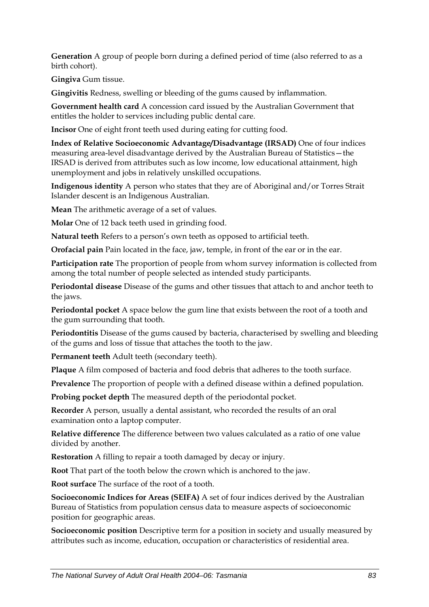**Generation** A group of people born during a defined period of time (also referred to as a birth cohort).

**Gingiva** Gum tissue.

**Gingivitis** Redness, swelling or bleeding of the gums caused by inflammation.

**Government health card** A concession card issued by the Australian Government that entitles the holder to services including public dental care.

**Incisor** One of eight front teeth used during eating for cutting food.

**Index of Relative Socioeconomic Advantage/Disadvantage (IRSAD)** One of four indices measuring area-level disadvantage derived by the Australian Bureau of Statistics—the IRSAD is derived from attributes such as low income, low educational attainment, high unemployment and jobs in relatively unskilled occupations.

**Indigenous identity** A person who states that they are of Aboriginal and/or Torres Strait Islander descent is an Indigenous Australian.

**Mean** The arithmetic average of a set of values.

**Molar** One of 12 back teeth used in grinding food.

**Natural teeth** Refers to a person's own teeth as opposed to artificial teeth.

**Orofacial pain** Pain located in the face, jaw, temple, in front of the ear or in the ear.

**Participation rate** The proportion of people from whom survey information is collected from among the total number of people selected as intended study participants.

**Periodontal disease** Disease of the gums and other tissues that attach to and anchor teeth to the jaws.

**Periodontal pocket** A space below the gum line that exists between the root of a tooth and the gum surrounding that tooth.

**Periodontitis** Disease of the gums caused by bacteria, characterised by swelling and bleeding of the gums and loss of tissue that attaches the tooth to the jaw.

**Permanent teeth** Adult teeth (secondary teeth).

**Plaque** A film composed of bacteria and food debris that adheres to the tooth surface.

**Prevalence** The proportion of people with a defined disease within a defined population.

**Probing pocket depth** The measured depth of the periodontal pocket.

**Recorder** A person, usually a dental assistant, who recorded the results of an oral examination onto a laptop computer.

**Relative difference** The difference between two values calculated as a ratio of one value divided by another.

**Restoration** A filling to repair a tooth damaged by decay or injury.

**Root** That part of the tooth below the crown which is anchored to the jaw.

**Root surface** The surface of the root of a tooth.

**Socioeconomic Indices for Areas (SEIFA)** A set of four indices derived by the Australian Bureau of Statistics from population census data to measure aspects of socioeconomic position for geographic areas.

**Socioeconomic position** Descriptive term for a position in society and usually measured by attributes such as income, education, occupation or characteristics of residential area.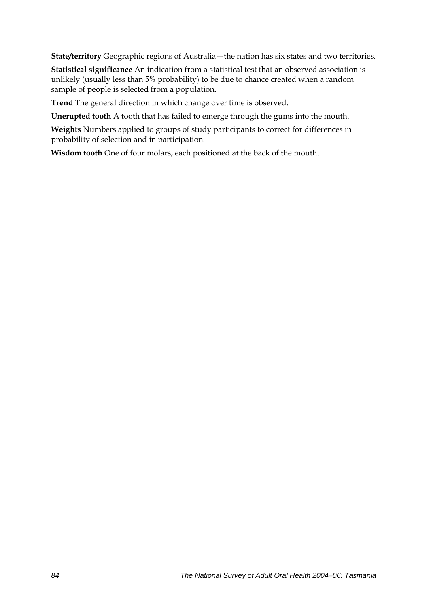**State/territory** Geographic regions of Australia—the nation has six states and two territories.

**Statistical significance** An indication from a statistical test that an observed association is unlikely (usually less than 5% probability) to be due to chance created when a random sample of people is selected from a population.

**Trend** The general direction in which change over time is observed.

**Unerupted tooth** A tooth that has failed to emerge through the gums into the mouth.

**Weights** Numbers applied to groups of study participants to correct for differences in probability of selection and in participation.

**Wisdom tooth** One of four molars, each positioned at the back of the mouth.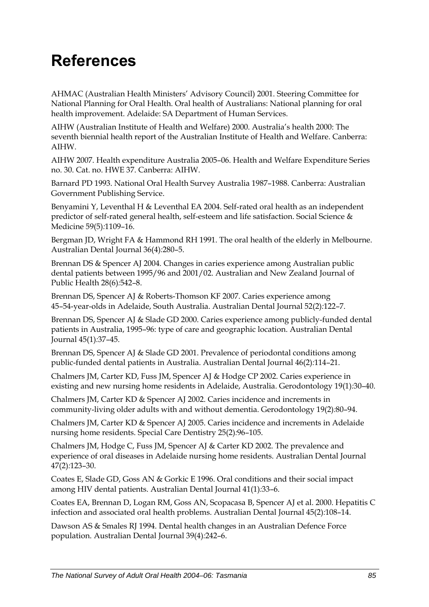# **References**

AHMAC (Australian Health Ministers' Advisory Council) 2001. Steering Committee for National Planning for Oral Health. Oral health of Australians: National planning for oral health improvement. Adelaide: SA Department of Human Services.

AIHW (Australian Institute of Health and Welfare) 2000. Australia's health 2000: The seventh biennial health report of the Australian Institute of Health and Welfare. Canberra: AIHW.

AIHW 2007. Health expenditure Australia 2005–06. Health and Welfare Expenditure Series no. 30. Cat. no. HWE 37. Canberra: AIHW.

Barnard PD 1993. National Oral Health Survey Australia 1987–1988. Canberra: Australian Government Publishing Service.

Benyamini Y, Leventhal H & Leventhal EA 2004. Self-rated oral health as an independent predictor of self-rated general health, self-esteem and life satisfaction. Social Science & Medicine 59(5)*:*1109–16.

Bergman JD, Wright FA & Hammond RH 1991. The oral health of the elderly in Melbourne. Australian Dental Journal 36(4)*:*280–5.

Brennan DS & Spencer AJ 2004. Changes in caries experience among Australian public dental patients between 1995/96 and 2001/02. Australian and New Zealand Journal of Public Health 28(6)*:*542–8.

Brennan DS, Spencer AJ & Roberts-Thomson KF 2007. Caries experience among 45–54-year-olds in Adelaide, South Australia. Australian Dental Journal 52(2)*:*122–7.

Brennan DS, Spencer AJ & Slade GD 2000. Caries experience among publicly-funded dental patients in Australia, 1995–96: type of care and geographic location. Australian Dental Journal 45(1)*:*37–45.

Brennan DS, Spencer AJ & Slade GD 2001. Prevalence of periodontal conditions among public-funded dental patients in Australia. Australian Dental Journal 46(2)*:*114–21.

Chalmers JM, Carter KD, Fuss JM, Spencer AJ & Hodge CP 2002. Caries experience in existing and new nursing home residents in Adelaide, Australia. Gerodontology 19(1)*:*30–40.

Chalmers JM, Carter KD & Spencer AJ 2002. Caries incidence and increments in community-living older adults with and without dementia. Gerodontology 19(2)*:*80–94.

Chalmers JM, Carter KD & Spencer AJ 2005. Caries incidence and increments in Adelaide nursing home residents. Special Care Dentistry 25(2)*:*96–105.

Chalmers JM, Hodge C, Fuss JM, Spencer AJ & Carter KD 2002. The prevalence and experience of oral diseases in Adelaide nursing home residents. Australian Dental Journal 47(2)*:*123–30.

Coates E, Slade GD, Goss AN & Gorkic E 1996. Oral conditions and their social impact among HIV dental patients. Australian Dental Journal 41(1)*:*33–6.

Coates EA, Brennan D, Logan RM, Goss AN, Scopacasa B, Spencer AJ et al. 2000. Hepatitis C infection and associated oral health problems. Australian Dental Journal 45(2)*:*108–14.

Dawson AS & Smales RJ 1994. Dental health changes in an Australian Defence Force population. Australian Dental Journal 39(4)*:*242–6.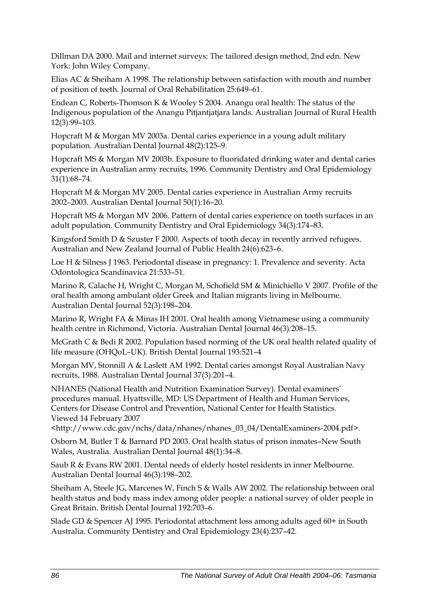Dillman DA 2000. Mail and internet surveys: The tailored design method, 2nd edn. New York: John Wiley Company.

Elias AC & Sheiham A 1998. The relationship between satisfaction with mouth and number of position of teeth. Journal of Oral Rehabilitation 25:649–61.

Endean C, Roberts-Thomson K & Wooley S 2004. Anangu oral health: The status of the Indigenous population of the Anangu Pitjantjatjara lands. Australian Journal of Rural Health 12(3)*:*99–103.

Hopcraft M & Morgan MV 2003a. Dental caries experience in a young adult military population. Australian Dental Journal 48(2)*:*125–9.

Hopcraft MS & Morgan MV 2003b. Exposure to fluoridated drinking water and dental caries experience in Australian army recruits, 1996. Community Dentistry and Oral Epidemiology 31(1)*:*68–74.

Hopcraft M & Morgan MV 2005. Dental caries experience in Australian Army recruits 2002–2003. Australian Dental Journal 50(1)*:*16–20.

Hopcraft MS & Morgan MV 2006. Pattern of dental caries experience on tooth surfaces in an adult population. Community Dentistry and Oral Epidemiology 34(3)*:*174–83.

Kingsford Smith D & Szuster F 2000. Aspects of tooth decay in recently arrived refugees. Australian and New Zealand Journal of Public Health 24(6)*:*623–6.

Loe H & Silness J 1963. Periodontal disease in pregnancy: 1. Prevalence and severity. Acta Odontologica Scandinavica 21:533–51.

Marino R, Calache H, Wright C, Morgan M, Schofield SM & Minichiello V 2007. Profile of the oral health among ambulant older Greek and Italian migrants living in Melbourne. Australian Dental Journal 52(3)*:*198–204.

Marino R, Wright FA & Minas IH 2001. Oral health among Vietnamese using a community health centre in Richmond, Victoria. Australian Dental Journal 46(3)*:*208–15.

McGrath C & Bedi R 2002. Population based norming of the UK oral health related quality of life measure (OHQoL–UK). British Dental Journal 193:521–4

Morgan MV, Stonnill A & Laslett AM 1992. Dental caries amongst Royal Australian Navy recruits, 1988. Australian Dental Journal 37(3)*:*201–4.

NHANES (National Health and Nutrition Examination Survey). Dental examiners' procedures manual. Hyattsville, MD: US Department of Health and Human Services, Centers for Disease Control and Prevention, National Center for Health Statistics. Viewed 14 February 2007

<http://www.cdc.gov/nchs/data/nhanes/nhanes\_03\_04/DentalExaminers-2004.pdf>.

Osborn M, Butler T & Barnard PD 2003. Oral health status of prison inmates–New South Wales, Australia. Australian Dental Journal 48(1)*:*34–8.

Saub R & Evans RW 2001. Dental needs of elderly hostel residents in inner Melbourne. Australian Dental Journal 46(3)*:*198–202.

Sheiham A, Steele JG, Marcenes W, Finch S & Walls AW 2002. The relationship between oral health status and body mass index among older people: a national survey of older people in Great Britain. British Dental Journal 192:703–6.

Slade GD & Spencer AJ 1995. Periodontal attachment loss among adults aged 60+ in South Australia. Community Dentistry and Oral Epidemiology 23(4)*:*237–42.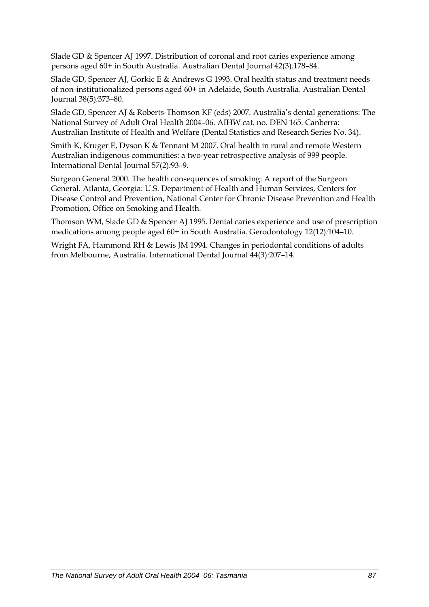Slade GD & Spencer AJ 1997. Distribution of coronal and root caries experience among persons aged 60+ in South Australia. Australian Dental Journal 42(3)*:*178–84.

Slade GD, Spencer AJ, Gorkic E & Andrews G 1993. Oral health status and treatment needs of non-institutionalized persons aged 60+ in Adelaide, South Australia. Australian Dental Journal 38(5)*:*373–80.

Slade GD, Spencer AJ & Roberts-Thomson KF (eds) 2007. Australia's dental generations: The National Survey of Adult Oral Health 2004–06. AIHW cat. no. DEN 165. Canberra: Australian Institute of Health and Welfare (Dental Statistics and Research Series No. 34).

Smith K, Kruger E, Dyson K & Tennant M 2007. Oral health in rural and remote Western Australian indigenous communities: a two-year retrospective analysis of 999 people. International Dental Journal 57(2)*:*93–9.

Surgeon General 2000. The health consequences of smoking: A report of the Surgeon General. Atlanta, Georgia: U.S. Department of Health and Human Services, Centers for Disease Control and Prevention, National Center for Chronic Disease Prevention and Health Promotion, Office on Smoking and Health.

Thomson WM, Slade GD & Spencer AJ 1995. Dental caries experience and use of prescription medications among people aged 60+ in South Australia. Gerodontology 12(12)*:*104–10.

Wright FA, Hammond RH & Lewis JM 1994. Changes in periodontal conditions of adults from Melbourne, Australia. International Dental Journal 44(3)*:*207–14.